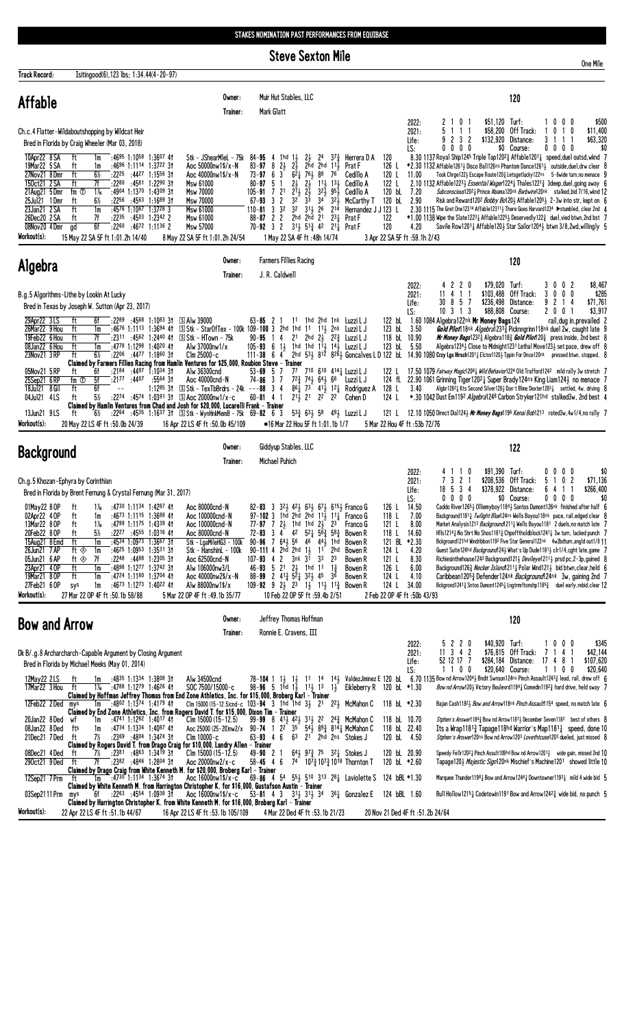STAKES NOMINATION PAST PERFORMANCES FROM EQUIBASE

**Steve Sexton Mile** 

| Track Record:                                                                                                                                                             | Isitingood(6), 123 lbs; 1:34.44(4-20-97)                                                                                                                                                                                                                                                                                                                                                                                                                                                                    |                                                                                                                                                                                                                                                                           |                                                                                                                                                                                                                                                                                                                                                                                                                                                                                                                                                                                                                                                                                                         |                                                                                                                                                                                                             |                                                                                                                                   |                                                                                                                                                                                                                |                                                                                                                                                                                                                                                                                                                                                                                                                                                                                                         |                                                                                   |                                                                                                                                                                                                                                                                                                                                                                                                                                                                                                                                                                                                                                                                                                                                                                                                                                                                             |
|---------------------------------------------------------------------------------------------------------------------------------------------------------------------------|-------------------------------------------------------------------------------------------------------------------------------------------------------------------------------------------------------------------------------------------------------------------------------------------------------------------------------------------------------------------------------------------------------------------------------------------------------------------------------------------------------------|---------------------------------------------------------------------------------------------------------------------------------------------------------------------------------------------------------------------------------------------------------------------------|---------------------------------------------------------------------------------------------------------------------------------------------------------------------------------------------------------------------------------------------------------------------------------------------------------------------------------------------------------------------------------------------------------------------------------------------------------------------------------------------------------------------------------------------------------------------------------------------------------------------------------------------------------------------------------------------------------|-------------------------------------------------------------------------------------------------------------------------------------------------------------------------------------------------------------|-----------------------------------------------------------------------------------------------------------------------------------|----------------------------------------------------------------------------------------------------------------------------------------------------------------------------------------------------------------|---------------------------------------------------------------------------------------------------------------------------------------------------------------------------------------------------------------------------------------------------------------------------------------------------------------------------------------------------------------------------------------------------------------------------------------------------------------------------------------------------------|-----------------------------------------------------------------------------------|-----------------------------------------------------------------------------------------------------------------------------------------------------------------------------------------------------------------------------------------------------------------------------------------------------------------------------------------------------------------------------------------------------------------------------------------------------------------------------------------------------------------------------------------------------------------------------------------------------------------------------------------------------------------------------------------------------------------------------------------------------------------------------------------------------------------------------------------------------------------------------|
| Affable                                                                                                                                                                   |                                                                                                                                                                                                                                                                                                                                                                                                                                                                                                             | Owner:<br>Trainer:                                                                                                                                                                                                                                                        | Muir Hut Stables, LLC<br>Mark Glatt                                                                                                                                                                                                                                                                                                                                                                                                                                                                                                                                                                                                                                                                     |                                                                                                                                                                                                             |                                                                                                                                   |                                                                                                                                                                                                                |                                                                                                                                                                                                                                                                                                                                                                                                                                                                                                         | 120                                                                               |                                                                                                                                                                                                                                                                                                                                                                                                                                                                                                                                                                                                                                                                                                                                                                                                                                                                             |
|                                                                                                                                                                           | Ch.c.4 Flatter-Wildaboutshopping by Wildcat Heir<br>Bred in Florida by Craig Wheeler (Mar 03, 2018)                                                                                                                                                                                                                                                                                                                                                                                                         |                                                                                                                                                                                                                                                                           |                                                                                                                                                                                                                                                                                                                                                                                                                                                                                                                                                                                                                                                                                                         |                                                                                                                                                                                                             |                                                                                                                                   | 2022:<br>2021:<br>Life:<br>LS:                                                                                                                                                                                 | 0 <sub>1</sub><br>2 1<br>51<br>11<br>2 3 2<br>0 0 0 0                                                                                                                                                                                                                                                                                                                                                                                                                                                   | $$51,120$ Turf:<br>\$58,200 Off Track:<br>\$132,920 Distance:<br>\$0 Course:      | \$500<br>1000<br>0 1 0<br>\$11,400<br>1<br>\$63,320<br>31<br>1 1<br>$0\,0\,0\,0$<br>\$(                                                                                                                                                                                                                                                                                                                                                                                                                                                                                                                                                                                                                                                                                                                                                                                     |
| 10Apr22 8 SA<br>19Mar22 5 SA<br>27Nov21 8Dmr<br>150ct21 2 SA<br>21Aug21 5Dmr<br>25Jul21 1Dmr<br>23Jan21 2 SA<br>26Dec20 2 SA<br>08Nov20 4 Dmr                             | ft<br>:4695 1:1058 1:3607 41<br>1m<br>ft<br>:4696 1:1114 1:3722 31<br>1m<br>ft<br>6½<br>$:22^{25}$ $:44^{27}$ 1:1556 31<br>7f<br>:2280 :4581 1:2290 31<br>ft<br>$1\frac{1}{6}$<br>fm $0$<br>:4904 1:1370 1:4309 31<br>:2256 :4563 1:1689 31<br>6½<br>ft<br>ft<br>$:4576$ 1:1067 1:3728 3<br>1m<br>ft<br>7f<br>$:22^{35}$ $:45^{03}$ 1:2342 2<br>6f<br>gd<br>$:22^{60}$ $:46^{72}$ 1:1136 2                                                                                                                  | Stk - JShearMleL - 75k $84 - 95$ 4 1hd $1\frac{1}{2}$<br>Aoc 50000nw1\$/x-N<br>Aoc 40000nw1\$/x-N<br>Msw 61000<br>Msw 70000<br>Msw 70000<br>Msw 61000<br>Msw 61000<br>Msw 57000                                                                                           | $2\frac{1}{2}$<br>$83 - 97$<br>$8\frac{21}{2}$<br>$2\frac{1}{2}$<br>$73 - 97$ 6 3<br>$80 - 97$<br>5<br>1<br>$2\frac{1}{2}$<br>$2\frac{1}{2}$<br>$2^{11}$ $2^{11}$<br>$105 - 91$ 7 21<br>$3\overline{3}$<br>$32-$<br>3 <sub>2</sub><br>$67 - 93$<br>$110 - 81$ 3 3 <sup>2</sup><br>32<br>2hd 2hd 21<br>$88 - 87$ 2 2<br>70-92 3 2 3 <sup>11</sup> / <sub>2</sub> 5 <sup>1</sup> / <sub>3</sub> 4 <sup>2</sup> 2 <sup>1</sup> / <sub>4</sub> Prat F                                                                                                                                                                                                                                                       | 2ĥd<br>2hd $11\frac{1}{2}$<br>$62\frac{1}{4}$ 761 88 76<br>$11\frac{1}{2}$ $13\frac{1}{2}$<br>$32\frac{1}{2}$ $95\frac{1}{2}$<br>34<br>$3^{2}\frac{1}{2}$<br>$31\frac{1}{2}$ 26<br>214<br>$2^{3}$           | 24 $3^{7}\frac{3}{4}$ Herrera D A<br>Prat F<br>Cedillo A<br>Cedillo A<br>Cedillo A<br>McCarthy T<br>Hernandez J J 123 L<br>Prat F | 120<br>126 L<br>120 L<br>11.00<br>122 L<br>120 bL<br>7.20<br>120 bL<br>2.90<br>122<br>120<br>4.20                                                                                                              | 8.30 1137 Royal Ship1245 Triple Tap1202 $\frac{3}{4}$ Affable1201 $\frac{1}{4}$ speed, duel outsd, wknd 7<br>*2.30 1132 Affable12614 Disco Ball126ns Phantom Dance12614 outside, duel, drw clear {<br>2.10 1132 Affable1223 <sub>2</sub> Essential Wager12241 Thales12213 3deep, duel, going away f<br>2.30 1115 The Gret One12314 Affable123113 There Goes Harvard1234 ▶ stumbled, clear 2nd 4<br>$*1.00$ 1138 Wipe the Slate12231 Affable12251 Deservedly122 $\frac{3}{4}$ duel, vied btwn, 2nd bst 7 |                                                                                   | Took Chrge122} Escape Route120} Letsgetlucky122ns 5-6wide turn, no menace 9<br>Subconscious12021 Prince Abama120nk Barbwire120nk stalked, bid 7/16, wknd 12<br>Risk and Reward1202 Bobby Bo1203 Affable12053 2-3w into str, kept on 6<br>Savile Row1201 $\frac{1}{4}$ Affable120 $\frac{1}{2}$ Star Sailor120 <sup>4</sup> $\frac{1}{2}$ btwn 3/8,2wd, willingly 5                                                                                                                                                                                                                                                                                                                                                                                                                                                                                                          |
| Workout(s):                                                                                                                                                               | 15 May 22 SA 5F ft 1:01.2h 14/40                                                                                                                                                                                                                                                                                                                                                                                                                                                                            | 8 May 22 SA 5F ft 1:01.2h 24/54<br>Owner:                                                                                                                                                                                                                                 | 1 May 22 SA 4F ft: 48h 14/74<br><b>Farmers Fillies Racing</b>                                                                                                                                                                                                                                                                                                                                                                                                                                                                                                                                                                                                                                           |                                                                                                                                                                                                             |                                                                                                                                   | 3 Apr 22 SA 5F ft :59.1h 2/43                                                                                                                                                                                  |                                                                                                                                                                                                                                                                                                                                                                                                                                                                                                         |                                                                                   |                                                                                                                                                                                                                                                                                                                                                                                                                                                                                                                                                                                                                                                                                                                                                                                                                                                                             |
| <b>Algebra</b>                                                                                                                                                            |                                                                                                                                                                                                                                                                                                                                                                                                                                                                                                             | Trainer:                                                                                                                                                                                                                                                                  | J. R. Caldwell                                                                                                                                                                                                                                                                                                                                                                                                                                                                                                                                                                                                                                                                                          |                                                                                                                                                                                                             |                                                                                                                                   |                                                                                                                                                                                                                |                                                                                                                                                                                                                                                                                                                                                                                                                                                                                                         | 120                                                                               |                                                                                                                                                                                                                                                                                                                                                                                                                                                                                                                                                                                                                                                                                                                                                                                                                                                                             |
| 29Apr22 3LS<br>26Mar22 9 Hou<br>19Feb22 6 Hou<br>08Jan22 6 Hou<br>23Nov21 3 RP                                                                                            | B.g.5 Algorithms-Lithe by Lookin At Lucky<br>Bred in Texas by Joseph W. Sutton (Apr 23, 2017)<br>ft<br>6f<br>$:22^{89}$ $:45^{68}$ 1:10 <sup>83</sup> 31 SAIw 39000<br>ft<br>1m<br>7f<br>ft<br>ft<br>:4778 1:1298 1:4020 41<br>1m<br>$6\%$<br>:2206 :4477 1:1860 31<br>ft                                                                                                                                                                                                                                   | :4676 1:1113 1:3694 41 SStk - StarOfTex - 100k 109-100 3 2hd 1hd 11 113 2nk Luzzi LJ<br>:2311 :4562 1:2440 41 SStk - HTown - 75k<br>Alw 37000nw1/x<br>$C$ lm 25000-c                                                                                                      | $63 - 85$ 2 1<br>90-95 1 4 2 <sup>1</sup> 2hd $2\frac{1}{2}$ 2 <sup>2</sup> $\frac{3}{4}$ Luzzi LJ<br>105-93 6 13 1hd 1hd 113 143 Luzzi LJ<br>111-38 6 $4^{\frac{1}{2}}$ 2hd $53\frac{1}{2}$ 812 826 Goncalves L D 122 bL                                                                                                                                                                                                                                                                                                                                                                                                                                                                               | 11 1hd 2hd 1nk LuzziLJ                                                                                                                                                                                      |                                                                                                                                   | 2022:<br>2021:<br>Life:<br>LS:<br>122 bL<br>123 bL 3.50<br>118 bL 10.90<br>123 bL<br>5.50                                                                                                                      | 4 2 2 0<br>11 4 1 1<br>30 8 5 7<br>10 3 1 3<br>1.60 1084 Algebra122nk Mr Money Bags124<br>14.90 1080 Crzy Lgs Hirsch1201 <sub>2</sub> Elctor11203 Tppin For Dnce120nk pressed btwn, stopped, 8                                                                                                                                                                                                                                                                                                          | \$79,020 Turf:<br>\$103,488 Off Track:<br>\$236,498 Distance:<br>\$88,808 Course: | 3 0 0 2<br>\$8,467<br>$0\ 0\ 0$<br>\$285<br>3<br>9 2 1 4<br>\$71,761<br>2 0 0 1<br>\$3,917<br>rail, dug in, prevailed 2<br>Gold Pilot 18nk Algebra12333 Picknngrinn118nk duel 2w, caught late 9<br>Mr Money Bags12323 Algebra1183 Gold Pilot1203 press inside, 2nd best $\{$<br>Algebra1234, Close to Midnight1231 Lethal Move123, set pace, drew off {                                                                                                                                                                                                                                                                                                                                                                                                                                                                                                                     |
| 05Nov21 5 RP<br>25Sep21 6RP<br>18Jul21 8 Gil<br>04Jul21 4LS<br>13Jun21 9LS<br>Workout(s):                                                                                 | Claimed by Farmers Fillies Racing from Hamlin Ventures for \$25,000, Roubion Steve - Trainer<br>ft<br>$: 21^{84}$ $: 44^{97}$ 1:10 <sup>34</sup> 31<br>6f<br>fm ①<br>5f<br>:2177 :4407 :5564 31<br>ft<br>6f<br>$\sim$ $-$<br>5½<br>ft<br>Claimed by Hamlin Ventures from Chad and Josh for \$20,000, Lucarelli Frank - Trainer<br>ft<br>6½<br>20 May 22 LS 4F ft :50.0b 24/39                                                                                                                               | Alw 36300cnd<br>Aoc 40000cnd-N<br>$1:12^{85}$ 31 SStk - TexTbBrdrs - 24k ---88 3 4<br>:2274 :4574 1:0391 31 $\Box$ Aoc 20000nw1/x-c<br>$:22^{64}$ $:45^{35}$ 1:16 <sup>37</sup> 31 $\quad$ S Stk – WynHnkMemB – 75k 69- <b>82</b> 6 3<br>16 Apr 22 LS 4F ft: 50.0b 45/109 | $53 - 69$ 5 7<br>77<br>$74 - 86$ 3 7<br>$60 - 81$ 4 1<br>$2^{11}$ <sub>2</sub> 2 <sup>1</sup><br>$53\frac{3}{4}$ 631 58<br>•16 Mar 22 Hou 5F ft 1:01.1b 1/7                                                                                                                                                                                                                                                                                                                                                                                                                                                                                                                                             | 710 610 4141 Luzzi L J<br>$72\frac{3}{4}$ $74\frac{1}{2}$ $64\frac{1}{2}$ $66$ Luzzi L J<br>$86\frac{1}{4}$ 7 <sup>3</sup> 4 <sup>1</sup> / <sub>2</sub> 1 <sup>2</sup> / <sub>4</sub> Rodriguez A<br>22 22 | Cohen D<br>49½ Luzzi L J                                                                                                          | 122 L<br>128 L<br>3.40<br>124 L<br>121 L<br>5 Mar 22 Hou 4F ft :53b 72/76                                                                                                                                      | 17.50 1079 Fairway Magic12081 Wild Behavior1224 Old Trafford1242 mild rally 3w stretch 7<br>124 fl. 22.90 1061 Grinning Tiger12021 Super Brady124ns King Liam1241 no menace 7<br>*.30 1042 Dust Em119 <sup>2</sup> Algebra1248 Carbon Stryker121hd stalked3w, 2nd best 4<br>12.10 1050 Direct Dia11243 Mr Money Bags1196 Kenai Bob1213 rated3w, 4w1/4, no rally 7                                                                                                                                       |                                                                                   | Algbr12821 Kts Second Silver1281 Don't Blme Dexter12831 settled, 4w, driving {                                                                                                                                                                                                                                                                                                                                                                                                                                                                                                                                                                                                                                                                                                                                                                                              |
| <b>Background</b>                                                                                                                                                         |                                                                                                                                                                                                                                                                                                                                                                                                                                                                                                             | Owner:<br>Trainer:                                                                                                                                                                                                                                                        | Giddyup Stables, LLC<br>Michael Puhich                                                                                                                                                                                                                                                                                                                                                                                                                                                                                                                                                                                                                                                                  |                                                                                                                                                                                                             |                                                                                                                                   |                                                                                                                                                                                                                |                                                                                                                                                                                                                                                                                                                                                                                                                                                                                                         | 122                                                                               |                                                                                                                                                                                                                                                                                                                                                                                                                                                                                                                                                                                                                                                                                                                                                                                                                                                                             |
| Ch.g.5 Khozan-Ephyra by Corinthian                                                                                                                                        | Bred in Florida by Brent Fernung & Crystal Fernung (Mar 31, 2017)                                                                                                                                                                                                                                                                                                                                                                                                                                           |                                                                                                                                                                                                                                                                           |                                                                                                                                                                                                                                                                                                                                                                                                                                                                                                                                                                                                                                                                                                         |                                                                                                                                                                                                             |                                                                                                                                   | 2022:<br>2021:<br>Life:                                                                                                                                                                                        | 4110<br>7 3 2 1<br>18 5 3 4                                                                                                                                                                                                                                                                                                                                                                                                                                                                             | \$91,390 Turf:<br>\$208,536 Off Track:<br>\$378,922 Distance:                     | \$(<br>$0\,0\,0\,0$<br>5 <sub>1</sub><br>0 <sub>2</sub><br>\$71,136<br>\$266,400<br>6<br>4<br>$\overline{1}$<br>-1                                                                                                                                                                                                                                                                                                                                                                                                                                                                                                                                                                                                                                                                                                                                                          |
| 01May22 8 OP<br>02Apr22 4 OP<br>13Mar22 8 OP<br>20Feb22 8OP<br>15Aug21 8 Emd<br>26Jun21 7 AP<br>05Jun21 6 AP<br>23Apr21 40P<br>19Mar21 80P<br>27Feb21 6 OP<br>Workout(s): | ft<br>$1\%$<br>$:4730$ 1:1134 1:4287 41<br>ft<br>$:4673$ 1:11 <sup>15</sup> 1:3688 41<br>1m<br>$1\%$<br>$:4799$ 1:1175 1:4339 41<br>ft<br>ft<br>5 <sub>2</sub><br>:22 <sup>27</sup> :45 <sup>55</sup> 1:0316 41<br>ft<br>:4534 1:0973 1:3667 31<br>1m<br>$:46^{25}$ 1:0953 1:3531 31<br>ft ⊗<br>1m<br>$:22^{48}$ $:44^{88}$ 1:2305 31<br>ft ◈<br>7f<br>ft<br>:4898 1:1277 1:3742 31<br>1m<br>ft<br>:4724 1:1180 1:3704 41<br>1m<br>$:4673$ 1:1273 1:4022 41<br>1m<br>sys<br>27 Mar 22 OP 4F ft :50.1b 58/88 | Aoc 80000cnd-N<br>Aoc 100000cnd-N<br>Aoc 100000cnd-N<br>Aoc 80000cnd-N<br>Stk - LgaMileHG3 - 100k<br>Stk - HanshinL - 100k<br>Aoc 62500cnd-N<br>Alw 106000nw3/L<br>Aoc 40000nw2\$/x-N<br>Alw 88000nw1\$/x<br>5 Mar 22 OP 4F ft :49.1b 35/77                               | 82-83 3 323 423 633 673 6153 Franco G<br>97-102 3 1hd 2hd 2hd $11\frac{1}{2}$ 11 $\frac{1}{4}$ Franco G<br>77-97 7 $2\frac{1}{2}$ 1hd 1hd $2\frac{1}{2}$ 2 <sup>3</sup> Franco G<br>72-83<br>3 4 4 <sup>2</sup> 5 <sup>2</sup> $\frac{1}{4}$ 5 <sup>6</sup> $\frac{3}{4}$ 5 <sup>8</sup> $\frac{3}{4}$<br>$90 - 96$ 7 $64\frac{1}{2}$ 56 46 44 1 1hd<br>$90-111$ 4 2hd 2hd 1 $\frac{1}{2}$ 11<br>$107 - 93$ 4 2 $3nk$ $3^{\overline{1}}$<br>46-93 5 21 23 1hd 11<br>88-99 2 41 <sup>3</sup> 52 <sup>1</sup> 32 <sup>1</sup> 45 36<br>109-92 9 2 <sup>1</sup> 2 <sup>3</sup> 1 <sup>1</sup> / <sub>2</sub> 1 <sup>1</sup> / <sub>2</sub> 1 <sup>1</sup> / <sub>4</sub><br>10 Feb 22 OP 5F ft: 59.4b 2/51 | 2hd<br>33<br>23<br>$1\frac{3}{4}$                                                                                                                                                                           | Bowen R<br>Bowen R<br>Bowen R<br>Bowen R<br>Bowen R<br>Bowen R<br>Bowen R                                                         | LS:<br>14.50<br>126 L<br>118L<br>7.00<br>8.00<br>121 L<br>118 L<br>14.60<br>121 BL *2.30<br>124 L<br>4.20<br>121 L<br>8.30<br>6.00<br>126 L<br>124 L<br>4.10<br>34.00<br>124 L<br>2 Feb 22 OP 4F ft: 50b 43/93 | $0\ 0\ 0\ 0$                                                                                                                                                                                                                                                                                                                                                                                                                                                                                            | \$0 Course:                                                                       | $0\,0\,0\,0$<br>\$(<br>Caddo River12651 Olliemyboy11841 Santos Dumont126nk finished after half 6<br>Background11811 Twilight Blue124ns Wells Bayou118nk pace, rail, edged clear {<br>Market Analysis1213 Background12111 Wells Bayou1181 2 duels, no match late 7<br>H1ls1214 $\frac{1}{4}$ No Shrt No Shos1181 $\frac{3}{4}$ Chpofftholdblock1241 $\frac{1}{4}$ 3w turn, lacked punch 7<br>Bckground121hd Windribbon1192 Five Star General122nk 4w2bdturn, angld out1/8 11<br>Guest Suite124hd Background1243 What's Up Dude11813 clr1/4, cght late, game 7<br>Richiesinthehouse1243 Background1213 Devileye12113 prsd pc, 2-3p, gained {<br>Background1263 Necker Island12113 Polar Wind1213 bid btwn, clear, held 6<br>Caribbean12053 Defender124nk Background124nk 3w, gaining 2nd 7<br>Bckgrond12413 Sntos Dumont12451 Lngtrmrltonshp11853 duel early, rebid, clear 12 |
| <b>Bow and Arrow</b>                                                                                                                                                      |                                                                                                                                                                                                                                                                                                                                                                                                                                                                                                             | Owner:<br>Trainer:                                                                                                                                                                                                                                                        | Jeffrey Thomas Hoffman<br>Ronnie E. Cravens. III                                                                                                                                                                                                                                                                                                                                                                                                                                                                                                                                                                                                                                                        |                                                                                                                                                                                                             |                                                                                                                                   |                                                                                                                                                                                                                |                                                                                                                                                                                                                                                                                                                                                                                                                                                                                                         | 120                                                                               |                                                                                                                                                                                                                                                                                                                                                                                                                                                                                                                                                                                                                                                                                                                                                                                                                                                                             |
|                                                                                                                                                                           | Dk B/.g.8 Archarcharch-Capable Argument by Closing Argument<br>Bred in Florida by Michael Meeks (May 01, 2014)                                                                                                                                                                                                                                                                                                                                                                                              |                                                                                                                                                                                                                                                                           |                                                                                                                                                                                                                                                                                                                                                                                                                                                                                                                                                                                                                                                                                                         |                                                                                                                                                                                                             |                                                                                                                                   | 2022:<br>2021:<br>Life:<br>LS:                                                                                                                                                                                 | 5 2 2 0<br>$11 \t3 \t4 \t2$<br>52 12 17 7<br>1100                                                                                                                                                                                                                                                                                                                                                                                                                                                       | \$40,920 Turf:<br>\$76,815 Off Track:<br>\$284,184 Distance:<br>\$20,640 Course:  | \$345<br>1000<br>\$42,144<br>7141<br>\$107,620<br>17 4 8 1<br>\$20,640<br>1100                                                                                                                                                                                                                                                                                                                                                                                                                                                                                                                                                                                                                                                                                                                                                                                              |
| 12May22 2LS<br>17Mar22 3 Hou                                                                                                                                              | :4835 1:1334 1:3808 31<br>ft<br>1m<br>$-t$<br>$1\%$ :4788 1:1279 1:4626 41<br>Claimed by Hoffman Jeffrey Thomas from End Zone Athletics, Inc. for \$15,000, Broberg Karl - Trainer                                                                                                                                                                                                                                                                                                                          | Alw 34500cnd<br>SOC 7500/15000-c                                                                                                                                                                                                                                          | 98-96 5 1hd 13 113 13 13 Eikleberry R 120 bL *1.30                                                                                                                                                                                                                                                                                                                                                                                                                                                                                                                                                                                                                                                      |                                                                                                                                                                                                             |                                                                                                                                   |                                                                                                                                                                                                                | 78-104 1 1} 1} 11 14 14} ValdezJiminez E 120 bL 6.70 1135 Bow nd Arrow1204} Bndit Swnson124ns Pinch Assault1243} lead, rail, drew off 6                                                                                                                                                                                                                                                                                                                                                                 |                                                                                   | Bow nd Arrow120} Victory Boulevrd1194} Comedin1192} hard drive, held sway 7                                                                                                                                                                                                                                                                                                                                                                                                                                                                                                                                                                                                                                                                                                                                                                                                 |
| 12Feb22 2Ded mys                                                                                                                                                          | :48 <sup>02</sup> 1:1374 1:4179 4t<br>1m<br>Claimed by End Zone Athletics, Inc. from Rogers David T. for \$15,000, Dixon Tim - Trainer                                                                                                                                                                                                                                                                                                                                                                      |                                                                                                                                                                                                                                                                           | Clm 15000 (15-12.5)cnd-c 103-94 3 1hd 1hd $3\frac{1}{2}$ 21 2 <sup>2</sup> / <sub>2</sub> McMahon C                                                                                                                                                                                                                                                                                                                                                                                                                                                                                                                                                                                                     |                                                                                                                                                                                                             |                                                                                                                                   | 118 bL *2.30                                                                                                                                                                                                   |                                                                                                                                                                                                                                                                                                                                                                                                                                                                                                         |                                                                                   | Bajan Cash11823 Bow and Arrow118nk Pinch Assault154 speed, no match late [                                                                                                                                                                                                                                                                                                                                                                                                                                                                                                                                                                                                                                                                                                                                                                                                  |
| 20Jan22 8Ded<br>08Jan22 8Ded<br>21Dec21 7Ded                                                                                                                              | :4741 1:1282 1:4017 41<br>wf<br>1m<br>fts<br>$:4734$ 1:1334 1:4087 41<br>1m<br>7½<br>$:23^{69}$ $:48^{04}$ 1:3424 31<br>ft                                                                                                                                                                                                                                                                                                                                                                                  | Clm $15000(15-12.5)$<br>$C$ lm 10000-c                                                                                                                                                                                                                                    | 99-99 8 $41\frac{1}{2}$ $42\frac{1}{2}$ $31\frac{1}{2}$ 2 <sup>2</sup> $24\frac{3}{4}$ McMahon C<br>Aoc 25000 (25-20)nw2/x 90-74 1 2 <sup>2</sup> 3 <sup>5</sup> 5 <sup>4</sup> 3 <sup>6</sup> 8 <sup>9</sup> 3 <sup>2</sup> 81 <sup>4</sup> 3 <sup>2</sup> McMahon C<br>$63 - 93$ 4 6                                                                                                                                                                                                                                                                                                                                                                                                                  | 6 <sup>3</sup> 2 <sup>1</sup> 2hd 2ns Stokes J                                                                                                                                                              |                                                                                                                                   | 118 bL 10.70<br>118 bL 22.40<br>120 bL 4.50                                                                                                                                                                    |                                                                                                                                                                                                                                                                                                                                                                                                                                                                                                         |                                                                                   | Stphen's Answer1184 <sup>3</sup> / <sub>2</sub> Bow nd Arrow1187 <sup>1</sup> / <sub>2</sub> December Seven118 <sup>2</sup> best of others {<br>Its a Wrap1181 $\frac{3}{4}$ Tapage118hd Warrior's Map1181 $\frac{1}{4}$ speed, done 10<br>Stphen's Answer120ns Bow nd Arrow1203 Lovethtcuse1203 dueled, just missed {                                                                                                                                                                                                                                                                                                                                                                                                                                                                                                                                                      |
| 08Dec21 4Ded<br>290ct21 9Ded                                                                                                                                              | Claimed by Rogers David T. from Drago Craig for \$10,000, Landry Allen - Trainer<br>$: 23^{81}$ $: 48^{63}$ 1:3419 31<br>ft<br>7½<br>ft<br>:2382 :4846 1:2804 31<br>7f                                                                                                                                                                                                                                                                                                                                      | Clm $15000(15-12.5)$<br>Aoc 20000nw2/x-c                                                                                                                                                                                                                                  | $49 - 90$ 2 1<br>58-45 4 6 74 107 $\frac{3}{4}$ 107 $\frac{3}{4}$ 1018 Thornton T                                                                                                                                                                                                                                                                                                                                                                                                                                                                                                                                                                                                                       | $64\frac{1}{2}$ $97\frac{3}{4}$ 75 $32\frac{1}{4}$ Stokes J                                                                                                                                                 |                                                                                                                                   | 120 bL 20.90<br>120 bL *2.60                                                                                                                                                                                   |                                                                                                                                                                                                                                                                                                                                                                                                                                                                                                         |                                                                                   | Speedy Fe1lr1202 $\frac{1}{4}$ Pinch Assult109hd Bow nd Arrow1201 $\frac{1}{2}$ wide gain, missed 2nd 1<br>Tapage120} Majestic Sign120nk Mischief's Machine1201 showed little 10                                                                                                                                                                                                                                                                                                                                                                                                                                                                                                                                                                                                                                                                                            |
| 12Sep21 7Prm                                                                                                                                                              | Claimed by Drago Craig from White Kenneth M. for \$20,000, Broberg Karl - Trainer<br>$\frac{1}{2}$ :4730 1:1134 1:3674 31<br>1m<br>ft<br>Claimed by White Kenneth M. from Harrington Christopher K. for \$16,000, Gustafson Austin - Trainer                                                                                                                                                                                                                                                                | Aoc 16000nw1\$/x-c                                                                                                                                                                                                                                                        | 69-86 4 54 551 510 313 281 Laviolette S 124 bBL *1.30                                                                                                                                                                                                                                                                                                                                                                                                                                                                                                                                                                                                                                                   |                                                                                                                                                                                                             |                                                                                                                                   |                                                                                                                                                                                                                |                                                                                                                                                                                                                                                                                                                                                                                                                                                                                                         |                                                                                   | Marquee Thunder1198 } Bow and Arrow1244 } Downtowner1193 } mild 4 wide bid $\frac{1}{2}$                                                                                                                                                                                                                                                                                                                                                                                                                                                                                                                                                                                                                                                                                                                                                                                    |
| 03Sep2111 Prm                                                                                                                                                             | $6f$ :2263 :4554 1:0938 31<br>mys<br>Claimed by Harrington Christopher K. from White Kenneth M. for \$16,000, Broberg Karl - Trainer                                                                                                                                                                                                                                                                                                                                                                        |                                                                                                                                                                                                                                                                           | Aoc 16000nw1\$/x-c 53-81 4 3 313 313 34 361 Gonzalez E 124 bBL 1.60                                                                                                                                                                                                                                                                                                                                                                                                                                                                                                                                                                                                                                     |                                                                                                                                                                                                             |                                                                                                                                   |                                                                                                                                                                                                                |                                                                                                                                                                                                                                                                                                                                                                                                                                                                                                         |                                                                                   | Bull Hollow 1215 L Codetowin 1191 Bow and Arrow 1242 L wide bid, no punch 5                                                                                                                                                                                                                                                                                                                                                                                                                                                                                                                                                                                                                                                                                                                                                                                                 |
| Workout(s):                                                                                                                                                               | 22 Apr 22 LS 4F ft :51.1b 44/67                                                                                                                                                                                                                                                                                                                                                                                                                                                                             | 16 Apr 22 LS 4F ft: 53.1b 105/109                                                                                                                                                                                                                                         | 4 Mar 22 Ded 4F ft :53.1b 21/23                                                                                                                                                                                                                                                                                                                                                                                                                                                                                                                                                                                                                                                                         |                                                                                                                                                                                                             |                                                                                                                                   | 20 Nov 21 Ded 4F ft :51.2b 24/64                                                                                                                                                                               |                                                                                                                                                                                                                                                                                                                                                                                                                                                                                                         |                                                                                   |                                                                                                                                                                                                                                                                                                                                                                                                                                                                                                                                                                                                                                                                                                                                                                                                                                                                             |

One Mile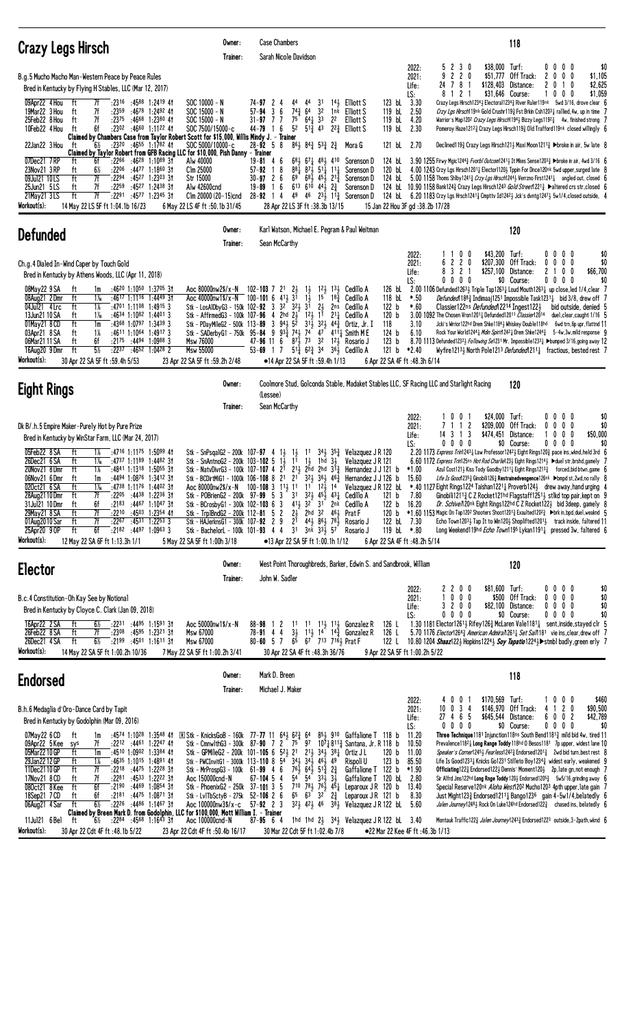| <b>Crazy Legs Hirsch</b>                                                                                                                                                                                                                                                                                                                                                                                                                                                                                                                                                                                                                                                                                                                                                                                         | Owner:<br>Trainer:                                                                                                                                                                                                                                          | <b>Case Chambers</b><br>Sarah Nicole Davidson                                                                                                                                                                                                                                                                                                                                                                       |                                                                                                                                                                                                                                                                                                    |                                                                                                                                                                                                                                                                                                                                                                                                          | 118                                                                                                                                                                                                                                                                                                                                                                                                                                                                                                                                                                                                                                                                                                                                                                                                                                                                                                                                                                                                                                                                                                                                                                                                                                                                                              |
|------------------------------------------------------------------------------------------------------------------------------------------------------------------------------------------------------------------------------------------------------------------------------------------------------------------------------------------------------------------------------------------------------------------------------------------------------------------------------------------------------------------------------------------------------------------------------------------------------------------------------------------------------------------------------------------------------------------------------------------------------------------------------------------------------------------|-------------------------------------------------------------------------------------------------------------------------------------------------------------------------------------------------------------------------------------------------------------|---------------------------------------------------------------------------------------------------------------------------------------------------------------------------------------------------------------------------------------------------------------------------------------------------------------------------------------------------------------------------------------------------------------------|----------------------------------------------------------------------------------------------------------------------------------------------------------------------------------------------------------------------------------------------------------------------------------------------------|----------------------------------------------------------------------------------------------------------------------------------------------------------------------------------------------------------------------------------------------------------------------------------------------------------------------------------------------------------------------------------------------------------|--------------------------------------------------------------------------------------------------------------------------------------------------------------------------------------------------------------------------------------------------------------------------------------------------------------------------------------------------------------------------------------------------------------------------------------------------------------------------------------------------------------------------------------------------------------------------------------------------------------------------------------------------------------------------------------------------------------------------------------------------------------------------------------------------------------------------------------------------------------------------------------------------------------------------------------------------------------------------------------------------------------------------------------------------------------------------------------------------------------------------------------------------------------------------------------------------------------------------------------------------------------------------------------------------|
| B.g.5 Mucho Macho Man-Western Peace by Peace Rules<br>Bred in Kentucky by Flying H Stables, LLC (Mar 12, 2017)<br>09Apr22 4 Hou<br>7f<br>:2316 :4588 1:2419 41<br>ft<br>7f<br>19Mar22 3 Hou<br>:2359<br>:4678 1:2492 41<br>ft<br>7f<br>25Feb22 8 Hou<br>ft<br>:2375<br>:4668 1:2380 41<br>6f<br>:2302 :4660 1:1122 41<br>10Feb22 4 Hou<br>ft<br>Claimed by Chambers Case from Taylor Robert Scott for \$15,000, Willis Mindy J. - Trainer                                                                                                                                                                                                                                                                                                                                                                        | $SOC 10000 - N$<br>$SOC 15000 - N$<br>$SOC 15000 - N$<br>SOC 7500/15000-c<br>SOC 5000/10000-c                                                                                                                                                               | $74 - 97$ 2<br>44<br>$74\frac{3}{7}$<br>3<br>57-94<br>6<br>$75$ <sup><math>-</math></sup><br>$31 - 97$ 7 7<br>5 <sup>2</sup><br>6<br>$44 - 79$ 1                                                                                                                                                                                                                                                                    | 31<br>44<br>32<br>64<br>$64\frac{1}{4}$ 33<br>22<br>$5^{13}$ 43                                                                                                                                                                                                                                    | 123 bL 3.30<br>$14\frac{1}{2}$ Elliott S<br>119 bL 2.50<br>1 <sup>nk</sup> Elliott S<br>119 bL 4.20<br>Elliott S<br>119 bL 2.30<br>$2^{2}\frac{3}{4}$ Elliott S                                                                                                                                                                                                                                          | 5 2 3 0<br>\$38,000 Turf:<br>$0\quad 0$<br>00<br>\$0<br>2022:<br>$\overline{2}$<br>$\mathbf{2}$<br>\$51,777<br>Off Track:<br>\$1,105<br>2021:<br>9<br>0<br>2<br>$0\quad 0$<br>0<br>78<br>\$128,403 Distance:<br>10<br>\$2,625<br>24<br>-1<br>2<br>0<br>Life:<br>\$1,059<br>2<br>\$31,646 Course:<br>0<br>LS:<br>0<br>8<br>0<br>Crazy Legs Hirsch12343 Electoral12343 River Ruler119nk 5wd 3/16, drove clear 6<br>Crzy Lgs Hirsch19nk Gold Crushr119 $\frac{3}{4}$ Fst Brkin Csh12031 rallied, 4w, up in time 7<br>Warrior's Map120 <sup>2</sup> Crazy Legs Hirsch1194 <sub>2</sub> Bizzy Legs1192 <sub>3</sub> 4w, finished strong 7<br>Pomeroy Haze12123 Crazy Legs Hirsch1193 Old Trafford119nk closed willingly 6                                                                                                                                                                                                                                                                                                                                                                                                                                                                                                                                                                             |
| 22Jan22 3 Hou<br>$:23^{20}$ $:46^{55}$ 1:1782 41<br>ft<br>$6\%$<br>Claimed by Taylor Robert from GFB Racing LLC for \$10,000, Pish Danny - Trainer<br>07Dec21 7RP<br>:2266<br>:46 <sup>28</sup> 1:10 <sup>89</sup> 31<br>6f<br>ft<br>23Nov21 3 RP<br>6½<br>:2206<br>:4477 1:1860 3†<br>ft<br>7f<br>09Jul21 10LS<br>ft<br>:2294<br>$:45^{27}$ 1:2303 31<br>7f<br>ft<br>:2259<br>:4527 1:2438 31<br>25Jun21 5LS<br>21May 21 3 LS<br>ft<br>7f<br>:2291<br>:4577 1:2345 31<br>Workout(s):<br>14 May 22 LS 5F ft 1:04.1b 16/23                                                                                                                                                                                                                                                                                        | Alw 40000<br>Clm 25000<br>Str 15000<br>Alw 42600cnd<br>Clm 20000 (20-15)cnd<br>6 May 22 LS 4F ft :50.1b 31/45                                                                                                                                               | $28 - 92$ 5 8<br>$19 - 81$ 4 6<br>18<br>57-92<br>$30 - 97$ 2 6<br>69<br>$19 - 89$ 1 6<br>49<br>$28 - 92$ 14<br>28 Apr 22 LS 3F ft : 38.3b 13/15                                                                                                                                                                                                                                                                     | 861 843 533 23<br>$68\frac{1}{2}$ $67\frac{1}{4}$ $48\frac{1}{2}$ $410$<br>$88\frac{1}{4}$ $87\frac{1}{2}$ $51\frac{1}{4}$ $11\frac{1}{4}$<br>$68\frac{1}{2}$ $45\frac{1}{2}$ $21\frac{3}{4}$<br>$6^{13}$ $6^{10}$ $4^{4}$ $2^{3}$<br>46 $23\frac{1}{2}$ 11 <sup>3</sup> / <sub>4</sub> Sorenson D | 121 bL 2.70<br>Mora G<br>Sorenson D<br>124 bL<br>Sorenson D<br>Sorenson D<br>Sorenson D<br>15 Jan 22 Hou 3F gd: 38.2b 17/28                                                                                                                                                                                                                                                                              | Declined 119 <sup>3</sup> Crazy Legs Hirsch 121 <sup>3</sup> Maxi Moon 121 <sup>1</sup> $\frac{3}{4}$ Doroke in air, 5w late 8<br>3.90 1255 Firwy Mgic12443 Fvorb1 Outcom12413 It Mkes Sense12033 >broke in air, 4wd 3/16 6<br>120 bl 4.00 1243 Crzy Lgs Hirsch12011 Elector11203 Tppin For Dnce120nk 5wd upper, surged late 8<br>124 bl 5.00 1158 Thoms Shlby 1241 <sup>3</sup> Crzy Lgs Hirsch12443 Verrzno First12411 angled out, closed 6<br>124 bL 10.90 1158 Bank124 <sub>4</sub> Crazy Legs Hirsch124 <sup>3</sup> Gold Street1221 <sub>4</sub> Daltered crs str, closed 6<br>124 bL 6.20 1183 Crzy Lgs Hrsch1241 $\frac{3}{4}$ Cmpttv Id1242 $\frac{1}{2}$ Jck's dvntg1247 $\frac{1}{2}$ 5w1/4, closed outside, 4                                                                                                                                                                                                                                                                                                                                                                                                                                                                                                                                                                        |
| <b>Defunded</b>                                                                                                                                                                                                                                                                                                                                                                                                                                                                                                                                                                                                                                                                                                                                                                                                  | Owner:<br>Trainer:                                                                                                                                                                                                                                          | Karl Watson, Michael E. Pegram & Paul Weitman<br>Sean McCarthy                                                                                                                                                                                                                                                                                                                                                      |                                                                                                                                                                                                                                                                                                    |                                                                                                                                                                                                                                                                                                                                                                                                          | 120                                                                                                                                                                                                                                                                                                                                                                                                                                                                                                                                                                                                                                                                                                                                                                                                                                                                                                                                                                                                                                                                                                                                                                                                                                                                                              |
| Ch.g.4 Dialed In-Wind Caper by Touch Gold<br>Bred in Kentucky by Athens Woods, LLC (Apr 11, 2018)<br>:4620 1:1050 1:3705 31<br>08May22 9 SA<br>ft<br>1m<br>08Aug21 2Dmr<br>ft<br>1‰<br>:4617 1:1116 1:4449 3†<br>04Jul21 4 Lrc<br>ft<br>1%<br>$:4701$ 1:1108 1:4915 3<br>ft<br>$1\%$<br>$:4634$ 1:1082 1:4401 3<br>13Jun21 10 SA<br>01May21 8 CD<br>ft<br>$:4368$ 1:0797 1:3439 3<br>1m<br>$1\%$<br>:4611 1:1064 1:4917 3<br>03Apr21 8 SA<br>ft<br>ft<br>6f<br>:2175 :4494 1:0988 3<br>06Mar2111SA<br>$5\%$<br>ft<br>:2237<br>$:4652$ 1:0428 2<br>16Aug20 9Dmr<br>Workout(s):<br>30 Apr 22 SA 5F ft : 59.4h 5/53                                                                                                                                                                                                 | Aoc 80000nw2\$/x-N<br>Aoc 40000nw1\$/x-N 100-101 6 413 31<br>Msw 76000<br>Msw 55000<br>23 Apr 22 SA 5F ft :59.2h 2/48                                                                                                                                       | $102 - 103$ 7 $21$ $23$<br>Stk - LosAlDbyG3 - 150k 102-92 3 3 <sup>2</sup> 32 <sup>1</sup> 3 <sup>1</sup><br>Stk - AffirmedG3 - 100k 107-96 4 2hd $2\frac{1}{2}$<br>Stk - PDayMileG2 - 500k 113-89 3 94 $\frac{1}{2}$ 5 <sup>2</sup><br>Stk - SADerbyG1 - 750k 95-84 9 93 $\frac{5}{4}$ 74 $\frac{1}{2}$<br>$8^{7\frac{1}{3}}$<br>$47 - 96$ 11 6<br>$53 - 69$ 1 7<br>•14 Apr 22 SA 5F ft :59.4h 1/13                | $12\frac{1}{2}$ $13\frac{1}{2}$<br>$1\frac{1}{2}$<br>$1\frac{1}{2}$<br>15<br>$18\frac{3}{4}$<br>$2\frac{1}{2}$<br>2ns<br>12, 11<br>$2^{11}$<br>$31\frac{1}{2}$ $32\frac{1}{2}$ $44\frac{3}{4}$<br>74<br>73<br>32<br>$5^{1\overline{3}}$ 6 <sup>2</sup> / <sub>4</sub> 3 <sup>4</sup>               | Cedillo A<br>126 bL<br>118 bL<br>Cedillo A<br>122 b<br>Cedillo A<br>120 <sub>b</sub><br>Cedillo A<br>118<br>Ortiz, Jr. I<br>124 b<br>$47 - 411\frac{1}{4}$ Smith M E<br>123 <sub>b</sub><br>1 <sup>2</sup> <sup>3</sup> Rosario J<br>121 b<br>3 <sup>61</sup> , Cedillo A<br>6 Apr 22 SA 4F ft: 48.3h 6/14                                                                                               | \$43,200 Turf:<br>0<br>$0\quad 0$<br>$0\quad 0$<br>\$0<br>2022:<br>0<br>220<br>\$207,300 Off Track:<br>$0\quad0$<br>\$0<br>2021:<br>0<br>0<br>6<br>$\overline{c}$<br>2<br>3<br>\$257,100 Distance:<br>0 <sub>0</sub><br>\$66,700<br>Life:<br>$0\quad 0\quad 0$<br>\$0 Course:<br>$0\ 0\ 0\ 0$<br>LS:<br>\$0<br>0<br>2.00 1106 Defunded1263 $\frac{1}{2}$ Triple Tap1263 $\frac{1}{4}$ Loud Mouth1263 $\frac{1}{4}$ up close, led 1/4, clear 7<br>$*.50$<br><i>Defunded</i> $188\frac{3}{4}$ Indimaaj1251 Impossible Task1231 $\frac{1}{4}$ bid 3/8, drew off 7<br>$*.60$<br>Classier122ns Defunded 2214 Ingest1223<br>bid outside, denied 5<br>3.00 1092 The Chosen Vron12011 Defunded12011 Classier12014<br>duel, clear, caught 1/16 5<br>3.10<br>Jcki's Wrrior122hd Drem Shke11843 Whiskey Double118hd<br>6wd trn, 6p upr, flattnd 11<br>6.10<br>Rock Your World1244 3 Mdin Spirit1242 3 Drem Shke1244 3 5-4w, 3w, mild response 9<br>8.70 1113 Defunded12323 Following Se1231 Mr. Impossible12331 >bumped 3/16, going away 12<br>*2.40<br>Wyfire12134 North Pole1213 Defunded1211 $\frac{1}{4}$ fractious, bested rest 7                                                                                                                                                                      |
| <b>Eight Rings</b>                                                                                                                                                                                                                                                                                                                                                                                                                                                                                                                                                                                                                                                                                                                                                                                               | Owner:                                                                                                                                                                                                                                                      |                                                                                                                                                                                                                                                                                                                                                                                                                     |                                                                                                                                                                                                                                                                                                    |                                                                                                                                                                                                                                                                                                                                                                                                          | Coolmore Stud, Golconda Stable, Madaket Stables LLC, SF Racing LLC and Starlight Racing<br>120                                                                                                                                                                                                                                                                                                                                                                                                                                                                                                                                                                                                                                                                                                                                                                                                                                                                                                                                                                                                                                                                                                                                                                                                   |
|                                                                                                                                                                                                                                                                                                                                                                                                                                                                                                                                                                                                                                                                                                                                                                                                                  | Trainer:                                                                                                                                                                                                                                                    | (Lessee)<br>Sean McCarthy                                                                                                                                                                                                                                                                                                                                                                                           |                                                                                                                                                                                                                                                                                                    |                                                                                                                                                                                                                                                                                                                                                                                                          |                                                                                                                                                                                                                                                                                                                                                                                                                                                                                                                                                                                                                                                                                                                                                                                                                                                                                                                                                                                                                                                                                                                                                                                                                                                                                                  |
| Dk B/.h.5 Empire Maker-Purely Hot by Pure Prize<br>Bred in Kentucky by WinStar Farm, LLC (Mar 24, 2017)<br>05Feb22 8 SA<br>ft<br>$:4716$ 1:1175 1:5099 41<br>1%<br>26Dec21 6 SA<br>ft<br>$:4737$ 1:1189 1:4482 31<br>$1\%$<br>20Nov21 8Dmr<br>ft<br>1%<br>$:4841$ 1:1318 1:5055 31<br>06Nov21 6Dmr<br>ft<br>:4494 1:0876 1:3412 31<br>1m<br>ft<br>$1\%$<br>:4738 1:1176 1:4402 31<br>020ct21 6 SA<br>28Aug2110Dmr<br>:4438 1:2236 31<br>ft<br>7f<br>:2205<br>31Jul21 10 Dmr<br>ft<br>6f<br>:2183<br>:44 <sup>67</sup> 1:10 <sup>47</sup> 3†<br>29May21 8 SA<br>ft<br>:2210 :4503 1:2354 41<br>7f<br>$:22^{67}$ $:45^{31}$ 1:2253 3<br>01Aug2010 Sar<br>ft<br>7f<br>ft<br>6f<br>25Apr20 9 OP<br>$:2182$ $:4497$ $1:0963$ 3<br>Workout(s):<br>12 May 22 SA 6F ft 1:13.3h 1/1                                       | Stk - SnPsqalG2 - 200k 107-97 4 1}<br>Stk - SnAntnoG2 - 200k 103-102 5<br>Stk - POBrienG2 - 200k 97-99 5 3<br>Stk - BCrosbyG1 - 300k 102-103 6 3<br>Stk - Trp1BndG2 - 200k 112-81 5 2<br>Stk - HAJerknsG1 - 300k 107-92 2 9<br>5 May 22 SA 5F ft 1:00h 3/18 | $1\frac{1}{2}$<br>$1\overline{1}$<br>11<br>Stk - NatvDivrG3 - 100k 107-107 4 2 <sup>1</sup> 2 <sup>1</sup> 2 <sup>1</sup> 2hd 2hd 3 <sup>1</sup> <sup>3</sup><br>Aoc 80000nw2\$/x-N 100-108 3 1 <sup>11</sup> / <sub>2</sub> 1 <sup>1</sup> 1 <sup>1</sup> 1 <sup>2</sup> / <sub>2</sub> 1 <sup>4</sup><br>$2^{1}$<br>Stk - BachelorL - 100k 101-93 4 4 31 3nk 331 57 Rosario J<br>•13 Apr 22 SA 5F ft 1:00.1h 1/12 | $34\frac{1}{2}$ $35\frac{3}{4}$<br>1 <sup>1</sup><br>$1\frac{1}{2}$<br>1hd 34<br>31 323 453 431 Cedillo A<br>413 32 31 2nk Cedillo A<br>$2\frac{1}{2}$ 2hd 3 <sup>2</sup> 4 <sup>6</sup> <sup>1</sup> / <sub>2</sub> Prat F<br>443 863 783 Rosario J                                               | LS:<br>Velazquez J R 120<br>Velazquez J R 121<br>Hernandez J J 121 b<br>Stk - BCDirtMiG1 - 1000k 106-108 8 21 21 323 363 46 $\frac{3}{4}$ Hernandez J J 126 b<br>Velazquez J R 122 bL<br>121 <sub>b</sub><br>122 b<br>120 <sub>b</sub><br>122 bL 7.30<br>119 bL *.80<br>6 Apr 22 SA 4F ft : 48.2h 5/14                                                                                                   | 0<br>\$24,000 Turf:<br>0<br>$0\quad 0$<br>$0\quad 0$<br>\$0<br>2022:<br>-1<br>1 1 2<br>\$209,000 Off Track:<br>$0\quad0$<br>\$0<br>0<br>0<br>2021:<br>3<br>3 1<br>\$474,451 Distance:<br>0<br>$0\quad0$<br>\$50,000<br>14<br>Life:<br>$0\quad 0$<br>$0\quad 0$<br>\$0 Course:<br>$0\quad 0$<br>\$0<br>00<br>2.20 1173 Express Trin12431 Law Professor12421 Eight Rings1203 pace ins, wknd, held 3rd 6<br>6.60 1172 Express Trin125ns Hot Rod Charlie123} Eight Rings1214} > duel str, brshd, gamely 7<br>$*1.00$<br>Azul Cost121} Kiss Tody Goodby1211} Eight Rings12133 forced, bid btwn, game 6<br>15.60<br>Life Is Good 2353 Ginobili1263 Restrainedvengence126nk >bmpd st, 2wd, no rally 8<br>*.40 1127 Eight Rings1224 Taishan12211 Proverb1241 drew away, hand urging 4<br>7.80<br>Ginobili12113 C Z Rocket121hd Flagstaff12513 stlkd top pair, kept on 9<br>16.20<br>Dr. Schive/120nk Eight Rings122hd C Z Rocket1223 bid 3deep, gamely 8<br>*1.60 1153 Magic On Tap120 <sup>2</sup> Shooters Shoot1201 $\frac{3}{4}$ Exaulted120 <sup>2</sup> $\frac{3}{4}$ ►brk in, bpd, duel, weaknd 5<br>Echo Town12033 Tap It to Win1203 Shoplifted12013 track inside, faltered 11<br>Long Weekend119hd <i>Echo Town</i> 1195 Lykan1191 <sub>4</sub> pressed 3w, faltered 6                          |
| <b>Elector</b>                                                                                                                                                                                                                                                                                                                                                                                                                                                                                                                                                                                                                                                                                                                                                                                                   | Owner:<br>Trainer:                                                                                                                                                                                                                                          | John W. Sadler                                                                                                                                                                                                                                                                                                                                                                                                      |                                                                                                                                                                                                                                                                                                    | West Point Thoroughbreds, Barker, Edwin S. and Sandbrook, William                                                                                                                                                                                                                                                                                                                                        | 120                                                                                                                                                                                                                                                                                                                                                                                                                                                                                                                                                                                                                                                                                                                                                                                                                                                                                                                                                                                                                                                                                                                                                                                                                                                                                              |
| B.c.4 Constitution-Oh Kay See by Notional<br>Bred in Kentucky by Cloyce C. Clark (Jan 09, 2018)<br>16Apr22 2 SA<br>ft<br>6½<br>:2231 :4495 1:1591 31<br>26Feb22 8 SA<br>:4595 1:2321 31<br>ft<br>7f<br>:2308<br>26Dec21 4 SA<br>ft<br>$6\frac{1}{2}$<br>$\overline{.}$ :2199 :4501 1:1611 31<br>Workout(s):<br>14 May 22 SA 5F ft 1:00.2h 10/36                                                                                                                                                                                                                                                                                                                                                                                                                                                                  | Aoc 50000nw1\$/x-N<br>Msw 67000<br>Msw 67000<br>7 May 22 SA 5F ft 1:00.2h 3/41                                                                                                                                                                              | 88-98 1 2 11 11 $11\frac{11}{2}$ 11 $1\frac{1}{2}$ Gonzalez R<br>78-91 4 4 31 111 14 14 Gonzal<br>80-60 5 7 6 67 713 716 Frat F<br>30 Apr 22 SA 4F ft: 48.3h 36/76                                                                                                                                                                                                                                                  | $11\frac{1}{2}$ $14\frac{1}{4}$ Gonzalez R                                                                                                                                                                                                                                                         | 126 L<br>126 L<br>122 L<br>9 Apr 22 SA 5F ft 1:00.2h 5/22                                                                                                                                                                                                                                                                                                                                                | 2200<br>\$81,600 Turf:<br>$0\ 0\ 0\ 0$<br>\$0<br>2022:<br>1 0 0 0<br>\$500 Off Track:<br>$0\ 0\ 0\ 0$<br>\$0<br>2021:<br>\$82,100 Distance:<br>$0\ 0\ 0\ 0$<br>\$0<br>3200<br>Life:<br>\$0<br>$0\,0\,0\,0$<br>\$0 Course:<br>$0\ 0\ 0\ 0$<br>LS:<br>1.30 1181 Elector1261 $\frac{1}{2}$ Rifey126 $\frac{3}{2}$ McLaren Vale1181 $\frac{1}{4}$ sent, inside, stayed clr 5<br>5.70 1176 Elector12643 American Admira/12611 Set Sai/1181 vie ins, clear, drew off 7<br>10.80 1204 Shaaz1223 Hopkins12243 Soy Tapatio12243 Stmbl badly, green erly 7                                                                                                                                                                                                                                                                                                                                                                                                                                                                                                                                                                                                                                                                                                                                                 |
| <b>Endorsed</b>                                                                                                                                                                                                                                                                                                                                                                                                                                                                                                                                                                                                                                                                                                                                                                                                  | Owner:<br>Trainer:                                                                                                                                                                                                                                          | Mark D. Breen<br>Michael J. Maker                                                                                                                                                                                                                                                                                                                                                                                   |                                                                                                                                                                                                                                                                                                    |                                                                                                                                                                                                                                                                                                                                                                                                          | 118                                                                                                                                                                                                                                                                                                                                                                                                                                                                                                                                                                                                                                                                                                                                                                                                                                                                                                                                                                                                                                                                                                                                                                                                                                                                                              |
| B.h.6 Medaglia d'Oro-Dance Card by Tapit<br>Bred in Kentucky by Godolphin (Mar 09, 2016)<br>:4574 1:1028 1:3548 41<br>07May22 6 CD<br>ft<br>1m<br>7f<br>$:22^{12}$ $:44^{61}$ 1:2247 41<br>09Apr22 5 Kee sys<br>05Mar22 10 GP<br>$:4510$ 1:0902 1:3384 41<br>ft<br>1m<br>29Jan22 12 GP<br>$:4635$ 1:1015 1:4891 41<br>ft<br>1%<br>11Dec2110GP<br>ft<br>7f<br>$:22^{18}$ $:44^{75}$ 1:2228 31<br>17Nov21 8 CD<br>7f<br>:2281<br>:4533 1:2222 31<br>ft<br>080ct21 8Kee<br>ft<br>6f<br>$:2190$ $:4469$ $1:0854$ 31<br>6f<br>:2181 :4475 1:0871 31<br>ft<br>18Sep21 7 CD<br>$6\%$<br>ft<br>:2226 :4486 1:1467 31<br>06Aug21 4 Sar<br>Claimed by Breen Mark D. from Godolphin, LLC for \$100,000, Mott William I. - Trainer<br>11Jul21 6 Bel<br>.22 <sup>84</sup> .45 <sup>68</sup> 1:16 <sup>43</sup> 31<br>ft<br>6½ | Stk - PWCInvitG1 - 3000k 113-110 8 54<br>Stk - MrProspG3 - 100k 61-99 4 6<br>Aoc 150000cnd-N<br>Stk - PhoenixG2 - 250k 37-101 3 5<br>Stk - Lv1TbSctyB - 275k<br>Aoc 100000nw3\$/x-c<br>Aoc 100000cnd-N                                                      | <b>EXAMPLE Stk - KnicksGoB - 160k</b> 77-77 11 64 $\frac{1}{2}$ 6 <sup>2</sup> $\frac{3}{4}$ 64<br>Stk - Cmnw1thG3 - 300k 87-90 7 2 75 97<br>Stk - GPMileG2 - 200k 101-105 6 $5^{2}\frac{1}{2}$ 2 <sup>1</sup> 2 <sup>1</sup> 3 <sup>4</sup> $\frac{1}{2}$ 3 <sup>8</sup> $\frac{1}{4}$<br>$67 - 104$ 5 4<br>$52 - 106$ 2 6<br>$57 - 92$ 2 3<br>$87 - 95$ 6 4                                                       | $34\frac{1}{2}$ $34\frac{1}{2}$ $46\frac{1}{2}$ $49$<br>$76\frac{1}{2}$ $64\frac{1}{2}$ $51\frac{5}{4}$ $2\frac{3}{4}$<br>54 54 33 $\frac{1}{2}$ $3\frac{1}{2}$<br>$7^{10}$ $7^{81}_{2}$ $7^{61}_{2}$ $4^{51}_{4}$<br>$65$ $63$ $32$ $2\frac{3}{4}$                                                | $85\frac{1}{2}$ 910 Gaffalione T 118 b<br>107, 811, Santana, Jr. R 118 b<br>120 <sub>b</sub><br>Ortiz J L<br>123 <sub>b</sub><br>Rispoli U<br>Gaffalione T 122 b<br>Gaffalione T 120 bL 2.80<br>Leparoux J R 120 b<br>Leparoux JR 121 b<br>$3^{21}_{2}$ 4 <sup>2</sup> / <sub>2</sub> 4 <sup>6</sup> 3 <sup>8</sup> / <sub>2</sub> Velazquez J R 122 bl 5.60<br>1hd 1hd 2} 34} Velazquez J R 122 bl 3.40 | \$170,569 Turf:<br>0<br>0<br>10<br>$0\quad 0$<br>\$460<br>2022:<br>$10 \t0 \t3 \t4$<br>2 <sub>0</sub><br>\$146,970 Off Track:<br>\$90,500<br>2021:<br>41<br>27 4 6 5<br>\$645,544 Distance:<br>6002<br>\$42,789<br>Life:<br>$0\ 0\ 0\ 0$<br>\$0<br>LS:<br>$0\,0\,0\,0$<br>\$0 Course:<br>11.20<br>Three Technique 1181 Injunction 118ns South Bend 11813 mild bid 4w, tired 11<br>10.50<br>Prevalence11821 Long Range Toddy 118hd 0 Besos1181 7p upper, widest lane 10<br>11.00<br>Speaker's Corner12453 Fearless12423 Endorsed12013 2wd bid turn, best rest 8<br>85.50<br>Life Is Good12331 Knicks Go1231 Stilleto Boy12343 widest early, weakened 9<br>$*1.90$<br><b>Officiating</b> 122 $\frac{3}{4}$ Endorsed122 $\frac{1}{2}$ Dennis' Moment120 $\frac{1}{2}$ 2p, late gn, not enough 7<br>Sir Alfrd Jms122hd Long Rnge Toddy 120 $\frac{1}{2}$ Endorsed1205 $\frac{3}{4}$ 5w5/16, grinding away 6<br>13.40<br>Special Reserve120nk Aloha West120 <sup>2</sup> Mucho120 <sup>3</sup> 4pth upper, late gain 7<br>8.30<br>Just Might123 $\frac{3}{4}$ Endorsed1211 $\frac{1}{4}$ Bango123 <sup>6</sup> gain 4-5w1/4, belatedly 6<br>Jalen Journey12481 Rock On Luke124hd Endorsed1223 chased ins, belatedly 6<br>Montauk Traffic1223 Jalen Journey12433 Endorsed1223 outside, 3-2path, wknd 6 |
| Workout(s):<br>30 Apr 22 Cdt 4F ft : 48.1b 5/22                                                                                                                                                                                                                                                                                                                                                                                                                                                                                                                                                                                                                                                                                                                                                                  | 23 Apr 22 Cdt 4F ft :50.4b 16/17                                                                                                                                                                                                                            | 30 Mar 22 Cdt 5F ft 1:02.4b 7/8                                                                                                                                                                                                                                                                                                                                                                                     |                                                                                                                                                                                                                                                                                                    | •22 Mar 22 Kee 4F ft: 46.3b 1/13                                                                                                                                                                                                                                                                                                                                                                         |                                                                                                                                                                                                                                                                                                                                                                                                                                                                                                                                                                                                                                                                                                                                                                                                                                                                                                                                                                                                                                                                                                                                                                                                                                                                                                  |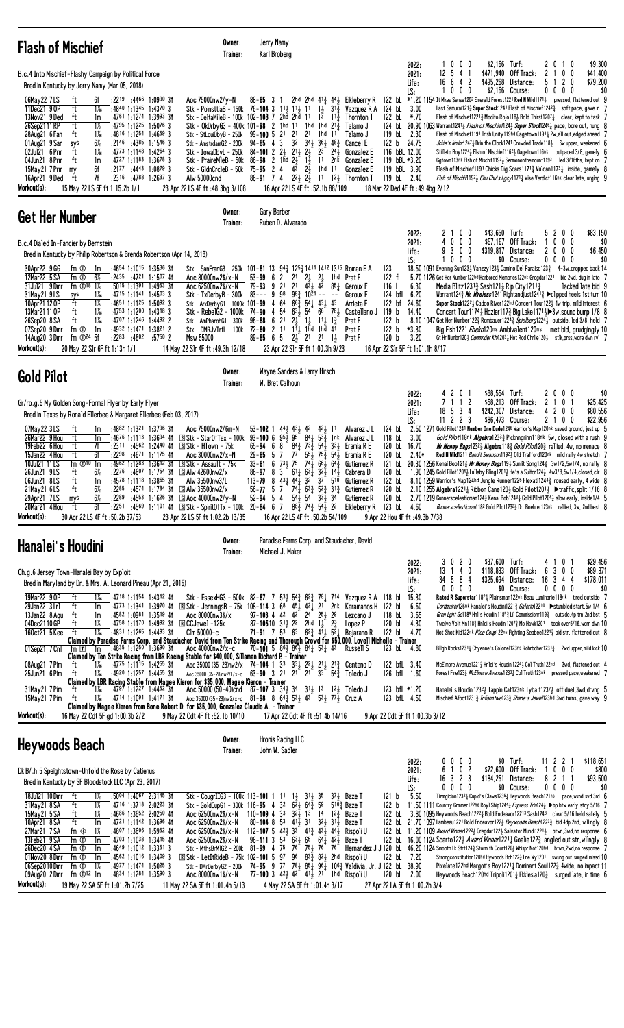| <b>Flash of Mischief</b>                                                                                                                                                                                                                                                                                                                                                                                                                                                                                                                                                                                                                            | Owner:<br>Trainer:                                                                                                                                                                                                                                                                                                                                                                                                                  | Jerry Namy<br>Karl Broberg<br>\$2,166<br>\$9,300<br>0 <sub>0</sub><br>$\mathbf{0}$<br>2022:<br>0<br>Turf:<br>$\mathbf{2}$<br>-1                                                                                                                                                                                                                                                                                                                                                                                                                                                                                                                                                                                                                                                                                                                                                                                                                                                                                                                                                                                                                                                                                                                                                                                                                                                                                                                                                                                                                                                                                                                                                                                                                                                                                                                                                                                                                                                                                                                                                                                                                                                                                                                                                                                                                                                                                                                                                                                                                                              |
|-----------------------------------------------------------------------------------------------------------------------------------------------------------------------------------------------------------------------------------------------------------------------------------------------------------------------------------------------------------------------------------------------------------------------------------------------------------------------------------------------------------------------------------------------------------------------------------------------------------------------------------------------------|-------------------------------------------------------------------------------------------------------------------------------------------------------------------------------------------------------------------------------------------------------------------------------------------------------------------------------------------------------------------------------------------------------------------------------------|------------------------------------------------------------------------------------------------------------------------------------------------------------------------------------------------------------------------------------------------------------------------------------------------------------------------------------------------------------------------------------------------------------------------------------------------------------------------------------------------------------------------------------------------------------------------------------------------------------------------------------------------------------------------------------------------------------------------------------------------------------------------------------------------------------------------------------------------------------------------------------------------------------------------------------------------------------------------------------------------------------------------------------------------------------------------------------------------------------------------------------------------------------------------------------------------------------------------------------------------------------------------------------------------------------------------------------------------------------------------------------------------------------------------------------------------------------------------------------------------------------------------------------------------------------------------------------------------------------------------------------------------------------------------------------------------------------------------------------------------------------------------------------------------------------------------------------------------------------------------------------------------------------------------------------------------------------------------------------------------------------------------------------------------------------------------------------------------------------------------------------------------------------------------------------------------------------------------------------------------------------------------------------------------------------------------------------------------------------------------------------------------------------------------------------------------------------------------------------------------------------------------------------------------------------------------------|
| B.c.4 Into Mischief-Flashy Campaign by Political Force<br>Bred in Kentucky by Jerry Namy (Mar 05, 2018)                                                                                                                                                                                                                                                                                                                                                                                                                                                                                                                                             |                                                                                                                                                                                                                                                                                                                                                                                                                                     | 2021:<br>12<br>5<br>$\overline{4}$<br>\$471.940<br>Off Track:<br>$\overline{c}$<br>0<br>0<br>\$41,400<br>$\overline{1}$<br>$\overline{\mathbf{c}}$<br>6<br>\$495.268<br>5<br>$\overline{c}$<br>$\mathbf{0}$<br>\$79,200<br>Life:<br>16<br>4<br>Distance:<br>-1<br>0<br>$0\quad 0$<br>\$2,166 Course:<br>0<br>0<br>\$0<br>LS:<br>0<br>0                                                                                                                                                                                                                                                                                                                                                                                                                                                                                                                                                                                                                                                                                                                                                                                                                                                                                                                                                                                                                                                                                                                                                                                                                                                                                                                                                                                                                                                                                                                                                                                                                                                                                                                                                                                                                                                                                                                                                                                                                                                                                                                                                                                                                                       |
| :2219 :4466 1:0990 31<br>06May22 7LS<br>ft<br>6f<br>11Dec21 90P<br>$1\%$<br>$:4840$ 1:1345 1:4370 3<br>ft<br>13Nov21 9 Ded<br>:4761 1:1274 1:3993 31<br>ft<br>1m<br>$:4795$ 1:12 <sup>25</sup> 1:5076 3<br>26Sep2111RP<br>ft<br>1%<br>28Aug21 6 Fan<br>$1\%$<br>:4816 1:1254 1:4659 3<br>ft<br>01Aug21 9 Sar<br>$6\%$<br>$:2146$ $:4385$ 1:1546 3<br>sys<br>ft<br>$1\%$<br>:4773 1:1148 1:4264 3<br>02Jul21 6 Prm<br>$:4727$ 1:1183 1:3678 3<br>04Jun21 8Prm<br>ft<br>1m<br>6f<br>$:2177$ $:4443$ $1:08793$<br>15May21 7 Prm<br>my<br>7f<br>$: 23^{16}$ $: 47^{88}$ 1:2637 3<br>16Apr21 9Ded<br>ft<br>Workout(s):<br>15 May 22 LS 6F ft 1:15.2b 1/1 | Aoc 75000nw2/y-N<br>Stk - PoinsttiaB - 150k 76-104 3 11 $\frac{1}{2}$ 11 $\frac{1}{2}$<br>Stk - DeltaMileB - 100k<br>Stk - OkDrbyG3 - 400k 101-98 2<br>Stk - StLouiDbyB - 250k<br>Stk - AmstrdamG2 - 200k<br>Stk - IowaDbyL - 250k<br>Stk - PraireMleB - 50k<br>Stk - GildnCrcleB - 50k<br>Alw 50000cnd<br>23 Apr 22 LS 4F ft: 48.3bg 3/108                                                                                         | 122 bl *1.20 1154 It Mkes Sense1202 Emerald Forest1221 Red N Wild11713<br>2hd 2hd $41\frac{3}{4}$ $44\frac{1}{5}$<br>Eikleberry R<br>pressed, flattened out 9<br>88-85<br>-3<br>$1\frac{1}{2}$<br>$31\frac{3}{7}$<br>124 bL<br>3.00<br>Last Samurai121 $\frac{3}{4}$ Super Stock1241 Flash of Mischief1242 $\frac{3}{4}$ soft pace, gave in 7<br>11<br>Vazquez R A<br>102-108 7 2hd 2hd<br>13<br>122 bL<br>$*70$<br>Flash of Mischief1221 $\frac{3}{4}$ Mocito Rojo118 $\frac{1}{2}$ Bold Thirst1207 $\frac{1}{4}$ clear, kept to task 7<br>11<br>113<br>Thornton T<br>1hd 11<br>1hd<br>1hd<br>$21\frac{3}{7}$<br>124 bL<br>20.90 1063 Warrant12413 Flash of Mischief1243 Super Stock12461 pace, bore out, hung 8<br>Talamo J<br>2 <sup>1</sup><br>21<br>21<br>1hd<br>119 bL 2.30<br>Flash of Mischief1191 Irish Unity119hd Gagetown11911 2w, all out, edged ahead 7<br>$99 - 1005$<br>11<br>Talamo J<br>3 <sup>2</sup><br>3<br>122 b<br>24.75<br>$94 - 85$<br>$\overline{4}$<br>34 <sub>3</sub><br>361<br>$48\frac{3}{7}$<br>Jckie's Wrrior12471 Drin the Clock1241 Crowded Trade1181 6w upper, weakened 6<br>Cancel E<br>$84 - 101$ 2 $2\frac{1}{2}$<br>$2^{11}$ $2^{1}$<br>$2^{3}$<br>$24\frac{1}{2}$<br>116 bBL 12.00<br>Gonzalez E<br>Stilleto Boy1224 Fish of Mischief1162 Gagetown116nk outpaced 3/8, gamely 6<br>1hd $2\frac{1}{2}$<br>$86 - 98$<br>$\overline{c}$<br>$1\frac{1}{2}$<br>11<br>119 bBL *3.20<br>Ggtown113nk Flsh of Mischif11931 Sermononthemount1193 led 3/16ths, kept on 7<br>2nk<br>Gonzalez E<br>$\overline{c}$<br>1hd<br>119 bBL 3.90<br>75-95<br>4<br>43<br>2}<br>11<br>Flash of Mischief1191 Chicks Dig Scars11713 Vulcan11731 inside, gamely 8<br>Gonzalez E<br>$2^2$ , $2^1$<br>$11 \t12\frac{1}{2}$ Thornton T<br>119 bL 2.40<br>$86 - 91$ 7 4<br>Fish of Mischift 1923 Chu Chu's Lgcy11711 Wise Verdict116nk clear late, urging 9<br>16 Apr 22 LS 4F ft :52.1b 88/109<br>18 Mar 22 Ded 4F ft : 49.4bg 2/12                                                                                                                                                                                                                                                                                                                                                                                                                                                                                                                                                                                                                                 |
| <b>Get Her Number</b>                                                                                                                                                                                                                                                                                                                                                                                                                                                                                                                                                                                                                               | Owner:<br>Trainer:                                                                                                                                                                                                                                                                                                                                                                                                                  | Gary Barber<br>Ruben D. Alvarado                                                                                                                                                                                                                                                                                                                                                                                                                                                                                                                                                                                                                                                                                                                                                                                                                                                                                                                                                                                                                                                                                                                                                                                                                                                                                                                                                                                                                                                                                                                                                                                                                                                                                                                                                                                                                                                                                                                                                                                                                                                                                                                                                                                                                                                                                                                                                                                                                                                                                                                                             |
| B.c.4 Dialed In-Fancier by Bernstein<br>Bred in Kentucky by Philip Robertson & Brenda Robertson (Apr 14, 2018)                                                                                                                                                                                                                                                                                                                                                                                                                                                                                                                                      |                                                                                                                                                                                                                                                                                                                                                                                                                                     | \$43,650<br>\$83,150<br>2022:<br>0<br>0<br>Turf:<br>$\overline{c}$<br>0<br>2<br>5<br>Off Track:<br>0<br>$0\quad 0$<br>\$57.167<br>$\mathbf{0}$<br>0<br>0<br>2021:<br>4<br>1<br>\$0<br>300<br>\$319,817 Distance:<br>2000<br>\$6,450<br>9<br>Life:<br>\$0<br>0<br>$0\quad 0$<br>\$0 Course:<br>$\mathbf{0}$<br>$0\quad 0\quad 0$<br>LS:<br>1                                                                                                                                                                                                                                                                                                                                                                                                                                                                                                                                                                                                                                                                                                                                                                                                                                                                                                                                                                                                                                                                                                                                                                                                                                                                                                                                                                                                                                                                                                                                                                                                                                                                                                                                                                                                                                                                                                                                                                                                                                                                                                                                                                                                                                  |
| 30Apr22 9 GG<br>fm <sup>①</sup><br>:4654 1:1015 1:3536 31<br>1m<br>12Mar22 5 SA<br>fm <sup>1</sup><br>$6\%$<br>$:2435$ $:4721$ 1:1507 41<br>fm $\Phi$ <sup>18</sup> 1%<br>:5015 1:1391 1:4953 31<br>31Jul21 9Dmr<br>$1\%$<br>31May 21 9LS<br>$:47^{15}$ 1:1141 1:4503 3<br>sys<br>ft<br>$1\%$<br>$:4651$ 1:1125 1:5092 3<br>10Apr21 12 OP<br>13Mar21110P<br>ft<br>$1\%$<br>$:4753$ 1:1200 1:4318 3<br>$1\%$<br>$:4707$ 1:1246 1:4492 2<br>26Sep20 8 SA<br>ft<br>07Sep20 9Dmr<br>$:4932$ 1:1471 1:3821 2<br>fm ①<br>1m<br>$:22^{83}$ $:46^{02}$<br>14Aug20 3 Dmr<br>fm $\mathbb{D}^{24}$ 5f<br>Workout(s):<br>20 May 22 Slr 6F ft 1:13h 1/1          | Stk - SanFranG3 - 250k 101-81 13<br>Aoc 80000nw2\$/x-N<br>Aoc 62500nw2\$/x-N<br>Stk - TxDerbyB - 300k<br>Stk - ArkDerbyG1 - 1000k 101-99<br>Stk - RebelG2 - 1000k<br>Stk - AmPharohG1 - 300k<br>Stk - DMRJvTrfL - 100k<br>$:5750$ 2<br>Msw 55000<br>14 May 22 Slr 4F ft :49.3h 12/18                                                                                                                                                | 94 <sub>3</sub> 125 <sub>3</sub> 1411 1412 1315 Roman E A<br>123<br>18.50 1091 Evening Sun1231 Vanzzy1231 Camino Del Paraiso123 $\frac{3}{4}$ 4-3w, dropped back 14<br>$\frac{2}{3}$<br>2 <sup>1</sup><br>122 fL<br>5.70 1126 Get Her Number122hd Harbored Memories122nk Gregdar1221 bid 2wd, dug in late 7<br>$53 - 99$<br>6<br>$2\frac{1}{2}$<br>2 <sub>3</sub><br>1hd Prat F<br>2 <sup>1</sup><br>$4\bar{3}$<br>$4\overline{2}$<br>$79 - 93$ 9<br>2 <sup>1</sup><br>$85\frac{1}{4}$<br>116 L<br>Media Blitz1231 $\frac{3}{4}$ Sash121 $\frac{1}{2}$ Rip City1211 $\frac{1}{4}$<br>Geroux F<br>6.30<br>lacked late bid 9<br>9<br>98<br>$98\frac{3}{7}$<br>$10^{\overline{2}1}$ - -<br>124 bfL 6.20<br>Warrant124 $\frac{3}{4}$ Mr. Wireless 1241 Rightandjust1241 $\frac{3}{4}$ $\blacktriangleright$ clipped heels 1st turn 10<br>83---<br>Geroux F<br>$\sim$ $\sim$<br>64<br>$66\frac{3}{4}$<br>$54\frac{1}{4}$ $43\frac{1}{2}$<br>122 bf 24.60<br>Super Stock12223 Caddo River122hd Concert Tour1223 4w trip, mild interest 6<br>$\overline{4}$<br>43<br>Arrieta F<br>54<br>$63\frac{1}{2}$<br>5 <sup>4</sup><br>$66-$<br>$78\frac{1}{2}$<br>74-90<br>4<br>Castellano J<br>119 b<br>14.40<br>Concert Tour1174↓ Hozier117→ Big Lake1171↓>3w, sound bump 1/8 8<br>$96 - 88$<br>2 <sup>1</sup><br>2 <sub>3</sub><br>122 <sub>b</sub><br>6<br>$1\frac{1}{2}$<br>$11\frac{1}{2}$<br>8.10 1047 Get Her Number122 $\frac{3}{4}$ Rombauer122 <sup>4</sup> $\frac{3}{4}$ <i>Spielberg</i> 122 <sup>4</sup> $\frac{1}{2}$ outside, led 3/8, held 7<br>$1\frac{3}{4}$<br>Prat F<br>11<br>$11\frac{1}{2}$<br>1hd 1hd<br>122 b<br>$*3.30$<br>72-80<br>$\overline{c}$<br>41<br>Prat F<br>Big Fish1221 <i>Ebeko</i> 120ns Ambivalent120ns met bid, grudgingly 10<br>$2\frac{1}{2}$ 21 21 1 <sub>2</sub><br>120 <sub>b</sub><br>3.20<br>$89 - 85$ 6 5<br>Gt Hr Numbr120} Commnder Khn 2031 Hot Rod Chrie 120} stlk, prss, wore dwn rvl 7<br>Prat F<br>23 Apr 22 Slr 5F ft 1:00.3h 9/23<br>16 Apr 22 S1r 5F ft 1:01.1h 8/17                                                                                                                                                                                                                                                                                                                                                                                                                                                                                                                                                              |
| <b>Gold Pilot</b>                                                                                                                                                                                                                                                                                                                                                                                                                                                                                                                                                                                                                                   | Owner:<br>Trainer:                                                                                                                                                                                                                                                                                                                                                                                                                  | Wayne Sanders & Larry Hirsch<br>W. Bret Calhoun                                                                                                                                                                                                                                                                                                                                                                                                                                                                                                                                                                                                                                                                                                                                                                                                                                                                                                                                                                                                                                                                                                                                                                                                                                                                                                                                                                                                                                                                                                                                                                                                                                                                                                                                                                                                                                                                                                                                                                                                                                                                                                                                                                                                                                                                                                                                                                                                                                                                                                                              |
| Gr/ro.g.5 My Golden Song-Formal Flyer by Early Flyer<br>Bred in Texas by Ronald Ellerbee & Margaret Ellerbee (Feb 03, 2017)<br>07May22 3LS<br>:4882 1:1321 1:3796 31<br>ft<br>1m<br>26Mar22 9 Hou<br>ft<br>1m<br>19Feb22 6 Hou<br>ft<br>7f<br>15Jan22 4 Hou<br>6f<br>:2298<br>ft<br>$:4962$ 1:1283<br>10Jul21 11LS<br>fm $\mathbb{D}^{10}$<br>1m<br>:2276<br>26Jun21 9LS<br>6½<br>ft<br>ft<br>$:4578$ 1:1118 1:3865 31<br>06Jun21 8LS<br>1m<br>21May21 6LS<br>$6\%$<br>:2285<br>ft<br>29Apr21 7LS<br>$6\%$<br>:2289<br>mys<br>20Mar21 4 Hou<br>ft<br>6f<br>:2251<br>:4569<br>Workout(s):<br>30 Apr 22 LS 4F ft :50.2b 37/53                         | Aoc 75000nw2/6m-N<br>:4676 1:1113 1:3694 41 S Stk - StarOfTex - 100k<br>:2311   :4562   1:2440  4†    ⊠Stk – HTown – 75k<br>$:4671$ 1:1175 41<br>Aoc 30000nw2/x-N<br>$1:3612$ 31<br>S Stk - Assault - 75k<br>$:4607$ 1:1754 31<br>$\boxdot$ Alw 42600nw2/x<br>Alw 35500nw3/L<br>:4574 1:1784 31 SAIw 35500nw2/x<br>:4553 1:1626 31 SAoc 40000nw2/y-N<br>$1:1101$ 41 S Stk - Spirit Of Tx - 100k<br>23 Apr 22 LS 5F ft 1:02.2b 13/35 | \$88,554 Turf:<br>$\mathbf{0}$<br>2022:<br>$\mathbf{2}$<br>0 <sub>1</sub><br>2<br>0<br>0<br>\$0<br>$\overline{\mathbf{c}}$<br>\$58,213<br>Off Track:<br>0<br>\$25,425<br>2021:<br>7<br>11<br>2<br>1<br>\$242,307<br>\$80.556<br>5 3 4<br>Distance:<br>$\mathbf{2}$<br>0<br>$\mathbf{0}$<br>Life:<br>18<br>4<br>2 2 3<br>\$86,473 Course:<br>\$22,956<br>LS:<br>210<br>0<br>11<br>$44\frac{1}{2}$ $43\frac{1}{2}$<br>42<br>2.50 1271 Gold Pilot1241 Number One Dude1246 Warrior's Map120nk saved ground, just up 5<br>$53 - 102$ 1<br>421<br>11<br>Alvarez J L<br>124 bL<br>$95\frac{1}{2}$<br>95<br>$84\frac{1}{4}$<br>118 bL<br>$53\frac{3}{7}$<br>1nk<br>3.00<br>Gold Pilot118nk Algebra12333 Picknngrinn118nk 5w, closed with a rush 9<br>$93 - 1006$<br>Alvarez J L<br>8<br>65-94<br>6<br>$84\frac{3}{4}$<br>$73\frac{3}{7}$<br>541<br>334<br>Eramia R E<br>120 bL 16.70<br>Mr Money Bags12323 Algebra1183 <i>Gold Pilot</i> 1203 rallied, 4w, no menace 8<br>$55\frac{1}{2}$<br>$29 - 85$<br>$\overline{7}$<br>77<br>$75\frac{3}{7}$<br>541<br>120 bL<br>2.40e<br>Red N Wild1211 Bandit Swanson11923 Old Trafford120nk mild rally 4w stretch 7<br>-5<br>Eramia R E<br>6<br>$73\frac{1}{2}$ 75<br>$74\overline{1}$<br>$66\frac{1}{2}$<br>$33 - 81$<br>$64\frac{3}{7}$<br>121 bL<br>20.30 1256 Kenai Bob121 $\frac{3}{4}$ Mr Money Bags119 $\frac{1}{2}$ Sunlit Song124 $\frac{3}{4}$ 3w1/2,5w1/4, no rally 8<br>Gutierrez R<br>$61\frac{1}{2}$ $63\frac{1}{2}$<br>3<br>321<br>1.90 1245 Gold Pilot12043 Lullaby Bling12013 He's a Suitor1243 4w3/8,5w1/4, closed, clr 8<br>$86 - 97$<br>8<br>$14\frac{1}{2}$<br>Cabrera D<br>120 bL<br>$43\frac{1}{4}$ $44\frac{1}{4}$<br>3 <sup>2</sup><br>8.10 1259 Warrior's Map124hd Jungle Runner1225 Flexati12443 roused early, 4 wide 8<br>8<br>37<br>510<br>122 bL<br>$113 - 79$<br>Gutierrez R<br>$74\frac{1}{4}$<br>$\overline{1}$<br>$63\frac{3}{4}$<br>$5^{2}3$<br>$3^{13}$<br>2.10 1255 Algebra12214 Ribbon Cane1204 Gold Pilot12014 ▶traffic.split 1/16 8<br>56-77<br>5<br>Gutierrez R<br>120 bL<br>54 <sub>3</sub><br>54<br>33 <sub>4</sub><br>$52 - 94$<br>-5<br>4<br>34<br>2.70 1219 Gunnerscelesticman124 $\frac{3}{4}$ Kenai Bob1243 $\frac{1}{4}$ Gold Pilot1204 $\frac{1}{4}$ slow early, inside1/4 5<br>Gutierrez R<br>120 bL<br>$88\frac{3}{4}$ 74 $\frac{3}{4}$ 54 $\frac{1}{2}$<br>2 <sup>2</sup><br>Eikleberry R<br>123 bL<br>Gunnerscelesticman1182 Gold Pilot1232} Dr. Boehrer123nk rallied, 3w, 2nd best 8<br>$20 - 84 = 6$ 7<br>4.60<br>16 Apr 22 LS 4F ft :50.2b 54/109<br>9 Apr 22 Hou 4F ft :49.3b 7/38 |
| Hanalei's Houdini                                                                                                                                                                                                                                                                                                                                                                                                                                                                                                                                                                                                                                   | Owner:<br>Trainer:                                                                                                                                                                                                                                                                                                                                                                                                                  | Paradise Farms Corp. and Staudacher, David<br>Michael J. Maker                                                                                                                                                                                                                                                                                                                                                                                                                                                                                                                                                                                                                                                                                                                                                                                                                                                                                                                                                                                                                                                                                                                                                                                                                                                                                                                                                                                                                                                                                                                                                                                                                                                                                                                                                                                                                                                                                                                                                                                                                                                                                                                                                                                                                                                                                                                                                                                                                                                                                                               |

|                                                                 |       |       |                                 |                                                                                                                                         |                                                                                       |                                  |  |                                      |                                 | 2022: | 3020<br>\$37,600 Turf:<br>\$29.456<br>4101                                                                           |
|-----------------------------------------------------------------|-------|-------|---------------------------------|-----------------------------------------------------------------------------------------------------------------------------------------|---------------------------------------------------------------------------------------|----------------------------------|--|--------------------------------------|---------------------------------|-------|----------------------------------------------------------------------------------------------------------------------|
| Ch.g.6 Jersey Town-Hanalei Bay by Exploit                       |       |       |                                 |                                                                                                                                         |                                                                                       |                                  |  |                                      |                                 | 2021: | \$118,833 Off Track: 6 3 0 0<br>\$89.871<br>13 1 4 0                                                                 |
| Bred in Maryland by Dr. & Mrs. A. Leonard Pineau (Apr 21, 2016) |       |       |                                 |                                                                                                                                         |                                                                                       |                                  |  |                                      |                                 | Life: | 34 5 8 4<br>\$325,694 Distance:<br>16 3 4 4<br>\$178.011                                                             |
|                                                                 |       |       |                                 |                                                                                                                                         |                                                                                       |                                  |  |                                      |                                 | LS:   | \$0 Course:<br>$0\,0\,0\,0$<br>$0\,0\,0\,0$<br>-\$0                                                                  |
| 19Mar22 9 OP                                                    |       |       | $1\%$ :4718 1:1154 1:4312 41    | Stk – EssexHG3 – 500k 82–87 7 533 54 $\frac{3}{4}$ 62 $\frac{3}{4}$ 78 $\frac{1}{4}$ 714                                                |                                                                                       |                                  |  |                                      | Vazquez R A 118 bL              | 15.30 | Rated R Superstar11821 Plainsman122nk Beau Luminarie118nk tired outside 7                                            |
| 29Jan22 3 Lr1                                                   | ft    | 1m    | :4773 1:1341 1:3970 41          | $\mathbb{R}$ Stk - JenningsB - 75k 108-114 3 68 454 424 21 2nk                                                                          |                                                                                       |                                  |  |                                      | Karamanos H 122 bL              | 6.60  | Cordmaker126nk Hanalei's Houdini12213 Galerio12210 ▶ stumbled start, 5w 1/4 6                                        |
| 13Jan22 8 Agu ft                                                |       | 1m    | :4582 1:0981 1:3519 41          | Aoc 80000nw3\$/x                                                                                                                        | $97-103$ 4 4 <sup>2</sup> 4 <sup>2</sup> 2 <sup>4</sup> 2 <sup>5</sup> 3 <sup>9</sup> |                                  |  | Lezcano J                            | 118 bL                          | 3.65  | <i>Gren Laht Go</i> 1189 Hn1's Houdini1185 $\frac{3}{2}$ Lil Commissionr119 $\frac{3}{2}$ outside, 4p trn, 2nd bst 5 |
| 04Dec2110GP                                                     | ft    | 1%    | :4758 1:1170 1:4992 31          | R CCJewel -125k                                                                                                                         | 87-10510 311 22 2hd 11 23                                                             |                                  |  | Lopez P                              | 120 bL                          | 4.30  | Twelve Volt Mn1183 Hnlei's Houdini12073 Mo Hawk1201 took over 5/16, worn dwn 10                                      |
| 160ct21 5 Kee                                                   |       | $1\%$ | $:4831$ 1:1265 1:4493 31        | Clm 50000-c                                                                                                                             |                                                                                       |                                  |  | 71-91 7 53 63 623 411 521 Beiarano R | 122 bL                          | 4.70  | Hot Shot Kid122nk Plce Coup122ns Fighting Seabee12213 bid str. flattened out 8                                       |
|                                                                 |       |       |                                 | Claimed by Paradise Farms Corp. and Staudacher, David from Ten Strike Racing and Thorough Crowd for \$50,000. Lovell Michelle - Trainer |                                                                                       |                                  |  |                                      |                                 |       |                                                                                                                      |
| 01Sep21 7 Cn1                                                   | fm II | 1m    | $:4835$ 1:1250 1:3690 31        | Aoc 40000nw2/x-c                                                                                                                        | 70-101 5 864 864 844 534 43                                                           |                                  |  | Russell S                            | 123 bL                          | 4.80  | Bllgh Rocks1231; Chyenne's Colone1123ns Rohrbcher1231;<br>2wd upper,mild kick 10                                     |
|                                                                 |       |       |                                 | Claimed by Ten Strike Racing from LBR Racing Stable for \$40,000, Sillaman Richard P. - Trainer                                         |                                                                                       |                                  |  |                                      |                                 |       |                                                                                                                      |
| 08Aug21 7 Pim                                                   |       | $1\%$ | :4775 1:1115 1:4255 31          | Aoc 35000 (35-28)nw2/x 74-104 1 33 334 224 214 213 Centeno D                                                                            |                                                                                       |                                  |  |                                      | 122 bfL 3.40                    |       | McElmore Avenue12213 Hnlei's Houdini12243 Col Truth122hd 3wd, flattened out 4                                        |
| 25Jun21 6 Pim                                                   | ft    | $1\%$ | $:4920$ 1:1257 1:4455 31        | Aoc 35000 (35-28)nw2/L/x-c $63-90$ 3 21 21 21 33 $54\frac{3}{7}$                                                                        |                                                                                       |                                  |  | Toledo J                             | 126 bfL 1.60                    |       | Forest Fire1233 McElmore Avenue12331 Col Truth123nk pressed pace, weakened 7                                         |
|                                                                 |       |       |                                 | Claimed by LBR Racing Stable from Magee Kieron for \$35,000. Magee Kieron - Trainer                                                     |                                                                                       |                                  |  |                                      |                                 |       |                                                                                                                      |
| 31May21 7 Pim                                                   | Ħ     | $1\%$ | :4797 1:1227 1:4452 31          | Aoc 50000 (50-40)cnd 87-107 3 34 34 34 31 13 12 3                                                                                       |                                                                                       |                                  |  | Toledo J                             | 123 bfL *1.20                   |       | Hanalei's Houdini12323 Tappin Cat123nk Tybalt12373 off duel, 3wd, drvng 5                                            |
| 15May21 7 Pim                                                   | tt    | $1\%$ | :4714 1:1091 1:4171 31          | Aoc 35000 (35-28)nw2/x-c 81-98 8 641 531 43 531 771 Cruz A                                                                              |                                                                                       |                                  |  |                                      | 123 bfL 4.50                    |       | Mischief Afoot12313 <i>Informtive1233 Shane's Jewel</i> 123hd 3wd turns, gave way 9                                  |
|                                                                 |       |       |                                 | Claimed by Magee Kieron from Bone Robert D. for \$35,000, Gonzalez Claudio A. - Trainer                                                 |                                                                                       |                                  |  |                                      |                                 |       |                                                                                                                      |
| Workout(s):                                                     |       |       | 16 May 22 Cdt 5F gd 1:00.3b 2/2 | 9 May 22 Cdt 4F ft :52.1b 10/10                                                                                                         |                                                                                       | 17 Apr 22 Cdt 4F ft :51.4b 14/16 |  |                                      | 9 Apr 22 Cdt 5F ft 1:00.3b 3/12 |       |                                                                                                                      |
|                                                                 |       |       |                                 |                                                                                                                                         |                                                                                       |                                  |  |                                      |                                 |       |                                                                                                                      |

| <b>Heywoods Beach</b>                                                                                                                                                                                                                                                                                                                                                                                                                                                                                                                                                                                                            | Owner:<br>Trainer:                                                                                                                                                                   | Hronis Racing LLC<br>John W. Sadler                                                                                                                                                                                                                                                                                                                                                                                                                                                                                                                                                                                                                                                                                                |                                                                                                                                                                                                      |                                                                                                                                                                                                                                                                                                                                                                                                                                                                                                                                                                                                                                                                                                                                                                                                                                                                                                                                                |
|----------------------------------------------------------------------------------------------------------------------------------------------------------------------------------------------------------------------------------------------------------------------------------------------------------------------------------------------------------------------------------------------------------------------------------------------------------------------------------------------------------------------------------------------------------------------------------------------------------------------------------|--------------------------------------------------------------------------------------------------------------------------------------------------------------------------------------|------------------------------------------------------------------------------------------------------------------------------------------------------------------------------------------------------------------------------------------------------------------------------------------------------------------------------------------------------------------------------------------------------------------------------------------------------------------------------------------------------------------------------------------------------------------------------------------------------------------------------------------------------------------------------------------------------------------------------------|------------------------------------------------------------------------------------------------------------------------------------------------------------------------------------------------------|------------------------------------------------------------------------------------------------------------------------------------------------------------------------------------------------------------------------------------------------------------------------------------------------------------------------------------------------------------------------------------------------------------------------------------------------------------------------------------------------------------------------------------------------------------------------------------------------------------------------------------------------------------------------------------------------------------------------------------------------------------------------------------------------------------------------------------------------------------------------------------------------------------------------------------------------|
| Dk B/.h.5 Speightstown-Unfold the Rose by Catienus<br>Bred in Kentucky by SF Bloodstock LLC (Apr 23, 2017)                                                                                                                                                                                                                                                                                                                                                                                                                                                                                                                       |                                                                                                                                                                                      |                                                                                                                                                                                                                                                                                                                                                                                                                                                                                                                                                                                                                                                                                                                                    | 2022:<br>2021:<br>Life:                                                                                                                                                                              | \$118,651<br>$0\ 0\ 0\ 0$<br>$11 \t2 \t2 \t1$<br>\$0 Turf:<br>\$72,600 Off Track:<br>$0\quad 0\quad 0$<br>\$800<br>0 <sub>2</sub><br>61<br>\$93.500<br>16 3 2 3<br>\$184.251<br>Distance:<br>8 2 1<br>$0\,0\,0\,0$<br>$0\,0\,0\,0$<br>\$0 Course:<br>\$0                                                                                                                                                                                                                                                                                                                                                                                                                                                                                                                                                                                                                                                                                       |
| 18Jul21 10 Dmr<br>$:50^{04}$ 1:4067 2:3145 31<br>1½<br>ft<br>31May21 8 SA<br>1%<br>:4716 1:3718 2:0223 31<br>ft<br>15May21 5 SA<br>1%<br>$:4686$ 1:3652 2:0250 41<br>ft<br>10Apr21 8 SA<br>ft<br>:4721 1:1142 1:3696 41<br>1m<br>27Mar21 7 SA<br>$1:5952$ 41<br>1%<br>:4807 1:3606<br>fm $\oplus$<br>13Feb21 9 SA<br>fm ①<br>$1:34^{15}$ 41<br>:4703 1:1038<br>1m<br>26Dec20 4 SA<br>fm ①<br>$:4649$ 1:1012 1:3351 3<br>1m<br>01Nov20 8Dmr<br>fm ①<br>$1:3409$ 3<br>$:4562$ 1:1016<br>1m<br>$1:50^{25}$ 3<br>$1\%$<br>06Sep2010Dmr<br>:4977 1:1474<br>fm ①<br>$1:3590$ 3<br>09Aug20 2 Dmr<br>fm $\bigcirc$ 12 1m<br>:4834 1:1284 | Stk - CouarIIG3 - 100k 113-101 1 11<br>Aoc 62500nw2\$/x-N<br>Aoc 62500nw2\$/x-N<br>Aoc 62500nw2\$/x-N<br>Aoc 62500nw2\$/x-N<br>Stk - DMrDerbyG2 - 200k<br>Aoc 80000 $n$ w1\$/ $x$ -N | $1\frac{1}{2}$ 31, 35<br>Stk - GoldCupG1 - 300k 116-95 $4$ 3 <sup>2</sup> 6 <sup>2</sup> 5 <sup>4</sup> 59<br>$110-109$ 4 3 <sup>3</sup> 3 <sup>2</sup> / <sub>4</sub> 1 <sup>3</sup><br>$12\frac{3}{7}$<br>14<br>80-104 8 53 414 31 324 314 Baze T<br>$112 - 107$ 5 $42\frac{1}{2}$ 33 $41\frac{3}{2}$ $43\frac{1}{2}$ $44\frac{1}{2}$<br>96-111 3 5 <sup>3</sup> 6 <sup>3</sup> 6 <sup>5</sup> 6 <sup>4</sup> 4 <sup>2</sup> Baze T<br>Stk - MthsBrM1G2 - 200k 81-99 4 75 76 751 76<br>76<br>$\overline{R}$ Stk - LetItRideB - 75k 102-101 5 97 96 83 $\frac{3}{2}$ 82 $\frac{1}{2}$ 2hd Rispoli U<br>74-95 9 77 781 851 961 1061 Valdivia, Jr. J 122 bl. 38.90<br>$77 - 100$ 3 $42\frac{1}{2}$ $42$ $41\frac{1}{2}$ $21$<br>1hd | LS:<br>5.50<br>121 b<br>$37\frac{1}{2}$ Baze T<br>5103 Baze T<br>122 b<br>Baze T<br>122 bL<br>Rispoli U<br>122 bl<br>122 bL<br>Hernandez J J 120 bL<br>7.20<br>122 bl<br>2.00<br>Rispoli U<br>120 bL | Tizmgician12321 Cupid's Claws12351 Heywoods Beach121ns pace, wknd, svd 3rd 6<br>11.50 1111 Country Grmmer122hd Royl Ship1244½ <i>Express Trin</i> 124½ ▶bp btw early,stdy 5/16 7<br>3.80 1095 Heywoods Beach122 <sup>2</sup> & Bold Endeavor122 <sup>13</sup> Sash124 <sup>8</sup> clear 5/16, held safely 5<br>122 bl. 21.70 1097 Lambeau1221 Bold Endeavor 1223 Heywoods Beach12233 bid 4dp 2nd, willingly 8<br>11.20 1109 Award Winner12224 Gregdar1224 Salvator Mundi12214 btwn.3wd.no response 6<br>16.00 1124 Scarto1223 Award Winner12211 Goalie122 $\frac{3}{4}$ angled out str. wllngly 8<br>46.20 1124 Smooth Lk Strt124% Storm th Court120% Whispr Not120hd btwn.2wd.no response 7<br>Strongconstitution120hd Hywoods Bch1223 Lne Wy1201 swung out, surged, missd 10<br>Pixelate122hd Margot's Boy12211 Dominant Soul1223 4 wide, no impact 11<br>Heywoods Beach120hd Tripoli12014 Ekklesia120 $\frac{3}{4}$ surged late, in time 6 |
| Workout(s):<br>19 May 22 SA 5F ft 1:01.2h 7/25                                                                                                                                                                                                                                                                                                                                                                                                                                                                                                                                                                                   | 11 May 22 SA 5F ft 1:01.4h 5/13                                                                                                                                                      | 4 May 22 SA 5F ft 1:01.4h 3/17                                                                                                                                                                                                                                                                                                                                                                                                                                                                                                                                                                                                                                                                                                     | 27 Apr 22 LA 5F ft 1:00.2h 3/4                                                                                                                                                                       |                                                                                                                                                                                                                                                                                                                                                                                                                                                                                                                                                                                                                                                                                                                                                                                                                                                                                                                                                |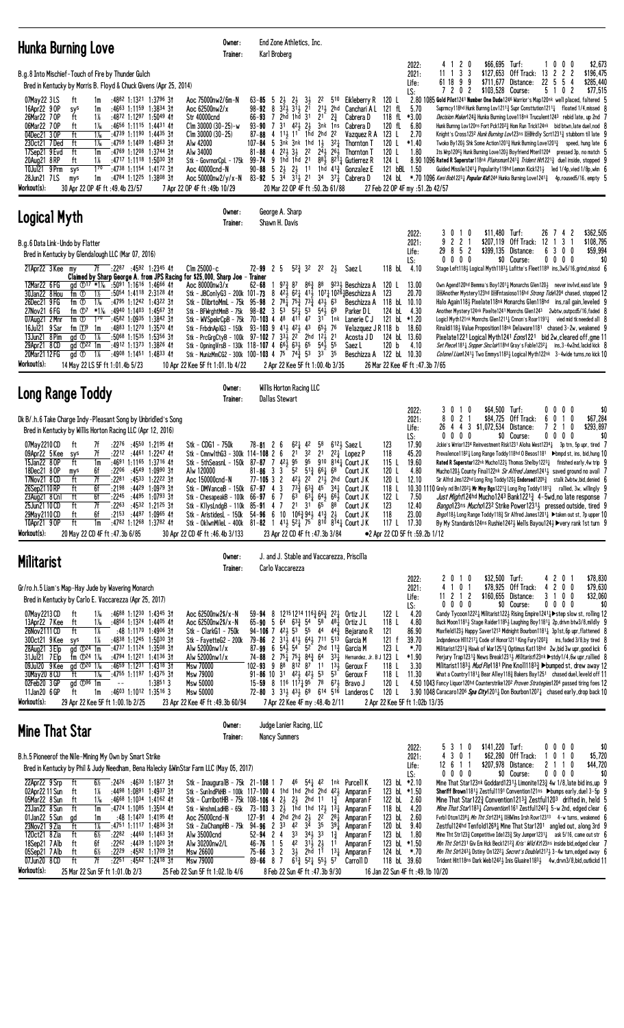| Hunka Burning Love                                                                                                                                                                                                                                                                                                                                                                                                                                                                                                                                                                                                                                                                                                                                                                                                                         | Owner:<br>Trainer:                                                                                                                                                                                                                                                                            | End Zone Athletics, Inc.<br>Karl Broberg                                                                                                                                                                                                                                                                                                                                                                                                                                                                                                                                                                                                                                                                                |                                                                                                                                                                                                                                                                                                                        |                                                                                                                                                                                                                                            |                                                                                                            |                                                                                                                                                                                                                                                                                                                                                                                                                                                                                                                                                                                                                                                                                                                                                                                                                                                                                                                                                                                                                                                                                                                                                                             |
|--------------------------------------------------------------------------------------------------------------------------------------------------------------------------------------------------------------------------------------------------------------------------------------------------------------------------------------------------------------------------------------------------------------------------------------------------------------------------------------------------------------------------------------------------------------------------------------------------------------------------------------------------------------------------------------------------------------------------------------------------------------------------------------------------------------------------------------------|-----------------------------------------------------------------------------------------------------------------------------------------------------------------------------------------------------------------------------------------------------------------------------------------------|-------------------------------------------------------------------------------------------------------------------------------------------------------------------------------------------------------------------------------------------------------------------------------------------------------------------------------------------------------------------------------------------------------------------------------------------------------------------------------------------------------------------------------------------------------------------------------------------------------------------------------------------------------------------------------------------------------------------------|------------------------------------------------------------------------------------------------------------------------------------------------------------------------------------------------------------------------------------------------------------------------------------------------------------------------|--------------------------------------------------------------------------------------------------------------------------------------------------------------------------------------------------------------------------------------------|------------------------------------------------------------------------------------------------------------|-----------------------------------------------------------------------------------------------------------------------------------------------------------------------------------------------------------------------------------------------------------------------------------------------------------------------------------------------------------------------------------------------------------------------------------------------------------------------------------------------------------------------------------------------------------------------------------------------------------------------------------------------------------------------------------------------------------------------------------------------------------------------------------------------------------------------------------------------------------------------------------------------------------------------------------------------------------------------------------------------------------------------------------------------------------------------------------------------------------------------------------------------------------------------------|
| B.g.8 Into Mischief-Touch of Fire by Thunder Gulch<br>Bred in Kentucky by Morris B. Floyd & Chuck Givens (Apr 25, 2014)                                                                                                                                                                                                                                                                                                                                                                                                                                                                                                                                                                                                                                                                                                                    |                                                                                                                                                                                                                                                                                               |                                                                                                                                                                                                                                                                                                                                                                                                                                                                                                                                                                                                                                                                                                                         |                                                                                                                                                                                                                                                                                                                        | 2022:<br>2021:<br>Life:                                                                                                                                                                                                                    | 4 1 2 0<br>$$66,695$ Turf:<br>1 3 3<br>\$127,653<br>11<br>61 18 9 9                                        | 1000<br>\$2,673<br>Off Track:<br>$\overline{2}$<br>\$196,475<br>13 2<br>2<br>\$711,677 Distance:<br>22 5 5<br>\$285,440<br>4                                                                                                                                                                                                                                                                                                                                                                                                                                                                                                                                                                                                                                                                                                                                                                                                                                                                                                                                                                                                                                                |
| 07May22 3LS<br>:4882 1:1321 1:3796 3†<br>ft<br>1m<br>:4663 1:1159 1:3834 31<br>16Apr22 9 OP<br>1m<br>sys<br>1%<br>26Mar22 7 OP<br>:4872 1:1297 1:5049 41<br>ft<br>06Mar22 7 OP<br>$1\%$<br>:4656 1:1115 1:4431 41<br>ft<br>04Dec21 3 OP<br>ft<br>$1\%$<br>:4739 1:1190 1:4435 31<br>$1\frac{1}{6}$<br>230ct21 7Ded<br>ft<br>:4759 1:1409 1:4863 3†<br>:4769 1:1208 1:3744 3†<br>17Sep21 9 Evd<br>ft<br>1m<br>1%<br>:4717 1:1118 1:5030 31<br>20Aug21 8 RP<br>ft<br>$1^{70}$<br>10Jul21 9 Prm<br>:4738 1:1154 1:4172 3†<br>sys<br>28Jun21 7LS<br>:4784 1:1225 1:3808 31<br>mys<br>1m<br>Workout(s):<br>30 Apr 22 OP 4F ft : 49.4b 23/57                                                                                                                                                                                                     | Aoc 75000nw2/6m-N<br>Aoc 62500nw2/x<br>Str 40000cnd<br>$C$ lm 30000 (30–25)-w<br>$Clm$ 30000 (30-25)<br>Alw 42000<br>Alw 34000<br>Stk - GovrnorCpL - 175k<br>Aoc 40000cnd-N<br>Aoc 50000nw2/y/x-N<br>7 Apr 22 OP 4F ft :49b 10/29                                                             | $2\frac{1}{2}$<br>$2\frac{1}{2}$ $3\frac{1}{2}$<br>$63 - 85$<br>-5<br>98-92<br>8 321 311 21<br>66-93 7 2hd 1hd 31<br>93-90 7 3 <sup>1</sup> 4 <sup>2</sup> / <sub>2</sub> 2 <sup>1</sup> <sub>2</sub><br>4 11, 11 1hd 2hd 22<br>$87 - 88$<br>107-84 5 $3n\bar{k}$ 3nk 1hd 1 $\frac{1}{2}$ 32 $\frac{1}{4}$<br>4 22 3 3 22<br>$81 - 88$<br>99-74 9 1hd 1hd 21 881 8211 Gutierrez R<br>90-88 5 2 23 23 11 1 hd $4^{13}$ Gonzalez E<br>83-92 5 34 31 21 34 37 4 Cabrera D<br>20 Mar 22 OP 4F ft: 50.2b 61/88                                                                                                                                                                                                               | 22<br>510 Eikleberry R<br>$2^{11}$ 2hd Canchari AL<br>$2^{1}$ $2^{3}$<br>Cabrera D<br>3nk 1ns Cabrera D<br>Vazquez R A 123 L<br>Thornton T<br>$2^{\bar{4}}\frac{1}{2}$ $2^{\bar{6}}\frac{1}{2}$<br>Thornton T                                                                                                          | LS:<br>120 L<br>121 fL<br>5.70<br>118 fL<br>$*3.00$<br>120 fL<br>6.80<br>2.70<br>120 L<br>$*1.40$<br>120 L<br>1.80<br>124 L<br>121 bBL 1.50<br>27 Feb 22 OP 4F my :51.2b 42/57                                                             | 72<br>0 <sub>2</sub><br>\$103.528 Course:                                                                  | 5<br>0<br>2<br>\$77,515<br>-1<br>2.80 1085 Gold Pilot1241 Number One Dude1246 Warrior's Map120nk well placed, faltered 5<br>Suprmcy118hd Hunk Burnng Lov1211 <sup>3</sup> Supr Consttution1211 <sup>1</sup> floated 1/4, missed 8<br>Decision Maker1243 Hunka Burning Love118nk Truculent1243 rebid late, up 2nd 7<br>Hunk Burnng Lov120ns Fort Pck12023 Hom Run Trick124nk bid btwn, late duel, nod 8<br>Knight's Cross1232 Hunk Burning Lov123ns <a>[Mrdly Scrt123134]</a> stubborn til late <a>9</a><br>Twoko By1204 Shk Some Action12013 Hunk Burning Love12013 speed, hung late 6<br>Its Wrp1206 $\frac{1}{2}$ Hunk Burning Love120 $\frac{1}{2}$ Boyfriend Mteril1204 pressed 3p, no match 5<br>8.90 1096 Rated R Superstar118 <sup>nk</sup> <i>Plainsman</i> 124 <sup>13</sup> <sub>4</sub> <i>Trident Hit</i> 122 <sup>13</sup> <sub>4</sub> duel inside, stopped 9<br>Guided Missile12411 Popularity119hd Lemon Kick1213 led 1/4p, vied 1/8p, wkn 6<br>124 bL *.70 1096 Keni Bob1223 + Popular Kid1244 Hunka Burning Love1241 <sup>3</sup> 4p, roused5/16, empty 5                                                                                                 |
| Logical Myth                                                                                                                                                                                                                                                                                                                                                                                                                                                                                                                                                                                                                                                                                                                                                                                                                               | Owner:<br>Trainer:                                                                                                                                                                                                                                                                            | George A. Sharp<br>Shawn H. Davis                                                                                                                                                                                                                                                                                                                                                                                                                                                                                                                                                                                                                                                                                       |                                                                                                                                                                                                                                                                                                                        |                                                                                                                                                                                                                                            |                                                                                                            |                                                                                                                                                                                                                                                                                                                                                                                                                                                                                                                                                                                                                                                                                                                                                                                                                                                                                                                                                                                                                                                                                                                                                                             |
| B.g.6 Data Link-Undo by Flatter<br>Bred in Kentucky by Glendalough LLC (Mar 07, 2016)<br>21Apr22 3 Kee my<br>7f :22 <sup>87</sup> :4592 1:2345 4 <del>1</del>                                                                                                                                                                                                                                                                                                                                                                                                                                                                                                                                                                                                                                                                              | $C$ lm 25000-c                                                                                                                                                                                                                                                                                | $5^{2^{3}}_{1}$ 32<br>$72 - 99$ 2 5                                                                                                                                                                                                                                                                                                                                                                                                                                                                                                                                                                                                                                                                                     | 2 <sup>2</sup><br>$2\frac{1}{2}$ Saez L                                                                                                                                                                                                                                                                                | 2022:<br>2021:<br>Life:<br>LS:<br>118 bL 4.10                                                                                                                                                                                              | \$11,480 Turf:<br>3<br>0 1 0<br>221<br>9<br>29 8 5 2<br>$0\ 0\ 0\ 0$                                       | \$362,505<br>26<br>$\overline{c}$<br>74<br>\$207.119 Off Track: 12<br>3<br>\$108,795<br>-1<br>6<br>\$59,994<br>\$399,135 Distance:<br>300<br>\$0 Course:<br>$0\,0\,0\,0$<br>\$0<br>Stage Left118} Logical Myth1183} Lafitte's Fleet1189 ins, 3w5/16, grind, missd 6                                                                                                                                                                                                                                                                                                                                                                                                                                                                                                                                                                                                                                                                                                                                                                                                                                                                                                         |
| 12Mar22 6 FG<br>gd ① <sup>17</sup> *1 <sup>%</sup> :50 <sup>91</sup> 1:16 <sup>16</sup> 1:46 <sup>66</sup> 41<br>30Jan22 8 Hou<br>:5054 1:4118 2:3128 41<br>fm ①<br>1½<br>26Dec21 9FG<br>fm ①<br>$1\%$<br>:4795 1:1242 1:4322 31<br>fm ①7<br>*1‰ :4940 1:1403 1:4567 3†<br>27Nov21 6 FG<br>fm ①<br>07Aug21 2 Mnr<br>$1^{70}$<br>:4582 1:0935 1:3842 3†<br>:4883 1:1270 1:3570 41<br>16Jul21 9 Sar<br>fm ⊡9<br>1m<br>13Jun21 8 Pim<br>$:50^{68}$ 1:15 <sup>35</sup> 1:5356 31<br>gd ①<br>1%<br>29Apr21 8 CD<br>$\overline{d}$ $\overline{D}^{22}$ 1m<br>:4912 1:1373 1:3826 41<br>20Mar21 12 FG<br>1%<br>:4908 1:1451 1:4833 41<br>gd <sup>1</sup><br>Workout(s):<br>14 May 22 LS 5F ft 1:01.4b 5/23                                                                                                                                        | Claimed by Sharp George A. from JPS Racing for \$25,000, Sharp Joe - Trainer<br>Aoc 80000nw3/x<br>Stk - JBCon1yG3 - 200k 101- <b>73</b><br>Stk - DlibrtoMmL - 75k<br>Stk - BFWrghtMmB - 75k<br>Stk - FrbdnAp1G3 - 150k<br>10 Apr 22 Kee 5F ft 1:01.1b 4/22                                    | $62 - 68$<br>973 87<br>863<br>$8\;\;42\frac{1}{2}\;\;62\frac{1}{4}\;\;41\frac{1}{2}$<br>95-98 2 78 $\frac{1}{4}$ 75 $\frac{3}{4}$<br>$7^{3}\frac{3}{4}$<br>$5^3$ $5^2$<br>5 <sup>3</sup><br>$98 - 82$ 3<br>Stk - WVSpekrCpB - 75k 70-103 4 48 411 47<br>$93 - 103$ 9 $41\frac{1}{2}$ $42\frac{1}{2}$ $43$<br>Stk - PrcGrgCtyB - 100k 97-102 7 333 22 <sup>-</sup> 2hd 123 21<br>Stk - OpningVrsB - 130k 118-107 4 $66\frac{1}{2}$ $63\frac{1}{2}$ 65 $54\frac{1}{2}$ 55<br>Stk - MunizMmCG2 - 300k 100-103 4 75 74 $\frac{3}{4}$ 53 33 35<br>2 Apr 22 Kee 5F ft 1:00.4b 3/35                                                                                                                                            | 88<br>9231 Beschizza A<br>1071 10261Beschizza A<br>$43\frac{1}{2}63$<br>Beschizza A<br>$5^{4}$ <sub>2</sub> 69<br>Parker DL<br>31 1nk<br>Lanerie C J<br>$65\frac{1}{2}$ 76<br>Velazquez JR 118 b<br>Acosta J D<br>Saez L                                                                                               | 13.00<br>120 L<br>20.70<br>123<br>118 bL 10.10<br>4.30<br>124 bL<br>121 bL *1.20<br>18.60<br>124 bL<br>13.60<br>120 b<br>4.10<br>Beschizza A 122 bl 10.30<br>26 Mar 22 Kee 4F ft :47.3b 7/65                                               |                                                                                                            | Own Agend120hd Bemma's Boy12011 Monarchs Glen1201 never invivd, easd late 9<br><b>DHAnother Mystery123hd DHFntasioso116hd Strong Tide1204 chased, stopped 12</b><br>Halo Again1183 Pixelate118nk Monarchs Glen118hd ins, rail gain, leveled 9<br>Another Mystery124nk Pixelte1241 Monrchs Glen1243 2wbtw, outpcd5/16, faded 8<br>Logic1 Myth121nk Monrchs Glen1211 $\frac{1}{4}$ Cnnon's Roar1191 $\frac{1}{4}$ vied mid tk needed all 8<br>Rinaldi1183 Value Proposition118nk Delaware1181 chased 3-2w, weakened 9<br>Pixelate1221 Logical Myth1241 <i>Eons</i> 1221 bid 2w, cleared off, gme 11<br>Set Piece1181 <sub>4</sub> Snpper Sinclair118hd Gray's Fable1232 <sub>4</sub> ins, 3-4w2nd, lackd kick 8<br>Colonel Liam12413 Two Emmys11833 Logical Myth122nk 3-4wide turns, no kick 10                                                                                                                                                                                                                                                                                                                                                                               |
| <b>Long Range Toddy</b>                                                                                                                                                                                                                                                                                                                                                                                                                                                                                                                                                                                                                                                                                                                                                                                                                    | Owner:                                                                                                                                                                                                                                                                                        | Willis Horton Racing LLC                                                                                                                                                                                                                                                                                                                                                                                                                                                                                                                                                                                                                                                                                                |                                                                                                                                                                                                                                                                                                                        |                                                                                                                                                                                                                                            |                                                                                                            |                                                                                                                                                                                                                                                                                                                                                                                                                                                                                                                                                                                                                                                                                                                                                                                                                                                                                                                                                                                                                                                                                                                                                                             |
| Dk B/.h.6 Take Charge Indy-Pleasant Song by Unbridled's Song<br>Bred in Kentucky by Willis Horton Racing LLC (Apr 12, 2016)<br>7f<br>$:22^{76}$ $:45^{50}$ 1:2195 41<br>07May 2210 CD<br>ft<br>09Apr22 5 Kee<br>7f<br>:2212 :4461 1:2247 41<br>sys<br>15Jan22 80P<br>ft<br>1m<br>:4691 1:1165 1:3716 41<br>6f<br>:2206 :4549 1:0990 31<br>18Dec21 8 OP<br>mys<br>7f<br>:2281 :4533 1:2222 31<br>17Nov21 8 CD<br>ft<br>26Sep2110RP<br>ft<br>6f<br>$:2198$ $:4429$ $1:0979$ 31<br>ft<br>6f<br>:2245 :4495 1:0793 3†<br>23Aug21 8 Cn1<br>7f<br>25Jun21 10 CD<br>$:22^{63}$ $:45^{32}$ 1:21 <sup>25</sup> 31<br>ft<br>29May 2110 CD<br>$:21^{53}$ $:44^{97}$ 1:0965 41<br>ft<br>6f<br>10Apr21 9 OP<br>ft<br>:4782 1:1268 1:3782 41<br>1m<br>Workout(s):<br>20 May 22 CD 4F ft : 47.3b 6/85                                                     | Trainer:<br>Stk - CDG1 - 750k<br>Stk - CmnwlthG3 - 300k 114-108 2 6<br>Stk - 5thSeasnL - 150k 87-87 7 421 95<br>Alw 120000<br>Aoc 150000cnd-N<br>Stk - DMVanceB - 150k 67-97 4 3<br>Stk - ChesapeakB - 100k 66-97 6 7<br>Stk - KllysLndgB - 110k 85-91 4 7<br>30 Apr 22 CD 4F ft: 46.4b 3/133 | <b>Dallas Stewart</b><br>$62\frac{1}{4}$ 42<br>$78 - 81$ 2 6<br>3 <sup>2</sup><br>2 <sup>1</sup><br>95<br>$81 - 86$ 3 3<br>77-105 3 2 421 22 211 2hd Court JK<br>Stk - AristidesL - 150k 54-96 6 10 106 $\frac{3}{4}$ 94 $\frac{1}{2}$ 41 $\frac{3}{4}$ 2 $\frac{1}{2}$ Court JK<br>Stk - OklwnMileL - 400k 81-82 1 41 $\frac{1}{2}$ 52 $\frac{1}{4}$ 75 810 814 $\frac{1}{4}$ Court J K<br>23 Apr 22 CD 4F ft :47.3b 3/84                                                                                                                                                                                                                                                                                              | 58<br>$612\frac{1}{2}$ Saez L<br>2 <sup>1</sup><br>$2^2$ Lopez P<br>910 8144 Court JK<br>$5^2$ $5^{13}$ $6^6$ $6^1$ $6^8$<br>Court J K<br>$73\frac{5}{4}$ 63 <sub>4</sub> 45 <sup>-</sup> 34 <sub>4</sub> Court J K<br>$63^{\degree}$ $63\frac{1}{4}$ $64\frac{1}{2}$ $66\frac{1}{2}$ Court JK<br>21 31 65 88 Court JK | 2022:<br>2021:<br>Life:<br>LS:<br>123<br>17.90<br>118<br>45.20<br>115L<br>19.60<br>4.80<br>120 L<br>120 L<br>12.10<br>118 L<br>122 L<br>7.50<br>123<br>12.40<br>118<br>23.00<br>117 L 17.30<br>•2 Apr 22 CD 5F ft :59.2b 1/12              | \$64,500 Turf:<br>30<br>$\overline{1}$<br>0<br>8 0 2 1<br>\$84,725<br>26 4 4 3 \$1,072,534<br>$0\,0\,0\,0$ | \$0<br>0000<br>Off Track:<br>6<br>0 1 0<br>\$67,284<br>$\overline{7}$<br>$\mathbf{2}$<br>Distance:<br>$\overline{1}$<br>0<br>\$293,897<br>$0\ 0\ 0\ 0$<br>\$0 Course:<br>\$0<br>Jckie's Wrrior1234 Reinvestment Risk1231 Aloha West1234 $\frac{1}{4}$ 3p trn, 5p upr, tired 7<br>Prevalence118 <sup>2</sup> Long Range Toddy118hd 0 Besos1181 ▶bmpd st, ins, bid, hung 10<br>Rated R Superstar122nk Mucho1223 Thomas Shelby12231 finished early, 4w trip 9<br>Mucho1204 County Final122 <sup>nk</sup> Sir Alfred James12414 saved ground no avail 7<br>Sir Alfrd Jms122hd Long Rng Toddy1203 Endorsed12053 stalk 2wbtw, bid, denied 6<br>10.30 1110 Grely nd Bn120 <sup>2</sup> $\frac{1}{2}$ Mr Mny Bgs122 <sup>1</sup> $\frac{3}{4}$ Long Rng Toddy118 <sup>13</sup> <sub>4</sub> rallied, 3w, willingly 9<br>Just Might124hd Mucho1243 Bank12213 4-5wd, no late response 7<br><i>Bango</i> 123ns <i>Mucho</i> 1232 Strike Power1231 <sub>3</sub> pressed outside, tired 9<br><i>Bngo</i> 118} Long Range Toddy118} Sir Alfred James1201} ▶ taken out st, 7p upper 10<br>By My Standards124ns Rushie12423 Wells Bayou1243 ▶very rank 1st turn 9                           |
| <b>Militarist</b>                                                                                                                                                                                                                                                                                                                                                                                                                                                                                                                                                                                                                                                                                                                                                                                                                          | Owner:<br>Trainer:                                                                                                                                                                                                                                                                            | J. and J. Stable and Vaccarezza, Priscilla<br>Carlo Vaccarezza                                                                                                                                                                                                                                                                                                                                                                                                                                                                                                                                                                                                                                                          |                                                                                                                                                                                                                                                                                                                        |                                                                                                                                                                                                                                            |                                                                                                            |                                                                                                                                                                                                                                                                                                                                                                                                                                                                                                                                                                                                                                                                                                                                                                                                                                                                                                                                                                                                                                                                                                                                                                             |
| Gr/ro.h.5 Liam's Map-Hay Jude by Wavering Monarch<br>Bred in Kentucky by Carlo E. Vaccarezza (Apr 25, 2017)<br>07May 2213 CD<br>$1\%$<br>:4688 1:1230 1:4345 31<br>ft<br>13Apr22 7 Kee<br>$1\%$<br>:4856 1:1324 1:4405 41<br>ft<br>26Nov2111 CD<br>ft<br>1%<br>:48 1:1170 1:4906 3†<br>1%<br>300ct21 9 Kee<br>$:4838$ 1:1245 1:5030 31<br>sys<br>$\overline{a}d \overline{v}^{24}$ 1m<br>28Aug21 3 Elp<br>:4737 1:1124 1:3508 3†<br>31Jul21 7Elp<br>fm $\Phi$ <sup>24</sup> 1 <sup>%</sup><br>:4794 1:1221 1:4136 31<br>09Jul20 9 Kee<br>:4659 1:1231 1:4318 31<br>ad $\Phi^{20}$ 1 <sup>%</sup><br>:4755 1:1197 1:4375 3†<br>30May 20 8 CD<br>ft<br>$1\%$<br>$02Feb20$ 3 GP<br>$\mathrm{ad}$ $\mathbb{D}^{96}$ 1m<br>$\sim$ $-$<br>11Jan20 6 GP<br>$:4603$ 1:1012 1:3516 3<br>1m<br>ft<br>Workout(s):<br>29 Apr 22 Kee 5F ft 1:00.1b 2/25 | Aoc 62500nw2\$/x-N<br>Aoc 62500nw2\$/x-N<br>Stk - ClarkG1 - 750k<br>Stk - FayetteG2 - 200k<br>Alw 52000nw1/x<br>Alw 52000nw1/x<br>Msw 70000<br>Msw 79000<br>1:38513<br><b>Msw 50000</b><br>Msw 50000<br>23 Apr 22 Kee 4F ft: 49.3b 60/94                                                      | 59-94 8 1215 1214 116 $\frac{3}{4}$ 66 $\frac{3}{4}$ 22 $\frac{1}{4}$ Ortiz J L<br>$65 - 90$ 5 $64$<br>94-106 7 $4^{21}_{2}$ 5 <sup>3</sup> 55 44 $4^{43}_{4}$<br>79-86 2 3 <sup>1</sup> <sup>1</sup> <sub>2</sub> 4 <sup>1</sup> <sup>1</sup> <sub>2</sub> 6 <sup>4</sup> <sup>1</sup> <sub>2</sub> 7 <sup>11</sup> 5 <sup>13</sup><br>87-99 6 54 $\frac{1}{2}$ 54 52 2hd 11 $\frac{3}{4}$<br>74-88 2 75 $\frac{1}{4}$ 75 $\frac{1}{4}$ 84 $\frac{3}{4}$ 64 33 $\frac{1}{4}$<br>$102 - 93$ 9 8 <sup>8</sup> 8 <sup>12</sup> 8 <sup>7</sup> 11<br>$91 - 86$ 10 31 423 423 53<br>15-59 8 116 1171 95 78 671 Bravo J<br>72-80 3 31 $\frac{1}{2}$ 43 $\frac{1}{2}$ 69 614 516 Landeros C<br>7 Apr 22 Kee 4F my :48.4b 2/11 | $63\frac{3}{4}$ 54 58 481 Ortiz J L<br>Bejarano R<br>Garcia M<br>Garcia M<br>Hernandez, Jr. B J 123 L<br>$13\frac{1}{2}$<br>Geroux F<br>53<br>Geroux F                                                                                                                                                                 | 2022:<br>2021:<br>Life:<br>LS:<br>122 L<br>4.20<br>118 L<br>4.80<br>86.90<br>121<br>121 f<br>39.70<br>123 L<br>*.70<br>*1.90<br>118 L<br>3.30<br>118 L<br>11.30<br>120 L<br>120 L<br>2 Apr 22 Kee 5F ft 1:02b 13/35                        | \$32,500 Turf:<br>2 0 1 0<br>4 1 0 1<br>$11 \t2 \t1 \t2$<br>0 0 0 0                                        | \$78,830<br>4 2 0 1<br>\$78,925 Off Track:<br>4 2 0 0<br>\$79,630<br>3 1 0 0<br>\$160,655 Distance:<br>\$32,060<br>\$0 Course:<br>0<br>$0\ 0\ 0$<br>\$0<br>Candy Tycoon1222 Militarist122 Rising Empire1241 > step slow st, rolling 12<br>Buck Moon11811 Stage Raider11851 Laughing Boy11811 2p, drivn btw3/8, mildly 9<br>Maxfield1231 Happy Saver1213 Midnight Bourbon11811 3p1st, 6p upr, flattened 8<br>Indpndence H112171 Code of Honor1211 King Fury12023 ins, faded 3/8, by tired 8<br>Militarist12313 Hawk of War12513 Optimus Kat118hd 2w, bid 3w upr, good kck 6<br>Perjury Trap12313 News Break12313 <i>Militarist</i> 123nk ▶stdy1/4,6w upr,rallied 8<br>Militarist1183 $\frac{1}{2}$ <i>Mud Pie</i> 1181 Pine Knoll1183 $\frac{3}{4}$ $\blacktriangleright$ bumped st, drew away 12<br>What a Country 1181 $\frac{1}{4}$ Bear Alley 118 $\frac{3}{4}$ Bakers Bay 1251 chased duel, leveld off 11<br>4.50 1043 Fancy Liquor120hd Counterstrike120 <sup>2</sup> Proven Strategies1204 passed tiring foes 12<br>3.90 1048 Caracaro120 <sup>6</sup> Spa City1201 <sub>4</sub> Don Bourbon1207 <sub>4</sub> chased early, drop back 10                              |
| <b>Mine That Star</b>                                                                                                                                                                                                                                                                                                                                                                                                                                                                                                                                                                                                                                                                                                                                                                                                                      | Owner:<br>Trainer:                                                                                                                                                                                                                                                                            | Judge Lanier Racing, LLC<br><b>Nancy Summers</b>                                                                                                                                                                                                                                                                                                                                                                                                                                                                                                                                                                                                                                                                        |                                                                                                                                                                                                                                                                                                                        |                                                                                                                                                                                                                                            |                                                                                                            |                                                                                                                                                                                                                                                                                                                                                                                                                                                                                                                                                                                                                                                                                                                                                                                                                                                                                                                                                                                                                                                                                                                                                                             |
| B.h.5 Pioneerof the Nile-Mining My Own by Smart Strike<br>Bred in Kentucky by Phil & Judy Needham, Bena Halecky & WinStar Farm LLC (May 05, 2017)<br>$:24^{26}$ :4630 1:1827 31<br>22Apr22 9 Srp<br>6½<br>ft<br>02Apr22 11 Sun<br>1%<br>$:4498$ 1:0891 1:4937 31<br>ft<br>05Mar22 8 Sun<br>:4668 1:1034 1:4162 41<br>ft<br>$1\%$<br>23Jan22 8 Sun<br>1m<br>:4724 1:1085 1:3504 41<br>ft<br>01Jan22 5 Sun<br>:48 1:1420 1:4195 41<br>ad<br>1m<br>23Nov21 9 Zia<br>1%<br>:4751 1:1117 1:4836 3†<br>ft<br>120ct21 8 Zia<br>$6\frac{1}{2}$<br>ft<br>:2282 :4460 1:1463 31<br>18Sep21 7 Alb<br>6f<br>:2262 :4439 1:1020 31<br>ft<br>ft<br>6½<br>:2229 :4592 1:1709 31<br>05Sep21 7 Alb<br>7f<br>$:2251$ $:4562$ 1:2418 31<br>07Jun20 8 CD<br>ft<br>Workout(s):<br>25 Mar 22 Sun 5F ft 1:01.0b 2/3                                               | Aoc 25000cnd-N<br>Alw 35000cnd<br>Alw 30200nw2/L<br><b>Msw 26600</b><br>Msw 79000<br>25 Feb 22 Sun 5F ft 1:02.1b 4/6                                                                                                                                                                          | Stk - InauguralB - 75k 21-108 1 7 46 541 42 1nk Purcell K<br>Stk - SunIndPkHB - 100k $117-100$ 4 1hd 1hd 2hd 2hd $42\frac{1}{2}$ Amparan F<br>Stk - CurribotHB - 75k 108-106 4 $2\frac{1}{2}$ $2\frac{1}{2}$ 2hd 11 $1\frac{3}{4}$ Amparan F<br>Stk - WnshmLadHB - 65k 73-103 3 2 $\frac{1}{2}$ 1hd 1hd 12 $\frac{1}{2}$ 13 $\frac{1}{4}$ Amparan F<br>127-91 4 2hd 2hd $2\frac{1}{2}$ 2 <sup>2</sup> 28 <sup>1</sup> / <sub>4</sub><br>Stk - ZiaChampHB - 75k 94-96 2 33 42 34<br>$3^3$ $3^4$ $3^3$<br>$52 - 94$ 2 4<br>5<br>$4^2$ $3^{1\overline{1}}$ $2^1$<br>46-76 1<br>3½ 2hd 1ī<br>$75 - 66$ 3 2<br>$89 - 66$ 8 7<br>8 Feb 22 Sun 4F ft :47.3b 9/30                                                               | Amparan F<br>3 <sup>5</sup><br>391<br>Amparan F<br>$1\frac{3}{4}$<br>Amparan F<br>11<br>Amparan F<br>$1^{3}\frac{1}{4}$<br>Amparan F<br>$6\overline{1}3\overline{4}$ 52 $\overline{4}$ 55 $\overline{2}$ 57<br>Carroll D                                                                                               | 2022:<br>2021:<br>Life:<br>LS:<br>123 bL *2.10<br>123 bL *1.50<br>122 bL<br>2.60<br>118 bL<br>4.20<br>123 bL<br>2.60<br>120 bL<br>9.40<br>123 bL 1.80<br>123 bl *1.50<br>124 bl $*.70$<br>118 bL 39.60<br>16 Jan 22 Sun 4F ft :49.1b 10/20 | \$141,220 Turf:<br>3<br>10<br>5<br>4 3 0 1<br>12 6 1 1<br>$0\ 0\ 0\ 0$                                     | \$0<br>$0\,0\,0\,0$<br>\$62,280 Off Track:<br>1010<br>\$5,720<br>2 1 1 0<br>\$207,978 Distance:<br>\$44,720<br>\$0 Course:<br>$0\,0\,0\,0$<br>\$0<br>Mine That Star123nk Goddard1231 $\frac{1}{2}$ Limonite123 $\frac{3}{4}$ 4w 1/8, late bid ins, up 9<br>Sheriff Brown11811 Zestful1191 Convention121ns ▶bumps early, duel 3-5p 9<br>Mine That Star122 $\frac{3}{4}$ Convention1213 $\frac{3}{4}$ Zestful1203 drifted in, held 5<br><i>Mine That Star</i> 118 <sup>3</sup> <i>Lonvention</i> 116 <sup>1</sup> Zestful124 <sup>2</sup> 5-w 2nd, edged clear 6<br>Fvrb1 Otcm1238 $\frac{1}{4}$ Mn Tht Str1234 $\frac{1}{4}$ DHI Wins Irsh Rovr12313 4-w turns, weakened 6<br>Zestful124hd Tenfold12691 Mine That Star1201 angled out, along 3rd 9<br>Mine Tht Str123 $\frac{3}{4}$ Competitive Ide123 $\frac{3}{4}$ Sky Jumper1231 $\frac{1}{4}$ ask 5/16, came out str 6<br>Min Tht Str1231 Giv Em Hck Beck12123 Kris' Wild Kt123ns inside bid, edged clear 7<br><i>Min Tht Str</i> 1243 <sub>4</sub> Dstiny 0n1222 <sub>4</sub> Secret's Double1217 <sub>2</sub> 3-4w turn, edged away 6<br>Trident Hit118ns Dark Web12423 Inis Gluaire11833 4w, drvn3/8, bid, outkokd 11 |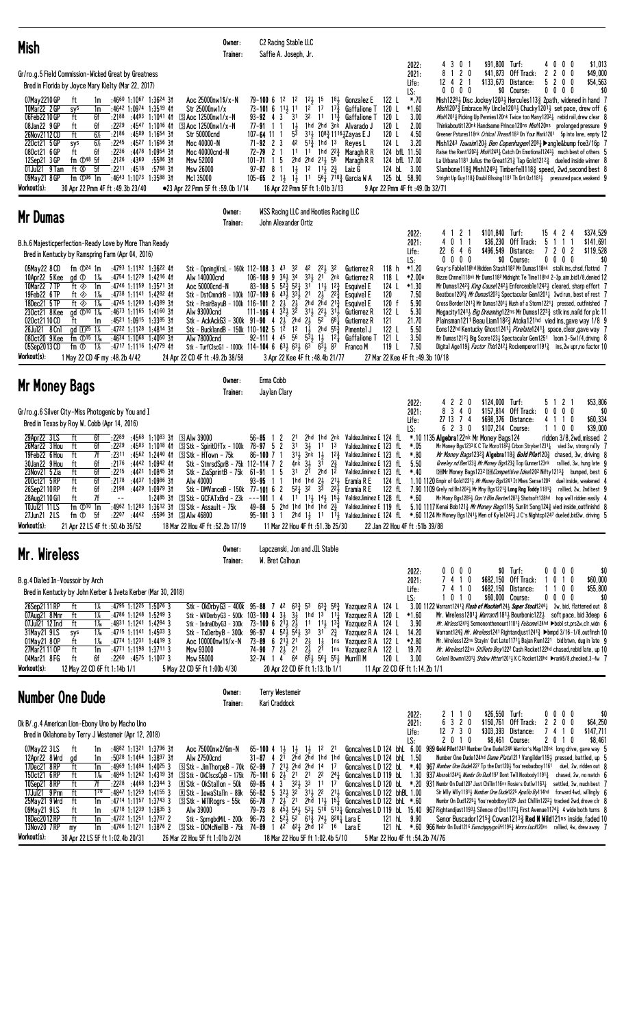| <b>Mish</b>                                                                                                                                                                                                                                                                                                                                                                                                                                                                                                                                                                                                                                                                                                                    | Owner:<br>Trainer:                                                                                                                                                                                                                                                                                                                                    | C2 Racing Stable LLC<br>Saffie A. Joseph, Jr.                                                                                                                                                                                                                                                                                                                                                                                                                   |                                                                                                                                                                                                                                                                                                                                                                                                                                                                                                                                                                                                                                 |                                                                                                                                                                     |                                                                                                                                                                                                                                                                                                                                                                                                                                                                                                                                                                                                                                                                                                                                                                                                                                                                                                                                                                                        |
|--------------------------------------------------------------------------------------------------------------------------------------------------------------------------------------------------------------------------------------------------------------------------------------------------------------------------------------------------------------------------------------------------------------------------------------------------------------------------------------------------------------------------------------------------------------------------------------------------------------------------------------------------------------------------------------------------------------------------------|-------------------------------------------------------------------------------------------------------------------------------------------------------------------------------------------------------------------------------------------------------------------------------------------------------------------------------------------------------|-----------------------------------------------------------------------------------------------------------------------------------------------------------------------------------------------------------------------------------------------------------------------------------------------------------------------------------------------------------------------------------------------------------------------------------------------------------------|---------------------------------------------------------------------------------------------------------------------------------------------------------------------------------------------------------------------------------------------------------------------------------------------------------------------------------------------------------------------------------------------------------------------------------------------------------------------------------------------------------------------------------------------------------------------------------------------------------------------------------|---------------------------------------------------------------------------------------------------------------------------------------------------------------------|----------------------------------------------------------------------------------------------------------------------------------------------------------------------------------------------------------------------------------------------------------------------------------------------------------------------------------------------------------------------------------------------------------------------------------------------------------------------------------------------------------------------------------------------------------------------------------------------------------------------------------------------------------------------------------------------------------------------------------------------------------------------------------------------------------------------------------------------------------------------------------------------------------------------------------------------------------------------------------------|
| Gr/ro.g.5 Field Commission-Wicked Great by Greatness<br>Bred in Florida by Joyce Mary Kielty (Mar 22, 2017)                                                                                                                                                                                                                                                                                                                                                                                                                                                                                                                                                                                                                    |                                                                                                                                                                                                                                                                                                                                                       |                                                                                                                                                                                                                                                                                                                                                                                                                                                                 |                                                                                                                                                                                                                                                                                                                                                                                                                                                                                                                                                                                                                                 | \$91,800 Turf:<br>3<br>0 <sub>1</sub><br>2022:<br>4<br>$1 2 0$<br>2021:<br>8<br>\$41,873<br>$\mathbf{2}$<br>12 4<br>Life:<br>\$133,673<br>-1<br>$0\ 0\ 0\ 0$<br>LS: | 0<br>$0\quad 0$<br>\$1,013<br>4<br>0<br>Off Track:<br>2<br>$\mathbf{2}$<br>0<br>\$49,000<br>5<br>Distance:<br>$\overline{c}$<br>0<br>0<br>\$54,563<br>\$0<br>\$0 Course:<br>00<br>$0\quad 0$                                                                                                                                                                                                                                                                                                                                                                                                                                                                                                                                                                                                                                                                                                                                                                                           |
| 07May 2210 GP<br>:4660 1:1067 1:3624 31<br>ft<br>1m<br>10Mar22 2 GP<br>$1:35^{19}$ 41<br>:4642 1:0974<br>sys<br>1m<br>06Feb2210GP<br>ft<br>6f<br>$:21^{88}$ $:44^{93}$ 1:1041 41<br>08Jan22 9 GP<br>6f<br>:2229<br>:4547 1:1016 41<br>ft<br>ft<br>$6\%$<br>26Nov2112CD<br>$:21^{86}$ $:45^{09}$ 1:1654 31<br>$6\%$<br>:2245<br>:4527 1:1656 31<br>220ct21 5 GP<br>sys<br>ft<br>6f<br>$:22^{36}$ $:44^{78}$<br>080ct21 6 GP<br>1:0954 31<br>fm $oplus$ <sup>48</sup> 5f<br>:5586 31<br>12Sep21 3 GP<br>$:21^{26}$ $:43^{60}$<br>ft $\circledR$<br>5f<br>$:22^{11}$ :4518<br>$:5768$ 31<br>01Jul21 9 Tam<br>:4643 1:1073 1:3588 31<br>09May21 8 GP<br>fm $\mathbb{D}^{96}$ 1m<br>Workout(s):<br>30 Apr 22 Pmm 4F ft :49.3b 23/40 | Aoc 25000nw1\$/x-N<br>Str 25000nw1/x<br>S Aoc 12500nw1/x-N<br><u> 5 Aoc 12500nw1/x-N</u><br><b>Str 50000cnd</b><br>Moc 40000-N<br>Moc 40000cnd-N<br>Msw 52000<br><b>Msw 26000</b><br>Mcl 35000<br>●23 Apr 22 Pmm 5F ft :59.0b 1/14                                                                                                                    | $12\frac{1}{2}$ 15<br>-12<br>79-100 6<br>12<br>1 <sup>2</sup><br>$11\frac{1}{2}$ 11<br>73-101 6<br>31<br>$93 - 92$ 4 3<br>32<br>$1\frac{1}{2}$<br>77-91<br>-1<br>53<br>107- <b>64</b> 11 1<br>42<br>$71 - 92$ 2 3<br>11<br>72-79<br>$\mathbf{2}$<br>2hd 2hd 211 55<br>5<br>$101 - 71$<br>$1\frac{1}{2}$<br>1 <sup>2</sup><br>$97 - 87$ 8<br>-1<br>105-65 2 13 13 11 56 $\frac{1}{4}$ 7 <sup>10</sup> $\frac{3}{4}$ Garcia W A<br>16 Apr 22 Pmm 5F ft 1:01b 3/13 | $18\frac{1}{2}$<br>122 L<br>Gonzalez E<br>17<br>$17\frac{3}{7}$<br>120 L<br>Gaffalione T<br>120 L<br>11<br>$1^{13}$<br>Gaffalione T<br>1hd 2hd 3nk<br>120 L<br>Alvarado J<br>3 <sup>1</sup> <sup>2</sup> 10 <sup>8</sup> <sup>3</sup> <sub>4</sub> 11 <sup>16</sup> <sup>1</sup> <sub>4</sub> Zayas E J<br>120 L<br>$5^{1\overline{3}}$ 1hd 13<br>124 L<br>Reyes L<br>11 1hd $2^2$ Maragh R R<br>124 bfL 11.50<br>124 bfL 17.00<br>Maragh R R<br>$11\frac{1}{2}$ $2\frac{3}{4}$<br>124 bL 3.00<br>Laiz G<br>125 bL 58.90<br>9 Apr 22 Pmm 4F ft :49.0b 32/71                                                                     | *.70<br>$*1.60$<br>3.00<br>2.00<br>4.50<br>3.20                                                                                                                     | Mish12281 Disc Jockey12031 Hercules1131 2path, widened in hand 7<br><i>Mish</i> 1207 <sub>3</sub> Embrace My Uncle1201 <sub>3</sub> Chucky1201 <sub>3</sub> set pace, drew off 6<br>Mish12013 Picking Up Pennies120nk Twice too Many12021 rebid rail, drew clear 8<br>Thinkaboutit120nk Handsome Prince120ns Mish120ns prolonged pressure 9<br>Greener Pstures118nk Critical Threat1183 On Your Mark1201 5p into lane, empty 12<br>Mish1243 Tuwaim120 $\frac{1}{2}$ Ben Copenhagen1208 $\frac{1}{4}$ $\blacktriangleright$ angle≎ foe3/16p<br>Raise the Rent120 <sup>2</sup> $\frac{3}{4}$ <i>Mish</i> 1249 $\frac{1}{4}$ Catch On Emotional1243 $\frac{1}{2}$ much best of others 5<br>La Urbana1181 Julius the Great121 $\frac{3}{4}$ Tap Gold1212 $\frac{3}{4}$ dueled inside winner 8<br>Slambone118 $\frac{3}{4}$ Mish1249 $\frac{1}{4}$ Timberfel1118 $\frac{3}{4}$ speed, 2wd, second best 8<br>Stright Up Guy 118} Doubl Blssing 1181 Th Grt 0z1181} pressured pace, weakend 9 |
| Mr Dumas                                                                                                                                                                                                                                                                                                                                                                                                                                                                                                                                                                                                                                                                                                                       | Owner:<br>Trainer:                                                                                                                                                                                                                                                                                                                                    | <b>WSS Racing LLC and Hooties Racing LLC</b><br>John Alexander Ortiz                                                                                                                                                                                                                                                                                                                                                                                            |                                                                                                                                                                                                                                                                                                                                                                                                                                                                                                                                                                                                                                 |                                                                                                                                                                     |                                                                                                                                                                                                                                                                                                                                                                                                                                                                                                                                                                                                                                                                                                                                                                                                                                                                                                                                                                                        |
| B.h.6 Majesticperfection-Ready Love by More Than Ready<br>Bred in Kentucky by Ramspring Farm (Apr 04, 2016)                                                                                                                                                                                                                                                                                                                                                                                                                                                                                                                                                                                                                    |                                                                                                                                                                                                                                                                                                                                                       |                                                                                                                                                                                                                                                                                                                                                                                                                                                                 |                                                                                                                                                                                                                                                                                                                                                                                                                                                                                                                                                                                                                                 | \$101.840 Turf:<br>4121<br>2022:<br>$0 \t1 \t1$<br>2021:<br>\$36,230<br>4<br>\$496,549<br>22 6 4 6<br>Life:<br>$0\ 0\ 0$<br>0<br>LS:                                | \$374,529<br>15 4<br>$\mathbf{2}$<br>4<br>5 1<br>\$141,691<br>Off Track:<br>-1<br>\$119,528<br>Distance:<br>7202<br>\$0 Course:<br>$0\quad 0$<br>0<br>\$0<br>0                                                                                                                                                                                                                                                                                                                                                                                                                                                                                                                                                                                                                                                                                                                                                                                                                         |
| 05May22 8 CD<br>fm $\mathbb{D}^{24}$ 1m<br>:4793 1:1192 1:3622 41<br>10Apr22 5 Kee<br>gd <sup>1</sup><br>$1\%$<br>:4754 1:1279 1:4216 41<br>10Mar22 7TP<br>ft ◈<br>1m<br>:4746 1:1159 1:3571 31<br>19Feb22 6TP<br>$1\%$<br>:4738 1:1141 1:4282 41<br>ft ◈<br>18Dec21 5TP<br>ft ◈<br>1‰<br>$:4745$ 1:1200 1:4389 31<br>$\rm{gd}$ 10 1 $\rm{Ms}$<br>$:4673$ 1:1165 1:4160 31<br>230ct21 8 Kee<br>:4521 1:0915 1:3385 31<br>020ct2110CD<br>ft<br>1m<br>:4722 1:1128 1:4814 31<br>8 Cnl<br>gd $\Pi^{25}$ 1%<br>26Jul21<br>080ct20 9 Kee<br>fm $\Phi$ <sup>15</sup> 1 <sup>%</sup><br>:4634 1:1068 1:4050 31                                                                                                                        | Stk - OpningVrsL - 160k 112-108 3 43 32<br>Alw 140000cnd<br>Aoc 50000cnd-N<br>Stk - DstCmndrB - 100k 107-109 6 $43\frac{1}{2}$ 33 $\frac{1}{2}$ 21<br>Stk - PrairBayuB - 100k 116-101 2<br>Alw 93000cnd<br>Stk - AckAckG3 - 300k 91-90 4<br>Stk - BucklandB - 150k 110-102 5<br>Alw 78000cnd                                                          | $36\frac{1}{2}$ 34<br>$106 - 108$ 9<br>$5^{2\frac{5}{4}}$ 5 <sup>2</sup> <sup>1</sup><br>$83 - 108$ 5<br>31<br>$2\frac{1}{2}$<br>$\frac{1}{2}$<br>$111 - 106$ 4 $3\overline{2}$ $\overline{3}$ $\overline{2}$<br>$2\frac{1}{2}$ 2hd $2\frac{1}{2}$ 5 <sup>2</sup> 68 $\frac{1}{4}$<br>$1^{\overline{2}}$<br>1 <sup>2</sup><br>$1\overline{1}$<br>$92-111$ 4 $45$ $56$ $5\overline{3}$ $1\overline{)}$ $12\overline{)}$                                          | 118 <sub>h</sub><br>42 22 32<br>Gutierrez R<br>$33\frac{1}{2}$ 21 2nk<br>118 L<br>Gutierrez R<br>$11\frac{1}{2}$ $12\frac{3}{4}$<br>124 L<br>Esquivel E<br>$2\frac{1}{2}$<br>$2^{2}\frac{3}{4}$<br>120<br>Esquivel E<br>2hd $2\bar{h}d$ $21\frac{3}{4}$<br>120 f<br>Esquivel E<br>$31\frac{1}{2}$ $22\frac{1}{2}$ $31\frac{1}{2}$<br>122 L<br>Gutierrez R<br>121<br>Gutierrez R<br>122 L<br>2hd $55\frac{3}{8}$<br>Pimentel J<br>121 L<br>Gaffalione T                                                                                                                                                                          | $*1.20$<br>*2.00e<br>$*1.30$<br>7.50<br>5.90<br>5.30<br>21.70<br>5.50<br>3.50                                                                                       | Gray's Fable118hd Hidden Stash1182 Mr Dumas118nk stalk ins, chsd, flattnd 7<br>Bizze Chnnel118nk Mr Dums1182 Midnight Te Time118hd 2-3p, aim, bid1/8, denied 12<br>Mr Dumas12423 <i>King Cause</i> 12423 Enforceable12423 cleared, sharp effort 7<br>Beatbox120 <sup>23</sup> Mr Dumas120 <sup>31</sup> / <sub>2</sub> Spectacular Gem1201 <sup>1</sup> / <sub>2</sub> 3wd run, best of rest 7<br>Cross Border1241 $\frac{3}{4}$ Mr Dumas1201 $\frac{1}{2}$ Hush of a Storm1221 $\frac{1}{4}$ pressed, outfinished 7<br>Megacity1241½ <i>Big Dreaming</i> 122ns Mr Dumas1223½ stlk ins,naild for plc 11<br>Plainsman1211 Beau Liam118 <sup>2</sup> $_{2}^{3}$ Atoka121hd vied ins, gave way 1/8 9<br>Eons122hd Kentucky Ghost1241 <sup>1</sup> Pixelate1241 <sup>1</sup> space, clear, gave way 7<br>Mr Dumas12121 Big Score1231 Spectacular Gem1251 loom 3-5w1/4, driving 8                                                                                                           |
| 05Sep2013 CD<br>1%<br>:4717 1:1116 1:4779 41<br>fm ①<br>Workout(s):<br>1 May 22 CD 4F my :48.2b 4/42                                                                                                                                                                                                                                                                                                                                                                                                                                                                                                                                                                                                                           | Stk - TurfClscG1 - 1000k 114-104 6 $63\frac{1}{2}$ $63\frac{1}{2}$ 63 $63\frac{1}{2}$ 87<br>24 Apr 22 CD 4F ft : 49.2b 38/58                                                                                                                                                                                                                          | 3 Apr 22 Kee 4F ft : 48.4b 21/77                                                                                                                                                                                                                                                                                                                                                                                                                                | 119 L<br>Franco M                                                                                                                                                                                                                                                                                                                                                                                                                                                                                                                                                                                                               | 7.50<br>27 Mar 22 Kee 4F ft : 49.3b 10/18                                                                                                                           | Digital Age119 <sup>3</sup> <i>Factor This</i> 124 <sup>2</sup> <sup>1</sup> Rockemperor119 <sup>13</sup> <sub>4</sub> ins, 2w upr, no factor 10                                                                                                                                                                                                                                                                                                                                                                                                                                                                                                                                                                                                                                                                                                                                                                                                                                       |
| <b>Mr Money Bags</b>                                                                                                                                                                                                                                                                                                                                                                                                                                                                                                                                                                                                                                                                                                           | Owner:<br>Trainer:                                                                                                                                                                                                                                                                                                                                    | Erma Cobb<br>Jaylan Clary                                                                                                                                                                                                                                                                                                                                                                                                                                       |                                                                                                                                                                                                                                                                                                                                                                                                                                                                                                                                                                                                                                 |                                                                                                                                                                     |                                                                                                                                                                                                                                                                                                                                                                                                                                                                                                                                                                                                                                                                                                                                                                                                                                                                                                                                                                                        |
| Gr/ro.g.6 Silver City-Miss Photogenic by You and I<br>Bred in Texas by Roy W. Cobb (Apr 14, 2016)                                                                                                                                                                                                                                                                                                                                                                                                                                                                                                                                                                                                                              |                                                                                                                                                                                                                                                                                                                                                       |                                                                                                                                                                                                                                                                                                                                                                                                                                                                 |                                                                                                                                                                                                                                                                                                                                                                                                                                                                                                                                                                                                                                 | 220<br>\$124,000<br>2022:<br>340<br>\$157,814<br>2021:<br>8<br>74<br>27 13<br>\$698,376<br>Life:<br>6 2 3 0<br>LS:                                                  | 2 <sub>1</sub><br>\$53,806<br>Turf:<br>51<br>Off Track:<br>0<br>$0\ 0\ 0$<br>\$0<br>\$60,334<br>Distance:<br>41<br>-1<br>0<br>\$39,000<br>\$107,214 Course:<br>110<br>0                                                                                                                                                                                                                                                                                                                                                                                                                                                                                                                                                                                                                                                                                                                                                                                                                |
| 29Apr22 3LS<br>6f<br>:2289<br>:4568<br>$1:10^{83}$ 3t<br>ft<br>ft<br>:2229<br>26Mar22 3 Hou<br>6f<br>:45 <sup>03</sup> 1:10 <sup>18</sup> 41<br>7f<br>19Feb22 6 Hou<br>ft<br>:2311 :4562 1:2440 41<br>30Jan22 9 Hou<br>6f<br>:2176<br>:4442<br>ft<br>1:0942 41<br>ft<br>6f<br>23Nov21 5 Zia<br>:2215<br>:4421 1:0845 31<br>6f<br>200ct21 5RP<br>ft<br>:2178<br>$:4437$ 1:0986 31<br>26Sep2110 RP<br>ft<br>6f<br>:2198<br>:44 <sup>29</sup> 1:09 <sup>79</sup> 31<br>7f<br>ft<br>28Aug2110 Gil<br>10Jul21 11LS<br>fm $\mathbb{D}^{10}$ 1m<br>27Jun21 2LS<br>fm ①<br>5f<br>:22 <sup>07</sup> :4442<br>Workout(s):<br>21 Apr 22 LS 4F ft :50.4b 35/52                                                                             | S Alw 39000<br>S Stk - SpiritOfTx - 100k<br>S Stk - HTown - 75k<br>Stk - StnrsdSprB - 75k 112-114 7<br>Stk - ZiaSprintB - 75k<br>Alw 40000<br>Stk - DMVanceB - 150k 77-101 6 2 52 32 33 22 5 Eramia R E<br>1:2485 31 SStk - GCFATxBrd - 23k<br>:4962 1:1283 1:3612 31 SStk - Assault - 75k<br>:5596 31 SAlw 46800<br>18 Mar 22 Hou 4F ft :52.2b 17/19 | 56-85<br>2<br>21<br>3 <sup>1</sup><br>$78 - 97 = 5$<br>2<br>$3\frac{1}{2}$<br>$31\frac{1}{2}$<br>86-1007<br>3nk<br>2<br>$3\frac{1}{2}$<br>4nk<br>3 <sup>1</sup><br>2 <sup>1</sup><br>5<br>$61 - 91$<br>-1<br>93-95<br>1hd 1hd $2\frac{1}{2}$<br>11<br>49-88 5 2hd 1hd 1hd 1hd $2\frac{3}{4}$<br>11 Mar 22 Hou 4F ft: 51.3b 25/30                                                                                                                                | 2hd 1hd 2nk ValdezJiminez E 124 fL<br>1 <sup>3</sup><br>fL<br>1 <sup>1</sup><br>ValdezJiminez E 123<br>$1\frac{1}{2}$<br>$12\frac{3}{4}$<br>ValdezJiminez E 123<br>fL<br>3 <sup>1</sup><br>$2\frac{3}{4}$<br>ValdezJiminez E 123<br>fL<br>2hd<br>1 <sup>2</sup><br>ValdezJiminez E 123 fL<br>$2^{11}$<br>Eramia R E<br>124 fL<br>122 fL<br>$-$ - $-$ 101 1 4 1 <sup>1</sup> 1 <sup>1</sup> 1 <sup>4</sup> 1 <sup>4</sup> 1 <sup>5</sup> ValdezJiminez E 128 fL<br>ValdezJiminez E 119 fL<br>95–101 3 1 2hd 1 $\frac{1}{2}$ 1 <sup>1</sup> 1 <sup>1</sup> $\frac{1}{2}$ ValdezJiminez E 124 fL<br>22 Jan 22 Hou 4F ft :51b 39/88 | *.10 1135 Algebra122nk Mr Money Bags124<br>*.05<br>$*.80$<br>5.50<br>Greeley nd Ben1233 Mr Money Bgs1233 Top Gunner123nk<br>$*40$<br>$*.60$                         | ridden 3/8,2wd.missed 2<br>Mr Money Bgs1233 K C Tiz Moro1182½ Crbon Stryker1231½ vied 3w, strong rally 7<br>Mr Money Bags123 <sup>23</sup> Algebra118 <sup>3</sup> Gold Pilot120 <sup>3</sup> chased, 3w, driving 8<br>rallied, 3w, hung late 9<br><b>DHMr Money Bags1232 DH</b> Competitive Idea1202 Nifty1213 <sub>4</sub> bumped, best 6<br>1.10 1120 Empir of Gold12213 Mr Money Bgs1241 It Mkes Sense1206 duel inside, weakened 4<br>7.90 1109 Grely nd Bn120 <sup>2</sup> Mr Mny Bgs1221 <sup>3</sup> Long Rng Toddy 1181 <sup>3</sup> rallied, 2w, 2nd best 9<br>Mr Mony Bgs12853 Don't Blm Dexter12873 Shotsoft128hd hop well ridden easily 4<br>5.10 1117 Kenai Bob1213 Mr Money Bags1193 Sunlit Song1243 vied inside, outfinishd 8<br>$*$ .60 1124 Mr Money Bgs1241½ Men of Kyle1242 $^3$ J C's Nightcp1247 dueled,bid3w, driving 5                                                                                                                                          |
| Mr. Wireless                                                                                                                                                                                                                                                                                                                                                                                                                                                                                                                                                                                                                                                                                                                   | Owner:<br>Trainer:                                                                                                                                                                                                                                                                                                                                    | Lapczenski, Jon and JIL Stable<br>W. Bret Calhoun                                                                                                                                                                                                                                                                                                                                                                                                               |                                                                                                                                                                                                                                                                                                                                                                                                                                                                                                                                                                                                                                 |                                                                                                                                                                     |                                                                                                                                                                                                                                                                                                                                                                                                                                                                                                                                                                                                                                                                                                                                                                                                                                                                                                                                                                                        |
| B.g.4 Dialed In-Voussoir by Arch<br>Bred in Kentucky by John Kerber & Iveta Kerber (Mar 30, 2018)<br>26Sep2111RP<br>$:4795$ 1:12 <sup>25</sup> 1:5076 3<br>ft<br>$1\%$<br>$:4786$ 1:1248 1:5249 3<br>07Aug21 8 Mnr<br>ft<br>ft<br>07Jul21 12 Ind<br>1‰<br>:4831 1:1241 1:4284 3<br>31May21 9LS<br>1‰<br>$:47^{15}$ 1:1141 1:4503 3<br>sys<br>01May21 80P<br>ft<br>1‰<br>:4774 1:1231 1:4419 3<br>27Mar21 11 OP<br>ft<br>:4771 1:1198 1:3711 3<br>1m<br>04Mar21 8 FG<br>6f<br>$:22^{60}$ $:45^{75}$ 1:1007 3<br>ft<br>Workout(s):<br>12 May 22 CD 6F ft 1:14b 1/1                                                                                                                                                               | Stk - 0kDrbyG3 - 400k 95-88 7 42 63 $\frac{3}{4}$<br>Stk - WVDerbyG3 - 500k 103-100 4 3 $\frac{1}{2}$<br>$Stk$ - IndnaDbyG3 - 300 $k$<br>Stk - TxDerbyB - 300k<br>Aoc 100000nw1\$/x-N<br>Msw 93000<br>Msw 55000<br>5 May 22 CD 5F ft 1:00b 4/30                                                                                                       | $3\frac{1}{2}$<br>73-100 6 $2^{11}_{2}$ $2^{1}_{2}$ 11 $1^{11}_{2}$ $1^{33}_{4}$<br>$96-97$ 4 $52\frac{1}{2}$ $5\frac{1}{2}$ $33$ $31$<br>$73 - 89$ 6 $21\frac{1}{2}$ 21<br>$2\frac{1}{2}$<br>74-90 7 $2\frac{1}{2}$ 2 <sup>1</sup> $2\frac{1}{2}$<br>32-74 1 4 64 651 561 551 Murrill M<br>20 Apr 22 CD 6F ft 1:13.1b 1/1                                                                                                                                      | $5^3$ $6^3\frac{3}{4}$ $5^8\frac{3}{4}$<br>Vazquez R A 124 L<br>1hd $13 \t11$<br>Vazquez R A 120 L<br>Vazquez R A 124 L<br>$2\frac{3}{4}$<br>Vazquez R A<br>124 L<br>$\frac{11}{21}$<br>1ns Vazquez R A<br>122 L<br>122 L<br>1 <sup>ns</sup> Vazquez R A<br>120 L<br>11 Apr 22 CD 6F ft 1:14.2b 1/1                                                                                                                                                                                                                                                                                                                             | 0000<br>2022:<br>2021:<br>7410<br>7410<br>Life:<br>10<br>-1<br>0<br>LS:<br>*1.60<br>3.90<br>14.20<br>*2.80<br>19.70<br>3.00                                         | $$0$ Turf:<br>\$0<br>$0\ 0\ 0\ 0$<br>\$682,150 Off Track:<br>0<br>10<br>\$60,000<br>\$682,150 Distance:<br>0<br>0<br>\$55,800<br>-1<br>\$60,000 Course:<br>$0\quad 0$<br>\$0<br>0<br>0<br>3.00 1122 Warrant1241 <sup>3</sup> Flash of Mischief124 <sup>3</sup> Super Stock124 <sup>61</sup> 3w, bid, flattened out 8<br>Mr. Wireless12011 <i>Warrant</i> 11811 Bourbonic1221 soft pace, bid 3deep 6<br><i>Mr. Wirless</i> 1243½ Sermononthemount1181½ <i>Fulsome</i> 124hd ▶bobl st,prs2w,clr,widn 6<br>Warrant124 $\frac{3}{4}$ <i>Mr. Wireless</i> 1241 Rightandjust1241 $\frac{3}{4}$ $\blacktriangleright$ bmpd 3/16-1/8,outfinsh 10<br>Mr. Wireless122ns Stayin' Out Late1171 <sub>4</sub> Bajan Rum1221 bid btwn, dug in late 9<br>Mr. Wireless122ns Stilleto Boy1222 Cash Rocket122hd chased, rebid late, up 10<br>Colon1 Bowmn12011 Shdow Mtter12011 K C Rocket120hd ▶rank5/8, checked, 3-4w 7                                                                                 |
| <b>Number One Dude</b>                                                                                                                                                                                                                                                                                                                                                                                                                                                                                                                                                                                                                                                                                                         | Owner:<br>Trainer:                                                                                                                                                                                                                                                                                                                                    | <b>Terry Westemeir</b><br>Kari Craddock                                                                                                                                                                                                                                                                                                                                                                                                                         |                                                                                                                                                                                                                                                                                                                                                                                                                                                                                                                                                                                                                                 |                                                                                                                                                                     |                                                                                                                                                                                                                                                                                                                                                                                                                                                                                                                                                                                                                                                                                                                                                                                                                                                                                                                                                                                        |
| Dk B/.g.4 American Lion-Ebony Uno by Macho Uno<br>Bred in Oklahoma by Terry J Westemeir (Apr 12, 2018)                                                                                                                                                                                                                                                                                                                                                                                                                                                                                                                                                                                                                         |                                                                                                                                                                                                                                                                                                                                                       |                                                                                                                                                                                                                                                                                                                                                                                                                                                                 |                                                                                                                                                                                                                                                                                                                                                                                                                                                                                                                                                                                                                                 | \$26,550 Turf:<br>2110<br>2022:<br>6 3 2 0<br>2021:<br>$12$ 7 3 0<br>Life:<br>2010<br>LS:                                                                           | 0000<br>\$0<br>\$150,761 Off Track:<br>$\mathbf{2}$<br>200<br>\$64,250<br>741<br>\$303,393 Distance:<br>0<br>\$147,711<br>\$8,461 Course:<br>2010<br>\$8,461                                                                                                                                                                                                                                                                                                                                                                                                                                                                                                                                                                                                                                                                                                                                                                                                                           |
| 07May22 3LS<br>ft<br>:4882 1:1321 1:3796 31<br>1m<br>12Apr22 8Wrd<br>:5028 1:1464 1:3897 31<br>1m<br>gd<br>17Dec21 8RP<br>ft<br>$:4969$ 1:1484 1:4025 3<br>1m<br>150ct21 6RP<br>ft<br>1 X <sub>6</sub><br>$:4845$ 1:1262 1:4319 31<br>10Sep21 8RP<br>ft<br>7f<br>$:22^{28}$ $:44^{68}$ 1:2344 3<br>17Jul21 9 Prm<br>ft<br>170<br>:4847 1:1259 1:4155 3<br>ft<br>1m<br>$:47^{14}$ 1:1157 1:3743 3<br>25May21 9 Wrd<br>$:4718$ 1:1239 1:3835 3<br>$09$ Mav $219$ LS<br>ft<br>1m                                                                                                                                                                                                                                                  | Aoc 75000nw2/6m-N<br>Alw 27500cnd<br>S Stk - Jim ThorpeB - 70k 62-99 7 213 2hd 2hd 14 17<br>$S$ Stk - OkClscsCpB - 175k<br><b>R Stk - OkStallon - 50k</b><br><b>R Stk - IowaStalln - 89k</b><br>$\boxed{5}$ Stk - WillRogrs - 55k<br>Alw 39000                                                                                                        | $65 - 100 + 1\frac{1}{2}$<br>$1\frac{1}{2}$<br>$1\frac{1}{2}$<br>$31 - 87$ 4 2 <sup>1</sup><br>2hd 2hd 1hd 1hd<br>$69 - 85$ 4 $3^{\circ}$ $32\frac{1}{2}$ 33 11 17                                                                                                                                                                                                                                                                                              | Goncalves L D 124 bhL 6.00<br>$1^2$<br>2 <sup>1</sup><br>Goncalves L D 124 bhL<br>Goncalves LD 122 bL<br>76-101 6 $2\frac{1}{2}$ 2 <sup>1</sup> 2 <sup>1</sup> 2 <sup>2</sup> 2 <sup>4</sup> $\frac{1}{4}$ Goncalves L D 119 bL<br>56-82 5 $3^{21}$ $3^{2}$ $3^{11}$ $2^{2}$ $2^{11}$ Goncalves L D 122 bhBL 1.00<br>66-78 7 $2\frac{1}{2}$ 21 $2h\bar{d}$ 11 $\frac{1}{2}$ 5 Goncalves L D 122 bhL *.60                                                                                                                                                                                                                        | 1.50<br>1.30 937 Absrok1244 $\frac{1}{4}$ Numbr On Dud1197 Dont Tell Noobody1191 $\frac{3}{4}$                                                                      | 989 Gold Pilot1241 Number One Dude1246 Warrior's Map120nk long drive, gave way 5<br>Number One Dude124hd Dame Plata1211 Vangilder1193 pressed, battled, up 5<br>*.40 967 Number One Dude1227 Tp the Dot120} You'reobadboy1161 duel, 2w, ridden out 8<br>chased, $2w$ , no match $6$<br>Goncalves L D 120 bL $*$ .20 931 Numbr On Dud1207 Just Chillin116ns Rosie's Outlw1163 $\frac{1}{4}$ settled, 3w, much best 7<br>Sir Willy Willy 1181 <sub>2</sub> Number One Dude122 <sup>5</sup> Apollo By114hd forward 4wd, willingly 6<br>Numbr On Dud1225 $\frac{1}{4}$ You'reobdboy1225 Just Chillin1222 $\frac{1}{2}$ tracked 2wd, drove clr $\frac{1}{6}$<br>79-73 8 454 544 534 510 5134 Goncalves L D 119 bl. 15.40 967 Rightandjust11934 Silence d'Oro11724 First Avenue11743 4 wide both turns 8                                                                                                                                                                                     |

 $\frac{09May2191S}{180ec2012RP} \frac{11}{11} \frac{11}{11} \frac{11}{11} \frac{11}{11} \frac{11}{11} \frac{11}{11} \frac{11}{11} \frac{11}{11} \frac{11}{11} \frac{11}{11} \frac{11}{11} \frac{11}{11} \frac{11}{11} \frac{11}{11} \frac{11}{11} \frac{11}{11} \frac{11}{11} \frac{11}{11} \frac{11}{11} \frac{11}{11} \frac{11}{11} \frac{11}{1$  $Workout(s):$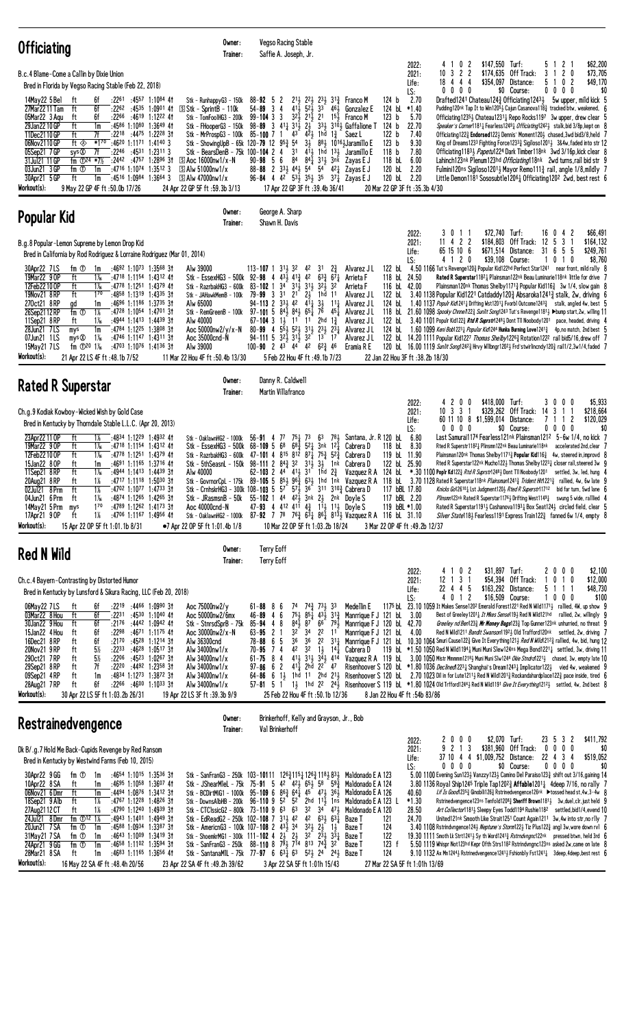| <b>Officiating</b>                                                                                                                                                                                                                                                                                                                                                                                                                                                                                                                                                                                                                                                                                                                                                                                                                         | Owner:<br>Trainer:                                                                                                                                                                                                                                                                                                                                          | Vegso Racing Stable<br>Saffie A. Joseph, Jr.                                                                                                                                                                                                                                                                                                                                                                                                                                                                                                                                                                                                                                                                                                                                                                                                                                                                                        |                                                                                                                                                                                                                                                                                                            |                                                                                                                                                                                             |                                                                                                                                                                                                                    |                                                                                                                                                                                                                                                                                                                                                                                                                                                                                                                                                                                                                                                                                                                                                                                                                                                                                                                                                                                                                                                                                                                                                                                                                                                                                        |                                                                                                                                            |
|--------------------------------------------------------------------------------------------------------------------------------------------------------------------------------------------------------------------------------------------------------------------------------------------------------------------------------------------------------------------------------------------------------------------------------------------------------------------------------------------------------------------------------------------------------------------------------------------------------------------------------------------------------------------------------------------------------------------------------------------------------------------------------------------------------------------------------------------|-------------------------------------------------------------------------------------------------------------------------------------------------------------------------------------------------------------------------------------------------------------------------------------------------------------------------------------------------------------|-------------------------------------------------------------------------------------------------------------------------------------------------------------------------------------------------------------------------------------------------------------------------------------------------------------------------------------------------------------------------------------------------------------------------------------------------------------------------------------------------------------------------------------------------------------------------------------------------------------------------------------------------------------------------------------------------------------------------------------------------------------------------------------------------------------------------------------------------------------------------------------------------------------------------------------|------------------------------------------------------------------------------------------------------------------------------------------------------------------------------------------------------------------------------------------------------------------------------------------------------------|---------------------------------------------------------------------------------------------------------------------------------------------------------------------------------------------|--------------------------------------------------------------------------------------------------------------------------------------------------------------------------------------------------------------------|----------------------------------------------------------------------------------------------------------------------------------------------------------------------------------------------------------------------------------------------------------------------------------------------------------------------------------------------------------------------------------------------------------------------------------------------------------------------------------------------------------------------------------------------------------------------------------------------------------------------------------------------------------------------------------------------------------------------------------------------------------------------------------------------------------------------------------------------------------------------------------------------------------------------------------------------------------------------------------------------------------------------------------------------------------------------------------------------------------------------------------------------------------------------------------------------------------------------------------------------------------------------------------------|--------------------------------------------------------------------------------------------------------------------------------------------|
| B.c.4 Blame-Come a Callin by Dixie Union<br>Bred in Florida by Vegso Racing Stable (Feb 22, 2018)<br>14May22 5 Bel<br>:22 <sup>61</sup> :45 <sup>57</sup> 1:10 <sup>84</sup> 41<br>ft<br>6f<br>6f<br>27Mar2211 Tam<br>ft<br>$:22^{62}$ $:45^{35}$ 1:0901 41<br>05Mar22 3 Aqu<br>ft<br>6f<br>:2266 :4619 1:1222 41<br>1m<br>:4586 1:1080 1:3649 41<br>29Jan22 10 GP<br>ft<br>11Dec2110GP<br>ft<br>7f<br>:2218 :4475 1:2228 31<br>06Nov2110 GP<br>*170<br>ft $\otimes$<br>:46 <sup>20</sup> 1:11 <sup>71</sup> 1:41 <sup>40</sup> 3<br>7f<br>$:22^{46}$ $:45^{31}$ 1:2311 3<br>05Sep21 7 GP<br>sys ®<br>31Jul21 11 GP<br>fm $\Phi^{24}$ *7%<br>$:2442$ $:4757$ 1:2896 31<br>03Jun21 3 GP<br>fm ①<br>$:47^{16}$ 1:1074 1:3512 3<br>1m<br>30Apr21 5 GP<br>ft<br>1m<br>$:4516$ 1:0984 1:3664 3<br>Workout(s):<br>9 May 22 GP 4F ft :50.0b 17/26 | Stk - RunhappyG3 - 150k<br>$\boxed{5}$ Stk - Sprint $B$ - 110k<br>Stk - TomFoo1HG3 - 200k<br>Stk - FHooperG3 - 150k<br>Stk - MrProspG3 - 100k<br>Stk - ShowingUpB - 65k 120-79 12 953 54<br>Stk - BearsDenB - 75k 100-104 2 4<br>$\boxed{S}$ Aoc 16000nw1/x-N<br>$\boxed{S}$ Alw 51000nw1/x<br>$\boxed{5}$ Alw 47000nw1/x<br>24 Apr 22 GP 5F ft: 59.3b 3/13 | $88 - 92$ 5 2<br>3<br>$52\frac{1}{2}$ 3 <sup>3</sup><br>$54 - 89$<br>$\overline{4}$<br>411<br>$99 - 104$ 3 3<br>$3^{2}$<br>$2^{1\bar{1}}$ $2^{1}$<br>$98 - 89$ 3 $41\frac{1}{4}$ $31\frac{1}{2}$<br>$2\frac{1}{2}$<br>43<br>$4^2$ 1hd<br>85-100 7<br>-1<br>3 <sup>1</sup><br>$4^{11}$ 1hd<br>$90 - 98$ 5 6 84<br>88-88 2 $33\frac{1}{2}$ 44 $\frac{1}{2}$ 54 54<br>96-84 4 4 <sup>2</sup> 5 <sup>3</sup> / <sub>2</sub> 3 <sup>5</sup> / <sub>2</sub> 3 <sup>5</sup> 3 <sup>7</sup> / <sub>4</sub> Zayas E J<br>17 Apr 22 GP 3F ft : 39.4b 36/41                                                                                                                                                                                                                                                                                                                                                                                    | 21} 22} 23} 31} Franco M<br>461<br>Gonzalez E<br>$15+$<br>Franco M<br>$33\frac{1}{2}$ $31\overline{0}$ Gaffalione T<br>$1\frac{3}{4}$<br>Saez L<br>34 884 10164 Jaramillo E<br>$13\frac{1}{2}$<br>Jaramillo E<br>841 311 3nk<br>Zayas E J<br>421<br>Zayas E J                                              | LS:<br>124 b<br>124 bL<br>$*1.40$<br>123 <sub>b</sub><br>124 <sub>b</sub><br>122 b<br>123 <sub>b</sub><br>118 <sub>b</sub><br>118 bL<br>120 bL<br>120 bL<br>20 Mar 22 GP 3F ft : 35.3b 4/30 | 0 <sub>2</sub><br>2022:<br>4<br>$\overline{1}$<br>$\overline{c}$<br>2021:<br>$\mathbf{2}$<br>10<br>3<br>18 4 4 4<br>Life:<br>$0\ 0\ 0\ 0$<br>2.70<br>5.70<br>22.70<br>7.40<br>9.30<br>7.80<br>6.00<br>2.20<br>2.20 | \$147,550 Turf:<br>\$174,635 Off Track:<br>3 1<br>\$354,097 Distance:<br>\$0 Course:<br>Drafted1241 Chateau124 $\frac{3}{4}$ Officiating1243 $\frac{1}{2}$<br>Pudding120nk Tap It to Win12051 Cajun Casanova1183 tracked btw, weakened, 6<br>Officiating 1235 $\frac{1}{2}$ Chateau 1231 $\frac{1}{4}$ Repo Rocks 1197 3w upper, drew clear 5<br>Speaker's Corner11811 Fearless12491 Officiating12421 stalk, bid 3/8p, kept on 8<br>Officiating 122} Endorsed 122} Dennis' Moment 120} chased, 3wd bid 3/8, held 7<br>King of Dreams1233 Fighting Force12333 Sigiloso12013 3&4w, faded into str 12<br>Officiating 1183 <i>Papetul</i> 224 Dark Timber 118nk 3wd 3/16p, kick clear 8<br>Lahinch123nk Plenum123hd Officiating118nk 2wd turns, rail bid str 9<br>Fulmini120ns Sigiloso12014 Mayor Remo111 $\frac{3}{4}$ rail, angle 1/8, mildly 7<br>Little Demon1181 Sososubtle12061 Officiating1202 2wd, best rest 6                                                                                                                                                                                                                                                                                                                                                                    | \$62,200<br>5 1 2 1<br>\$73,705<br>$\overline{c}$<br>0<br>5 1 0 2<br>\$49,170<br>$0\,0\,0\,0$<br>\$0<br>5w upper, mild kick 5              |
| Popular Kid                                                                                                                                                                                                                                                                                                                                                                                                                                                                                                                                                                                                                                                                                                                                                                                                                                | Owner:<br>Trainer:                                                                                                                                                                                                                                                                                                                                          | George A. Sharp<br>Shawn H. Davis                                                                                                                                                                                                                                                                                                                                                                                                                                                                                                                                                                                                                                                                                                                                                                                                                                                                                                   |                                                                                                                                                                                                                                                                                                            |                                                                                                                                                                                             |                                                                                                                                                                                                                    |                                                                                                                                                                                                                                                                                                                                                                                                                                                                                                                                                                                                                                                                                                                                                                                                                                                                                                                                                                                                                                                                                                                                                                                                                                                                                        |                                                                                                                                            |
| B.g.8 Popular-Lemon Supreme by Lemon Drop Kid<br>Bred in California by Rod Rodriguez & Lorraine Rodriguez (Mar 01, 2014)<br>fm ①<br>$:4692$ 1:1073 1:3568 31<br>30Apr22 7LS<br>1m<br>19Mar22 9 OP<br>ft<br>1‰<br>:4718 1:1154 1:4312 41<br>$1\frac{1}{6}$<br>12Feb22 10 OP<br>ft<br>:4778 1:1251 1:4379 41<br>19Nov21 8RP<br>ft<br>$1^{70}$<br>$:4858$ 1:1319 1:4335 31<br>270ct21 8RP<br>gd<br>:4696 1:1186 1:3735 31<br>1m<br>26Sep2112RP<br>fm $\overline{0}$<br>$1\%$<br>:4728 1:1054 1:4701 31<br>:4944 1:1413 1:4439 31<br>11Sep21 8RP<br>ft<br>1‰<br>28Jun21 7LS<br>1m<br>:4784 1:1225 1:3808 31<br>mys<br>$1\%$<br>07Jun21 1LS<br>mys<br>:4746 1:1147 1:4311 31<br>15May21 7LS<br>fm $\Phi^{20}$ 1%<br>:4703 1:1076 1:4136 31<br>Workout(s):<br>21 Apr 22 LS 4F ft: 48.1b 7/52                                                     | Alw 39000<br>Stk - RazrbakHG3 - 600k<br>Stk - JAHawkMemB - 100k<br>Alw 65000<br>Stk - RemGreenB - 100k<br>Alw 40000<br>Aoc 50000nw2/y/x-N<br>Aoc 35000cnd-N<br>Alw 39000<br>11 Mar 22 Hou 4F ft: 50.4b 13/30                                                                                                                                                | $113 - 107$ 1 $31\frac{1}{2}$ $32$ 42<br>Stk - EssexHG3 - 500k 92-98 4 43 $\frac{1}{2}$ 41 $\frac{3}{2}$ 42<br>$83 - 102$ 1 $34^{\circ}$ $31\frac{1}{2}$<br>$3^{11}$ $3^{21}$<br>79-99 3 31<br>$2\frac{1}{2}$<br>2 <sup>1</sup><br>$4^{11}$<br>$94 - 113$ 2 $33\frac{1}{2}$ 42<br>$97-101$ 5 $84\frac{1}{2}$ $84\frac{1}{2}$ $65\frac{1}{4}$ $76$<br>67-104 3 $1\frac{1}{2}$ 1 <sup>1</sup> 1 <sup>1</sup> 2hd $1\frac{3}{4}$<br>554 524 314 234 234<br>$80 - 99$ 4<br>$94 - 111$ 5 $3^{2}$ $\frac{1}{2}$ $3^{1}$ $\frac{1}{2}$<br>100-90 2 43 44 42 $62\frac{3}{4}$ 46<br>5 Feb 22 Hou 4F ft:49.1b 7/23                                                                                                                                                                                                                                                                                                                            | 31<br>$2\frac{3}{4}$<br>Alvarez J L<br>$63\frac{3}{4}$ $67\frac{1}{4}$<br>Arrieta F<br>32<br>Arrieta F<br>1hd 11<br>Alvarez J L<br>$3\frac{1}{2}$<br>Alvarez J L<br>$11\frac{1}{2}$<br>Alvarez J L<br>4 <sup>5</sup><br>Alvarez J L<br>Alvarez J L<br>$3^{2}$ $1^{3}$ $1^{7}$<br>Alvarez J L<br>Eramia R E | LS:<br>122 bL<br>118 bL 24.50<br>116 bL 42.00<br>122 bL<br>124 bL<br>124 bL<br>22 Jan 22 Hou 3F ft : 38.2b 18/30                                                                            | 3 0 1 1<br>2022:<br>11 4 2 2<br>2021:<br>65 15 10 6<br>Life:<br>4 1 2 0                                                                                                                                            | \$72,740 Turf:<br>\$184,803 Off Track: 12 5<br>\$671,514 Distance:<br>31 6<br>\$39,108 Course:<br>4.50 1166 Tut's Revenge120½ Popular Kid122hd Perfect Star1241 near front, mild rally 8<br>Rated R Superstar11821 Plainsman122nk Beau Luminarie118nk little for drive 7<br>Plainsman120nk Thomas Shelby1171 $\frac{3}{4}$ Popular Kid116 $\frac{3}{4}$ 3w 1/4, slow gain 8<br>3.40 1138 Popular Kid1221 Catdaddy120 $\frac{3}{4}$ Absaroka1241 $\frac{3}{4}$ stalk, 2w, driving 6<br>1.40 1137 Populr Kid1241 <sub>4</sub> Drifting Wst1201 <sub>4</sub> Fvorbl Outcome1243 <sub>4</sub> stalk, angled 4w, best 5<br>118 bL 21.60 1098 Spooky Chnne/122} Sunlit Song1243 Tut's Revenge1181} >bump start, 2w, willing 11<br>122 bl. 3.40 1101 Populr Kid122 <sub>4</sub> Rtd R Suprstr1248 <sub>2</sub> Dont T11 Noobody1201 pace, headed, driving 4<br>1.60 1099 Keni Bob1223 $\frac{1}{4}$ Popular Kid1244 Hunka Burning Love1241 $\frac{3}{4}$ 4p, no match, 2nd best 5<br>122 bl. 14.20 1111 Popular Kid1227 Thomas Shelby12263 Rotation1222 rail bid5/16, drew off 7<br>120 bl 16.00 1119 Sunlit Song124 <sup>23</sup> Hrvy Wilbngr120 <sup>23</sup> Frd'stwirlincndy1203 rail1/2,3w1/4,faded 7                                                                                   | 16 0 4 2<br>\$66,491<br>$\overline{3}$<br>\$164,132<br>\$249,761<br>-5<br>-5<br>1010<br>\$8,760                                            |
| <b>Rated R Superstar</b>                                                                                                                                                                                                                                                                                                                                                                                                                                                                                                                                                                                                                                                                                                                                                                                                                   | Owner:<br>Trainer:                                                                                                                                                                                                                                                                                                                                          | Danny R. Caldwell<br>Martin Villafranco                                                                                                                                                                                                                                                                                                                                                                                                                                                                                                                                                                                                                                                                                                                                                                                                                                                                                             |                                                                                                                                                                                                                                                                                                            |                                                                                                                                                                                             |                                                                                                                                                                                                                    |                                                                                                                                                                                                                                                                                                                                                                                                                                                                                                                                                                                                                                                                                                                                                                                                                                                                                                                                                                                                                                                                                                                                                                                                                                                                                        |                                                                                                                                            |
| Ch.g.9 Kodiak Kowboy-Wicked Wish by Gold Case<br>Bred in Kentucky by Thorndale Stable L.L.C. (Apr 20, 2013)<br>23Apr22 11 OP<br>ft<br>1%<br>:4834 1:1229 1:4932 41<br>19Mar22 9 OP<br>ft<br>1‰<br>:4718 1:1154 1:4312 41<br>12Feb22 10 OP<br>ft<br>$1\%$<br>:4778 1:1251 1:4379 41<br>:4691 1:1165 1:3716 41<br>15Jan22 80P<br>ft<br>1m<br>ft<br>11Sep21 8RP<br>1‰<br>:4944 1:1413 1:4439 31<br>20Aug21 8RP<br>ft<br>1%<br>$:4717$ 1:1118 1:5030 31<br>ft<br>1%<br>:4702 1:1077 1:4733 3†<br>02Jul21 8Prm<br>04Jun21 6 Prm<br>ft –<br>:4874 1:1265 1:4265 31<br>1 X <sub>6</sub><br>14May21 5 Prm mys<br>170<br>$:4789$ 1:1262 1:4173 31<br>1%<br>$:4706$ 1:1167 1:4956 41<br>17Apr21 90P<br>ft<br>Workout(s):<br>15 Apr 22 OP 5F ft 1:01.1b 8/31                                                                                          | Stk - OaklawnHG2 - 1000k<br>Stk - EssexHG3 - 500k 68-109 5 68<br>Stk - 5thSeasnL - 150k 98-111 2 84 $\frac{3}{4}$ 32<br>Alw 40000<br>Stk - GovrnorCpL - 175k 89-105 5 853 96 $\frac{3}{4}$<br>$Stk$ - J $R$ asmsn $B$ - $50k$<br>Aoc 40000cnd-N<br>•7 Apr 22 OP 5F ft 1:01.4b 1/8                                                                           | $56-91$ 4 77 75 $\frac{1}{4}$ 73<br>$68\frac{3}{4}$<br>Stk - RazrbakHG3 - 600k 47-101 4 815 812 871 753 523<br>$3^{11}$ $3^{11}$<br>62-103 2 44 413 31 1hd $2\frac{3}{4}$<br>Stk - CrnhskrHG3 - 300k 108-103 5 $5^{7}$ $5^{7}$ $5^{7}$ $3^{6}$ 311 310 <sup>3</sup> Cabrera D<br>55-102 1 44 423 3nk 23 2nk Doyle S<br>47-93 4 412 411 43 114 114 Doyle S<br>Stk - OaklawnHG2 - 1000k 87-92 7 78 76 $\frac{3}{4}$ 6 $\frac{31}{4}$ 86 $\frac{1}{4}$ 81 $\frac{31}{2}$ Vazquez R A 116 bl 31.10<br>10 Mar 22 OP 5F ft 1:03.2b 18/24                                                                                                                                                                                                                                                                                                                                                                                                  | $63$ 781<br>$5^2$ 3nk $1^2$<br>Cabrera D<br>Cabrera D<br>1nk<br>Cabrera D<br>Vazquez R A<br>631 1hd 1nk Vazquez R A 118 bl                                                                                                                                                                                 | LS:<br>Santana, Jr. R 120 bL<br>118 bL<br>119 bL 11.90<br>122 bL 25.90<br>124 bL<br>117 bBL 17.80<br>117 bBL 2.20<br>119 bBL *1.00<br>3 Mar 22 OP 4F ft : 49.2b 12/37                       | 2022:<br>420<br>0<br>2021:<br>$10 \t3 \t3$<br>Life:<br>$0\ 0\ 0\ 0$<br>6.80<br>8.30                                                                                                                                | \$418,000 Turf:<br>\$329,262 Off Track:<br>14<br>3<br>60 11 10 8 \$1,599,014 Distance:<br>\$0 Course:<br>Last Samurai1174 Fearless121nk Plainsman121 <sup>2</sup> 5-6w 1/4, no kick 7<br>Rted R Superstr11821 Plinsmn122nk Beau Luminarie118nk<br>Plainsman120nk Thomas Shelby1171 $\frac{3}{4}$ Popular Kid116 $\frac{3}{4}$ 4w, steered in, improvd 8<br>Rted R Superstar122nk Mucho1223 Thomas Shelby12231 closer rail, steered 3w 9<br>*.30 1100 Poplr Kd1223 Rtd R Suprstr12483 Dont T11 Noobody 1201<br>3.70 1128 Rated R Superstar118nk Plainsman12413 Trident Hit12213 rallied, 4w, 6w late 9<br>Knicks Go12610 <sub>4</sub> Lst Judgment120 <sub>2</sub> Rted R Superstr11712 bid far turn, 5wd lane 6<br>Plinsmn123nk Rated R Superstar1176 <sub>2</sub> Drifting West1149 $\frac{1}{4}$ swung 5 wide, ralllied 4<br>Rated R Superstar11911 Cashanova11931 Box Seat1241 circled field, clear 5<br>Silver State118} Fearless1191 Express Train122} fanned 6w 1/4, empty 8                                                                                                                                                                                                                                                                                                     | \$5,933<br>3000<br>\$218,664<br>1 1<br>7 1 1 2<br>\$120,029<br>$0\ 0\ 0\ 0$<br>\$0<br>accelerated 2nd, clear 7<br>settled, 3w, led, hung 4 |
| Red N Wild                                                                                                                                                                                                                                                                                                                                                                                                                                                                                                                                                                                                                                                                                                                                                                                                                                 | Owner:<br>Trainer:                                                                                                                                                                                                                                                                                                                                          | <b>Terry Eoff</b><br><b>Terry Eoff</b>                                                                                                                                                                                                                                                                                                                                                                                                                                                                                                                                                                                                                                                                                                                                                                                                                                                                                              |                                                                                                                                                                                                                                                                                                            |                                                                                                                                                                                             |                                                                                                                                                                                                                    |                                                                                                                                                                                                                                                                                                                                                                                                                                                                                                                                                                                                                                                                                                                                                                                                                                                                                                                                                                                                                                                                                                                                                                                                                                                                                        |                                                                                                                                            |
| Ch.c.4 Bayern-Contrasting by Distorted Humor<br>Bred in Kentucky by Lunsford & Sikura Racing, LLC (Feb 20, 2018)<br>$:22^{19}$ $:44^{66}$ 1:0990 31<br>06May22 7LS<br>ft<br>6f<br>6f<br>$:22^{31}$ $:45^{30}$ 1:1040 41<br>03Mar22 8 Hou<br>ft<br>30Jan22 9 Hou<br>ft<br>6f<br>:2176 :4442 1:0942 41<br>15Jan22 4 Hou<br>6f<br>:2298<br>:46 <sup>71</sup> 1:11 <sup>75</sup> 41<br>ft<br>6f<br>16Dec21 8RP<br>ft<br>:2170 :4528 1:1214 31<br>5%<br>20Nov21 9RP<br>ft<br>$:22^{33}$ $:46^{28}$ 1:0517 31<br>5%<br>:2206 :4523 1:0267 31<br>290ct21 7RP<br>ft<br>:2220 :4492 1:2358 31<br>29Sep21 8RP<br>ft<br>7f<br>09Sep21 4RP<br>ft<br>:4834 1:1273 1:3872 31<br>1m<br>28Aug21 7RP<br>ft<br>6f<br>$:22^{66}$ $:46^{00}$ 1:10 <sup>33</sup> 31<br>Workout(s):<br>30 Apr 22 LS 5F ft 1:03.2b 26/31                                          | Aoc 75000nw2/y<br>Aoc 50000nw2/6mx<br>Stk - StnrsdSprB - 75k<br>Aoc 30000nw2/x-N<br>Alw 36300cnd<br>Alw 34000nw1/x<br>Alw 34000nw1/x<br>Alw $34000$ nw $1/x$<br>Alw 34000nw1/x<br>Alw 34000nw1/x<br>19 Apr 22 LS 3F ft :39.3b 9/9                                                                                                                           | 86<br>61-88<br>74<br>75 <sub>1</sub><br>6<br>46-89<br>4<br>$84\overline{1}$<br>48<br>87<br>85-94<br>3 <sup>4</sup><br>$63 - 95$ 2 1<br>32<br>$78 - 88 = 6 = 5$<br>36<br>36<br>42<br>74<br>32<br>70-95<br>$61 - 75$ 8 4<br>$97 - 86 = 6$ 2<br>411<br>$57 - 81$ 5 1<br>25 Feb 22 Hou 4F ft: 50.1b 12/36                                                                                                                                                                                                                                                                                                                                                                                                                                                                                                                                                                                                                               | Medellin E<br>74 <sup>3</sup> / <sub>73</sub> 73 33<br>$85\frac{1}{4}$ $43\frac{1}{2}$ $31\frac{3}{4}$<br>$79\frac{1}{2}$<br>66<br>$2^2$ 11<br>$1\frac{1}{2}$ $14\frac{1}{4}$<br>Cabrera D<br>2hd 22 47                                                                                                    | LS:<br>Manrrique F J 121 bL 3.00<br>Manrrique F J 120 bl 42.70<br>Manrrique F J 121 bL 4.00<br>8 Jan 22 Hou 4F ft: 54b 83/86                                                                | 4 1 0 2<br>2022:<br>$12$ 1 3 1<br>2021:<br>22 4 4 5<br>Life:<br>4 0 1 2                                                                                                                                            | \$31,897 Turf:<br>\$54,394 Off Track:<br>1<br>\$163,292 Distance:<br>5 1<br>\$16,509 Course:<br>1<br>1175 bL 23.10 1059 It Makes Sense1202 Emerald Forest1221 Red N Wild1171 <sub>2</sub> rallied, 4W, up show 9<br>Best of Greeley1201 <sub>4</sub> It Mkes Sense119 <sub>2</sub> Red N Wild121hd rallied, 2w, willingly 9<br>Greeley nd Ben123 $\frac{3}{4}$ Mr Money Bags123 $\frac{3}{4}$ Top Gunner123 <sup>nk</sup> unhurried, no threat 9<br>Red N Wild1211 Bandit Swanson11923 Old Trafford120nk settled, 2w, driving 7<br>22 311 Manrrique F J 121 bl. 10.30 1064 Smuri Cause 1223 Give It Everything 1211 Red N Wild 2123 rallied, 4w, bid, hung 12<br>119 bl. *1.50 1050 Red N Wild11941 Muni Muni Slew124ns Mega Bond12211 settled, 3w, driving 11<br>413 313 343 414 Vazquez R A 119 bl 3.00 1050 Mistr Mmmmm12183 Muni Muni SIw1244 Okie Stndrd12213 chased, 3w, empty late 10<br>Risenhoover S 120 bl. *1.80 1036 Declined 223 3 Shanghai's Dream1243 Implicator122 yied 4w, weakened 9<br>$64-86$ 6 13 1hd 11 2hd 213 Risenhoover S 120 bl 2.70 1023 Dil in for Lute12113 Red N Wild12013 Rockandahardplace1223 pace inside, tired 6<br>1} 1hd 22 24} Risenhoover S 119 bl. *1.80 1024 01d Trfford1244} Red N Wild1191 Give It Everything1212} settled, 4w, 2nd best 8 | 2000<br>\$2,100<br>\$12,000<br>0 1 0<br>\$48,730<br>1 1<br>$0\,0\,0$<br>\$100                                                              |
| <b>Restrainedvengence</b>                                                                                                                                                                                                                                                                                                                                                                                                                                                                                                                                                                                                                                                                                                                                                                                                                  | Owner:<br>Trainer:                                                                                                                                                                                                                                                                                                                                          | Brinkerhoff, Kelly and Grayson, Jr., Bob<br>Val Brinkerhoff                                                                                                                                                                                                                                                                                                                                                                                                                                                                                                                                                                                                                                                                                                                                                                                                                                                                         |                                                                                                                                                                                                                                                                                                            |                                                                                                                                                                                             |                                                                                                                                                                                                                    |                                                                                                                                                                                                                                                                                                                                                                                                                                                                                                                                                                                                                                                                                                                                                                                                                                                                                                                                                                                                                                                                                                                                                                                                                                                                                        |                                                                                                                                            |
| Dk B/.g.7 Hold Me Back-Cupids Revenge by Red Ransom<br>Bred in Kentucky by Westwind Farms (Feb 10, 2015)<br>fm ①<br>$:4654$ 1:1015 1:3536 31<br>30Apr22 9 GG<br>1m<br>10Apr22 8 SA<br>:4695 1:1058 1:3607 41<br>ft<br>1m<br>06Nov21 6Dmr<br>ft<br>:4494 1:0876 1:3412 31<br>1m<br>18Sep21 9 Alb<br>ft<br>$1\%$<br>:4767 1:1228 1:4826 31<br>27Aug 21 12 CT<br>ft<br>1%<br>:4790 1:1240 1:4939 31<br>fm $\Phi$ <sup>12</sup> 1%<br>24Jul21 8Dmr<br>:4943 1:1401 1:4949 31<br>20Jun21 7 SA<br>fm ①<br>1m<br>:4588 1:0934 1:3387 31<br>31May21 7 SA<br>fm ①<br>$:4643$ 1:1009 1:3419 31<br>1m<br>:4658 1:1102 1:3594 31<br>24Apr21 9 GG<br>fm $\overline{0}$<br>1m<br>28Mar21 8 SA<br>ft<br>$:4683$ 1:1165 1:3656 41<br>1m<br>Workout(s):<br>16 May 22 SA 4F ft : 48.4h 20/56                                                                 | Stk - DownsAlbHB - 200k 96-110 9 52 52<br>Stk - AmericnG3 - 100k 107-108 2 $43\frac{1}{2}$ 34<br>23 Apr 22 SA 4F ft : 49.2h 39/62                                                                                                                                                                                                                           | Stk - SanFranG3 - 250k 103-10111 126 $\frac{3}{4}$ 115 $\frac{1}{4}$ 126 $\frac{3}{4}$ 118 $\frac{1}{2}$ 83 $\frac{1}{2}$ Maldonado E A 123<br>Stk - JShearM1eL - 75k 75-91 5 42 42 65 65 68 59 $\frac{3}{4}$<br>Stk - BCDirtMiG1 - 1000k 95-109 6 86 $\frac{3}{4}$ 64 $\frac{1}{4}$ 45 47 $\frac{1}{2}$ 36 $\frac{1}{2}$<br>Stk - CTClssicG2 - 800k 73-110 9 63 63 32 34 473<br>Stk - EdReadG2 - 250k 102-108 7 31 $\frac{1}{2}$ 4 <sup>2</sup> 4 <sup>2</sup> 63 $\frac{1}{2}$ 63 $\frac{1}{4}$<br>$3^2\frac{1}{2}$ $2^1\frac{1}{2}$<br>Stk - ShoemkrMG1 - 300k 111-102 4 $2\frac{1}{2}$ $2\frac{1}{2}$ $3^2$ $2^3\frac{1}{2}$ $3^3\frac{1}{4}$<br>Stk - SanFranG3 - 250k 88-110 8 $7\overline{9}3$ $7\overline{1}4$ 813 $74\overline{3}$ 32<br>Stk - SantanaMIL - 75k 77-97 6 63 $\frac{1}{4}$ 6 <sup>3</sup> 5 <sup>2</sup> 5 <sup>2</sup> 2 <sup>4</sup> 2 <sup>4</sup> 5 <sup>2</sup> Baze T<br>3 Apr 22 SA 5F ft 1:01h 15/43 | 2hd $11\frac{1}{2}$ 1ns<br>Baze T<br>Baze T<br>$1\frac{1}{2}$<br>Baze T<br>Baze T                                                                                                                                                                                                                          | LS:<br>Maldonado E A 124<br>Maldonado E A 126<br>Maldonado E A 123 L<br>Maldonado E A 120<br>121<br>124<br>122<br>123 f<br>124<br>27 Mar 22 SA 5F ft 1:01h 13/69                            | 2022:<br>2000<br>9 2 1 3<br>2021:<br>Life:<br>$0\,0\,0\,0$<br>40.60<br>$*1.30$<br>28.50<br>24.70                                                                                                                   | \$2,070 Turf:<br>\$381,960 Off Track:<br>37 10 4 4 \$1,009,752 Distance:<br>\$0 Course:<br>5.00 1100 Evening Sun1233 Vanzzy1233 Camino Del Paraiso1233 shift out 3/16, gaining 14<br>3.80 1136 Royal Ship1245 Triple Tap120 <sup>2</sup> / <sub>2</sub> Affable120 <sup>1</sup> / <sub>4</sub> 4deep 7/16, no rally 7<br>Lif Is Good 235} Ginobili126} Rstrinedvengence126nk ▶tossed head st, 4w, 3-4w 8<br>Rstrinedvengence123ns Tenfold1208 $\frac{3}{4}$ Sheriff Brown1181 $\frac{1}{2}$ 3w, duel, clr, just held 9<br>Art Collector11813 Sleepy Eyes Todd1194 Rushie1182 settled, bid1/4, evend 10<br>United121nk Smooth Like Strait1251 Count Again1211 3w, 4w into str, no rily 7<br>3.40 1108 Rstrindvngence124 $\frac{1}{2}$ Neptune's Storm122 $\frac{1}{2}$ Tiz Plus122 $\frac{3}{4}$ angl 3w, wore down rvl 6<br>19.30 1111 Smoth Lk Strt12413 Sy th Word12413 Rstrndvngnc122nk pressed btwn, held 3rd 6<br>5.50 1119 Whispr Not123hd Kepr Ofth Strs1182 Rstrindvngnc123ns asked 2w, came on late 8<br>9.10 1132 Ax Mn124 <sup>4</sup> > Rstrinedvengence124 <sup>1</sup> > Fshionbly Fst124 <sup>1</sup> + 3deep, 4deep, best rest 6                                                                                                                                       | 23 5 3 2<br>\$411,792<br>$0\ 0\ 0\ 0$<br>\$0<br>22 4 3 4<br>\$519,052<br>$0\ 0\ 0\ 0$<br>\$0                                               |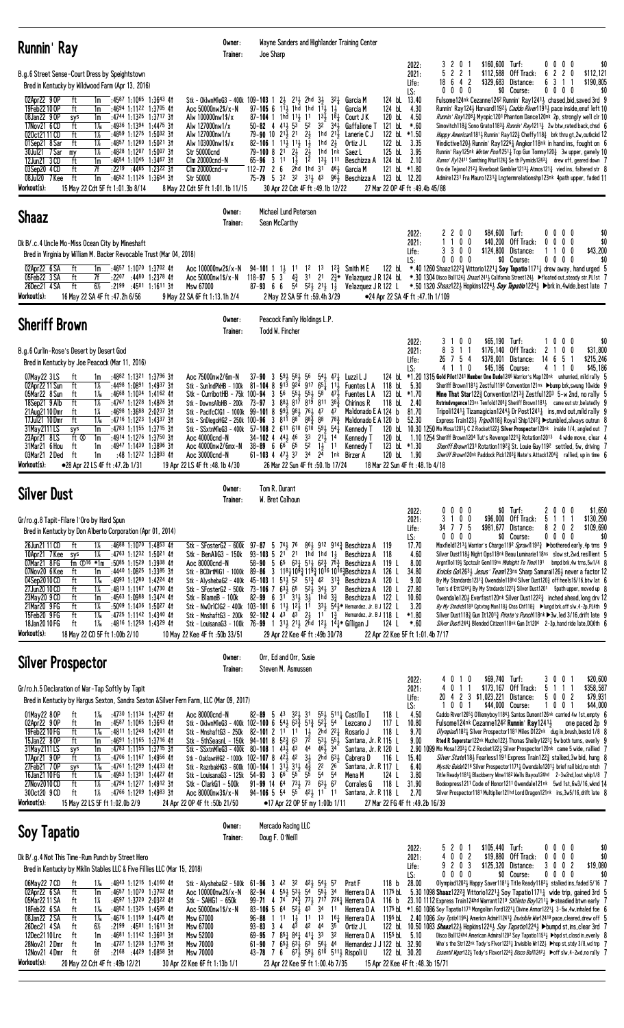| Runnin' Ray                                                                                                                                                                           |                                                                                                                                                                                                                                                                                                                                                                                                                                                                                                                                                                             | Owner:<br>Trainer:                                                                                                                                                                                                    | Joe Sharp                                                                                                                                                                                                                                                                                                                                                                                                                                                                                                                                                                                                                                                                                                                                                                                                                          | Wayne Sanders and Highlander Training Center                                                                                                                                                                                                                                                                                                                                                                                                                                                                                                                        |                                                                                                                                                                                                                                                                                                                                                                                                                                                                                                                                                                                                                                                  |                                                                                                                                                                                                                                                                                                                                                                                                                                                                                                                                                                                                                                                                                                                                                                                                                                                                                                                                                                                                                                             |                                                                                                                                      |
|---------------------------------------------------------------------------------------------------------------------------------------------------------------------------------------|-----------------------------------------------------------------------------------------------------------------------------------------------------------------------------------------------------------------------------------------------------------------------------------------------------------------------------------------------------------------------------------------------------------------------------------------------------------------------------------------------------------------------------------------------------------------------------|-----------------------------------------------------------------------------------------------------------------------------------------------------------------------------------------------------------------------|------------------------------------------------------------------------------------------------------------------------------------------------------------------------------------------------------------------------------------------------------------------------------------------------------------------------------------------------------------------------------------------------------------------------------------------------------------------------------------------------------------------------------------------------------------------------------------------------------------------------------------------------------------------------------------------------------------------------------------------------------------------------------------------------------------------------------------|---------------------------------------------------------------------------------------------------------------------------------------------------------------------------------------------------------------------------------------------------------------------------------------------------------------------------------------------------------------------------------------------------------------------------------------------------------------------------------------------------------------------------------------------------------------------|--------------------------------------------------------------------------------------------------------------------------------------------------------------------------------------------------------------------------------------------------------------------------------------------------------------------------------------------------------------------------------------------------------------------------------------------------------------------------------------------------------------------------------------------------------------------------------------------------------------------------------------------------|---------------------------------------------------------------------------------------------------------------------------------------------------------------------------------------------------------------------------------------------------------------------------------------------------------------------------------------------------------------------------------------------------------------------------------------------------------------------------------------------------------------------------------------------------------------------------------------------------------------------------------------------------------------------------------------------------------------------------------------------------------------------------------------------------------------------------------------------------------------------------------------------------------------------------------------------------------------------------------------------------------------------------------------------|--------------------------------------------------------------------------------------------------------------------------------------|
| 02Apr22 9 OP<br>19Feb22 10 OP<br>08Jan22 9 OP<br>17Nov21 6 CD<br>020ct2111CD<br>01Sep21 8 Sar<br>30Jul21 7 Sar<br>12Jun21 3 CD<br>03Sep20 4 CD<br>08Jul20 7 Kee<br>Workout(s):        | B.g.6 Street Sense-Court Dress by Speightstown<br>Bred in Kentucky by Wildwood Farm (Apr 13, 2016)<br>$:4587$ 1:1065 1:3643 41<br>ft<br>1m<br>ft<br>$:4694$ 1:1122 1:3705 41<br>1m<br>:4744 1:1325 1:3717 31<br>sys<br>1m<br>:4936 1:1394 1:4475 31<br>ft<br>$1\%$<br>$1\%$<br>ft<br>:4859 1:1275 1:5032 31<br>ft<br>1%<br>:4857 1:1280 1:5021 31<br>$1\%$<br>:4828 1:1207 1:5007 31<br>my<br>$:4654$ 1:1045 1:3467 31<br>ft<br>1m<br>ft<br>7f<br>$:22^{19}$ $:44^{65}$ 1:2322 31<br>ft<br>1m<br>$:4652$ 1:1126 1:3654 31<br>15 May 22 Cdt 5F ft 1:01.3b 8/14               | Aoc $50000$ nw $2$ \$/x-N<br>Alw 100000nw1\$/x<br>Alw 127000nw1/x<br>Alw 127000nw1/x<br>Alw 103000nw1\$/x<br>Str 50000cnd<br>Clm 20000cnd-N<br>$C$ lm 20000 $c$ nd-v<br>Str 50000<br>8 May 22 Cdt 5F ft 1:01.1b 11/15 | Stk - OklwnMleG3 - 400k 109-103 1 2 $\frac{1}{2}$ 2 <sup>11</sup> / <sub>2</sub> 2hd 3 <sup>1</sup> 3 <sup>2</sup> <sup>1</sup> / <sub>4</sub> Garcia M<br>$97 - 105$ 6 $11\frac{1}{2}$ 1hd 1hd $11\frac{1}{2}$ 1<br>$87 - 104$ 1 1hd $11\frac{1}{2}$ 11<br>$50 - 82$ 4 $41\frac{1}{2}$ $53$ <sup>5</sup> $52$<br>79-90 10 $2^{11}$ $2^{1}$ $2^{1}$ $2^{1}$<br>$82 - 106$ 1 $11\frac{1}{2}$ $11\frac{1}{2}$ $1\frac{1}{2}$<br>79-100 8 $2^{1}$ $2^{1}$ $2^{1}$ $2^{1}$<br>$65 - 96$ 3 1 1 $1\overline{3}$ 1 <sup>2</sup><br>$112 - 77$ 2 6<br>30 Apr 22 Cdt 4F ft :49.1b 12/22                                                                                                                                                                                                                                                     | Garcia M<br>$13\frac{1}{2}$ $18\frac{1}{4}$<br>Court J K<br>$32^{7}$ $34\frac{1}{2}$<br>Gaffalione T<br>1hd $2^{1\over 2}$ Lanerie C J<br>1hd $2\frac{1}{2}$<br>Ortiz J L<br>1hd 1nk Saez L<br>13 <sub>3</sub> 111 Beschizza A<br>$2\bar{h}$ d 1hd $31^{-}$ 461 Garcia M<br>75-79 5 32 32 313 43 963 Beschizza A 123 bl 12.20                                                                                                                                                                                                                                       | 3201<br>2022:<br>5 2 2 1<br>2021:<br>$18 \t6 \t4 \t2$<br>Life:<br>$0\ 0\ 0\ 0$<br>LS:<br>124 bL 13.40<br>124 bL<br>4.30<br>4.50<br>120 bL<br>121 bL<br>*.60<br>122 bl $*1.50$<br>122 bL<br>3.35<br>125 bL 3.95<br>124 bL<br>2.10<br>121 bL *1.80<br>27 Mar 22 OP 4F ft : 49.4b 45/88                                                                                                                                                                                                                                                                                                                                                             | \$160,600 Turf:<br>\$112,588 Off Track:<br>\$329,683 Distance:<br>\$0 Course:<br>Fulsome124nk Cezanne1242 Runnin' Ray1241 <sup>1</sup> / <sub>2</sub> chased, bid, saved 3rd 9<br>Runnin' Ray 1243 Harvard 11923 Caddo River11913 pace inside, enuf left 10<br>Runnin' Ray12081 Myopic1201 Phantom Dance120nk 2p, strongly well clr 10<br>Simovitch118 $\frac{3}{4}$ Sono Grato118 <sup>3</sup> $\frac{3}{4}$ Runnin' Ray121 <sup>1</sup> $\frac{3}{4}$ 2w btw, rated back, chsd 6<br>Happy American11814 Runnin' Ray1223 Cheffy1183 brk thru qt.2w.outkckd 12<br>Vindictive120} Runnin' Ray1226} Angkor118nk in hand ins, fought on 6<br>Runnin' Ray125nk <i>Winter Pool</i> 1251 <sub>4</sub> Top Gun Tommy120 <sub>4</sub> 3w upper, gamely 10<br><i>Runnn' Ry</i> 12411 Somthing Nturl124 $\frac{3}{4}$ Se th Pyrmids1243 $\frac{1}{4}$ drew off, geared down 7<br>Oro de Tejano12121 Riverboat Gambler12131 Atmos121 $\frac{3}{4}$ vied ins, faltered str 8<br>Admire1231 Fra Mauro12313 Lngtermrelationshp123nk 4path upper, faded 11 | $0\ 0\ 0\ 0$<br>\$0<br>6 2 2 0<br>\$112,121<br>\$190,805<br>31<br>6<br>$0\ 0\ 0\ 0$<br>\$0                                           |
| <b>Shaaz</b>                                                                                                                                                                          |                                                                                                                                                                                                                                                                                                                                                                                                                                                                                                                                                                             | Owner:<br>Trainer:                                                                                                                                                                                                    | Michael Lund Petersen<br>Sean McCarthy                                                                                                                                                                                                                                                                                                                                                                                                                                                                                                                                                                                                                                                                                                                                                                                             |                                                                                                                                                                                                                                                                                                                                                                                                                                                                                                                                                                     |                                                                                                                                                                                                                                                                                                                                                                                                                                                                                                                                                                                                                                                  |                                                                                                                                                                                                                                                                                                                                                                                                                                                                                                                                                                                                                                                                                                                                                                                                                                                                                                                                                                                                                                             |                                                                                                                                      |
|                                                                                                                                                                                       | Dk B/.c.4 Uncle Mo-Miss Ocean City by Mineshaft<br>Bred in Virginia by William M. Backer Revocable Trust (Mar 04, 2018)                                                                                                                                                                                                                                                                                                                                                                                                                                                     |                                                                                                                                                                                                                       |                                                                                                                                                                                                                                                                                                                                                                                                                                                                                                                                                                                                                                                                                                                                                                                                                                    |                                                                                                                                                                                                                                                                                                                                                                                                                                                                                                                                                                     | 2 2 0 0<br>2022:<br>1100<br>2021:<br>3 3 0 0<br>Life:<br>$0\ 0\ 0\ 0$<br>LS:                                                                                                                                                                                                                                                                                                                                                                                                                                                                                                                                                                     | \$84,600 Turf:<br>\$40,200 Off Track:<br>\$124,800 Distance:<br>\$0 Course:                                                                                                                                                                                                                                                                                                                                                                                                                                                                                                                                                                                                                                                                                                                                                                                                                                                                                                                                                                 | $0\ 0\ 0\ 0$<br>\$0<br>$0\ 0\ 0$<br>0<br>\$0<br>\$43,200<br>1100<br>0000<br>\$0                                                      |
| 02Apr22 6 SA<br>05Feb22 3 SA<br>26Dec21 4 SA<br>Workout(s):                                                                                                                           | ft<br>:4657 1:1070 1:3702 41<br>1m<br>ft<br>7f<br>:2207 :4480 1:2378 41<br>ft<br>$6\frac{1}{2}$<br>$:2199$ $:4501$ 1:1611 31<br>16 May 22 SA 4F ft :47.2h 6/56                                                                                                                                                                                                                                                                                                                                                                                                              | Aoc 100000nw2\$/x-N<br>Aoc 50000nw1\$/x-N<br>Msw 67000<br>9 May 22 SA 6F ft 1:13.1h 2/4                                                                                                                               | $94 - 101$ 1 $1\frac{1}{2}$ 11<br>$87-93$ 6 6 $5^{\frac{7}{4}}$ $5^{\frac{21}{2}}$ $2^{\frac{11}{2}}$ $1^{\frac{1}{2}}$<br>2 May 22 SA 5F ft: 59.4h 3/29                                                                                                                                                                                                                                                                                                                                                                                                                                                                                                                                                                                                                                                                           | 12 13 12 $\frac{3}{4}$ Smith ME<br>118-97 5 3 4 31 21 2 * Velazquez J R 124 bl. *.30 1304 Disco Ball124 3 Shaaz12413 California Street124 Ffloated out steady str.PL1st 7<br>Velazquez J R 122 L                                                                                                                                                                                                                                                                                                                                                                    | 122 bL<br>●24 Apr 22 SA 4F ft :47.1h 1/109                                                                                                                                                                                                                                                                                                                                                                                                                                                                                                                                                                                                       | *.40 1260 Shaaz122 <sup>2</sup> $\frac{3}{4}$ Vittorio122 <sup>1</sup> $\frac{1}{4}$ Soy Tapatio117 <sup>1</sup> $\frac{1}{4}$ drew away, hand urged 5<br>*.50 1320 <i>Shaaz</i> 1223 Hopkins12243 Soy Tapatio12243 $\blacktriangleright$ brk in,4wide,best late 7                                                                                                                                                                                                                                                                                                                                                                                                                                                                                                                                                                                                                                                                                                                                                                          |                                                                                                                                      |
| <b>Sheriff Brown</b>                                                                                                                                                                  |                                                                                                                                                                                                                                                                                                                                                                                                                                                                                                                                                                             | Owner:<br>Trainer:                                                                                                                                                                                                    | Peacock Family Holdings L.P.<br>Todd W. Fincher                                                                                                                                                                                                                                                                                                                                                                                                                                                                                                                                                                                                                                                                                                                                                                                    |                                                                                                                                                                                                                                                                                                                                                                                                                                                                                                                                                                     |                                                                                                                                                                                                                                                                                                                                                                                                                                                                                                                                                                                                                                                  |                                                                                                                                                                                                                                                                                                                                                                                                                                                                                                                                                                                                                                                                                                                                                                                                                                                                                                                                                                                                                                             |                                                                                                                                      |
| 07May22 3LS<br>02Apr22 11 Sun<br>05Mar22 8 Sun<br>18Sep21 9 Alb<br>21 Aug 21 10 Dmr<br>17Jul21 10 Dmr<br>31May 2111 LS<br>23Apr21 8LS<br>31Mar21 6 Hou<br>03Mar21 2Ded<br>Workout(s): | B.g.6 Curlin-Rose's Desert by Desert God<br>Bred in Kentucky by Joe Peacock (Mar 11, 2016)<br>:4882 1:1321 1:3796 31<br>ft<br>1m<br>$1\%$<br>ft<br>:4498 1:0891 1:4937 31<br>$1\%$<br>:4668 1:1034 1:4162 41<br>ft<br>ft<br>$1\%$<br>:4767 1:1228 1:4826 31<br>1%<br>$:4698$ 1:3688 2:0237 31<br>ft<br>ft<br>$1\%$<br>:4716 1:1223 1:4337 31<br>$:4783$ 1:1155 1:3715 31<br>sys<br>1m<br>ft Ø<br>:4914 1:1276 1:3750 31<br>1m<br>ft<br>:4947 1:1430 1:3896 31<br>1m<br>:48 1:1272 1:3893 41<br>ft<br>1m<br>•28 Apr 22 LS 4F ft :47.2b 1/31                                  | Aoc 75000nw2/6m-N<br>Stk - DownsAlbHB - 200k<br>Aoc 40000cnd-N<br>Aoc 40000nw2/6mx-N<br>Aoc 30000cnd-N<br>19 Apr 22 LS 4F ft: 48.1b 4/30                                                                              | $37 - 90$ 3 $59\frac{1}{2}$ $58\frac{1}{2}$<br>56<br>Stk - SunIndPkHB - 100k 81-104 8 913 924 917 65 $\frac{1}{4}$ 11 $\frac{1}{2}$ Fuentes L A<br>Stk - CurribotHB - 75k 100-94 3 56 55 55 55 58 47<br>73-97 3 881 817 819 811 383<br>Stk - PacifcClG1 - 1000k 99-101 8 993 983 763 47 47<br>Stk - SnDiegoHG2 - 250k 100-96 3 811 88 88 $\frac{3}{4}$ 88 78 $\frac{3}{4}$<br>Stk - SSxtnMleG3 - 400k 57-108 2 611 610 610 593 541<br>$34-102$ 4 $44\frac{1}{2}$ 4 <sup>6</sup> 3 <sup>3</sup> $21\frac{1}{2}$ 14<br>$38 - 89$ 6 6 <sup>6</sup> 6 <sup>5</sup> 5 <sup>2</sup> 1 <sup>1</sup> / <sub>3</sub><br>61-103 4 $47\frac{1}{2}$ 37 34 $2\overline{4}$ 1nk Birzer A<br>26 Mar 22 Sun 4F ft :50.1b 17/24                                                                                                                     | $54\frac{1}{2}$ $47\frac{1}{4}$<br>Luzzi L J<br>Fuentes L A<br>Chirinos R<br>Maldonado E A 124 b<br>Maldonado E A 120 b<br>Kennedy T<br>Kennedy T<br>1 <sup>1</sup><br>Kennedy T                                                                                                                                                                                                                                                                                                                                                                                    | 3 1 0 0<br>2022:<br>8 3 1 1<br>2021:<br>26 7 5 4<br>Life:<br>4 1 1 0<br>LS:<br>124 bl *1.20 1315 Gold Pilot1241 Number One Dude1246 Warrior's Map120nk unhurried, mild rally 5<br>118 bL 5.30<br>123 bL *1.70<br>118 bL<br>2.40<br>81.70<br>52.30<br>120 bl 10.30 1250 Mo Mosa12033 C Z Rocket1223 Silver Prospector120nk inside 1/4, angled out 7<br>120 bL 1.10 1254 Sheriff Brown1204 Tut's Revenge1221 <sup>3</sup> Rotation12013 4 wide move, clear 4<br>123 bL $*1.30$<br>120 bL 1.90<br>18 Mar 22 Sun 4F ft: 48.1b 4/18                                                                                                                   | \$65,190 Turf:<br>\$176,140 Off Track:<br>\$378,001 Distance:<br>\$45,186 Course:<br>Sheriff Brown1181 3 Zestful1191 Convention121ns ▶bump brk, swung 10 wide 9<br><b>Mine That Star122</b> $\frac{3}{4}$ Convention1213 $\frac{3}{4}$ Zestful120 <sup>3</sup> 5-w 2nd, no rally 5<br><b>Rstrindvngence</b> 123ns Tenfold1208 <sub>4</sub> Sheriff Brown1181 <sub>2</sub> came out str, belatedly 9<br>Tripoli1241 $\frac{1}{4}$ Tizamagician1244 $\frac{1}{2}$ Dr Post1241 $\frac{1}{4}$ ins, mvd out, mild rally 9<br>Express Train1233 Tripol/1183 Royal Ship12423 ▶ stumbled, always outrun 8<br>Sheriff Brown1231 Rotation11923 St. Louie Guy1192 settled, 5w, driving 7<br><i>Sheriff Brown</i> 120 <sup>nk</sup> Paddock Pick120 <sup>3</sup> $_{4}^{2}$ Nate's Attack120 <sup>4</sup> $_{4}^{3}$ rallied, up in time 6                                                                                                                                                                                                              | 1000<br>\$0<br>\$31,800<br>2<br>0<br>0<br>\$215,246<br>14 6 5<br>\$45,186<br>4 1 1<br>0                                              |
| <b>Silver Dust</b>                                                                                                                                                                    |                                                                                                                                                                                                                                                                                                                                                                                                                                                                                                                                                                             | Owner:<br>Trainer:                                                                                                                                                                                                    | Tom R. Durant<br>W. Bret Calhoun                                                                                                                                                                                                                                                                                                                                                                                                                                                                                                                                                                                                                                                                                                                                                                                                   |                                                                                                                                                                                                                                                                                                                                                                                                                                                                                                                                                                     |                                                                                                                                                                                                                                                                                                                                                                                                                                                                                                                                                                                                                                                  |                                                                                                                                                                                                                                                                                                                                                                                                                                                                                                                                                                                                                                                                                                                                                                                                                                                                                                                                                                                                                                             |                                                                                                                                      |
| 26Jun21 11 CD<br>10Apr21 7 Kee<br>07Mar21 8FG<br>07Nov20 6 Kee<br>04Sep2010CD<br>27Jun20 10 CD<br>23May20 9 CD<br>21Mar20 9 FG<br>15Feb20 9FG<br>18Jan2010FG<br>Workout(s):           | Gr/ro.g.8 Tapit-Filare 1'Oro by Hard Spun<br>Bred in Kentucky by Don Alberto Corporation (Apr 01, 2014)<br>ft<br>1%<br>$:4688$ 1:1070 1:4853 41<br>1%<br>:4763 1:1232 1:5021 41<br>sys<br>fm $\overline{O^{16}}$ *1m<br>$:50^{85}$ 1:1529 1:3938 41<br>ft<br>:4440 1:0825 1:3385 31<br>1m<br>ft<br>1‰<br>:4993 1:1280 1:4224 41<br>$:4813$ 1:1167 1:4730 41<br>ft<br>1%<br>ft<br>:4563 1:0988 1:3474 41<br>1m<br>ft<br>1%<br>$:50^{09}$ 1:1436 1:5027 41<br>$1\%$<br>ft<br>:4725 1:1142 1:4340 41<br>$1\%$<br>ft<br>:4816 1:1258 1:4329 41<br>18 May 22 CD 5F ft 1:00b 2/10 | Stk - SFosterG2 - 600k 97-87 5 743 76<br>Stk - BenAliG3 - 150k<br>Aoc 80000cnd-N<br>Stk - BlameB - 100k<br>10 May 22 Kee 4F ft: 50b 33/51                                                                             | 58-90 5 65 631 511 62 $\frac{3}{4}$ 75 $\frac{3}{4}$ Beschizza A<br>Stk - BCDirtMiG1 - 1000k 89-86 3 118 409 419 410 1016 4016 405 80 A<br>Stk - AlyshebaG2 - 400k 45-103 1 513 52 51 $\frac{3}{4}$ 42 31 $\frac{3}{4}$ Beschizza A<br>Stk - SFosterG2 - 500k 73-106 7 63 $\frac{5}{2}$ 65 52 $\frac{7}{2}$ 34 $\frac{1}{2}$ 37<br>Stk - LouisanaG3 - 100k 76-99 1 $31\frac{1}{2}$ $21\frac{1}{2}$ $2^{hd}$ $1^2\frac{1}{2}$ $1^4\frac{1}{4}$ Gilligan J<br>29 Apr 22 Kee 4F ft: 49b 30/78                                                                                                                                                                                                                                                                                                                                         | 861 912 9143 Beschizza A 119<br>93-103 5 $2^{1}$ $2^{1}$ 1hd 1hd 1 $\frac{1}{2}$ Beschizza A 118<br>119 L<br>126 L<br>120 L<br>Beschizza A<br>120 L<br>82-99 6 31 313 33 1hd 3 $\frac{3}{4}$ Beschizza A 122 L<br>Stk - NwOr1C1G2 - 400k 103-101 6 11 $\frac{1}{2}$ 1 <sup>2</sup> $\frac{1}{2}$ 1 <sup>1</sup> 3 <sup>3</sup> $\frac{1}{2}$ 5 <sup>4</sup> $\frac{1}{2}$ * Hernandez, Jr. B J 122 L<br>Stk - MnshaftG3 - 200k 92-102 4 4 <sup>3</sup> 4 <sup>3</sup> $2\frac{1}{2}$ 1 <sup>1</sup> 1 <sup>3</sup> / <sub>4</sub> Hernandez, Jr. B J 118 L<br>124 L | $0\quad 0\quad 0$<br>2022:<br>0<br>3 1 0 0<br>2021:<br>34 7 7 5<br>Life:<br>$0\ 0\ 0\ 0$<br>LS:<br>17.70<br>4.60<br>8.00<br>34.80<br>9.00<br>27.80<br>10.60<br>3.20<br>*1.80<br>$*.60$<br>22 Apr 22 Kee 5F ft 1:01.4b 7/17                                                                                                                                                                                                                                                                                                                                                                                                                       | \$0 Turf:<br>\$96,000 Off Track:<br>\$981,677 Distance:<br>\$0 Course:<br>Maxfield12131 Warrior's Charge1192 Spraw/11923 ▶bothered early, 4p trns 9<br>Silver Dust118} Night Ops118nk Beau Luminarie118ns slow st, 2wd, resillient 5<br>Argntllo1193 Spctculr Gem119ns Midnight Te Time1191 bmpd brk, 4w trns, 5w1/4 8<br>Knicks Go12631 Jesus' Team123ns Sharp Samurai1261 never a factor 12<br>By My Standards 1231 $\frac{3}{4}$ Owendale 118hd Silver Dust 120 $\frac{3}{4}$ off heels 15/16, btw lat 6<br>Tom's d'Ett1244 <sub>4</sub> By My Stndards122 <sup>2</sup> Silver Dust1201 5path upper, moved up 8<br>Owendale120} Everfast120nk Silver Dust1222 $\frac{3}{4}$ inched ahead, long drv 12<br>By My Stndrds1183 Cptvtng Mon118} Chss Chf118} ▶lungd brk, off slw, 4-2p, PL4th 9<br>Silver Dust118} Gun It1201} <i>Pirate's Punch</i> 118nk ▶3w, led 3/16, drift late 9<br>Silver Dust12441 Blended Citizen118nk Gun It1204 2-3p, hand ride late, DQ6th 6                                                                      | 0 <sub>0</sub><br>\$1,650<br>$\mathbf{Z}$<br>0<br>\$130,290<br>5<br>$\overline{1}$<br>-1<br>\$109,690<br>8202<br>$0\ 0\ 0\ 0$<br>\$0 |
|                                                                                                                                                                                       | <b>Silver Prospector</b>                                                                                                                                                                                                                                                                                                                                                                                                                                                                                                                                                    | Owner:<br>Trainer:                                                                                                                                                                                                    | Orr, Ed and Orr, Susie<br>Steven M. Asmussen                                                                                                                                                                                                                                                                                                                                                                                                                                                                                                                                                                                                                                                                                                                                                                                       |                                                                                                                                                                                                                                                                                                                                                                                                                                                                                                                                                                     |                                                                                                                                                                                                                                                                                                                                                                                                                                                                                                                                                                                                                                                  |                                                                                                                                                                                                                                                                                                                                                                                                                                                                                                                                                                                                                                                                                                                                                                                                                                                                                                                                                                                                                                             |                                                                                                                                      |
| 01May22 8 OP<br>02Apr22 9 OP<br>19Feb2210FG<br>15Jan22 80P<br>31May 2111 LS<br>17Apr21 90P<br>27Feb21 70P<br>16Jan21 10 FG<br>27Nov2010CD<br>300ct20 9 CD<br>Workout(s):              | Gr/ro.h.5 Declaration of War-Tap Softly by Tapit<br>$1\%$<br>:4730 1:1134 1:4287 41<br>ft<br>$:4587$ 1:1065 1:3643 41<br>ft<br>1m<br>ft<br>$1\%$<br>:4811 1:1248 1:4201 41<br>ft<br>$:4691$ 1:1165 1:3716 41<br>1m<br>$:4783$ 1:1155 1:3715 31<br>1m<br>sys<br>1%<br>ft<br>:4706 1:1167 1:4956 41<br>$1\%$<br>:4761 1:1299 1:4433 41<br>sys<br>ft<br>1‰<br>:4953 1:1391 1:4427 41<br>$1\%$<br>ft<br>:4794 1:1277 1:4912 31<br>1%<br>ft<br>:4766 1:1209 1:4983 31<br>15 May 22 LS 5F ft 1:02.0b 2/9                                                                          | Bred in Kentucky by Hargus Sexton, Sandra Sexton & Silver Fern Farm, LLC (Mar 09, 2017)<br>Aoc 80000cnd-N<br>Stk - ClarkG1 - 500k<br>Aoc 80000nw3\$/x-N<br>24 Apr 22 OP 4F ft: 50b 21/50                              | $82 - 89$ 5 43<br>321, 31<br>Stk - OklwnMleG3 - 400k 102-100 6 543 63 $\frac{3}{4}$ 51 $\frac{3}{4}$ 52 $\frac{7}{4}$ 54<br>Stk - MnshaftG3 - 250k 82-101 2 1 <sup>1</sup> 1 <sup>1</sup> 1 <sup>1</sup> 2hd 2 <sup>2</sup> <sup>1</sup><br>Stk - 5thSeasnL - 150k 94-101 8 $5^{2}\frac{3}{4}$ 6 <sup>3</sup> 7 <sup>2</sup> 5 <sup>3</sup> 5 <sup>5</sup> 5 <sup>5</sup><br>Stk - SSxtnMleG3 - 400k 80-108 1 43 $\frac{1}{2}$ 43 44<br>Stk - OaklawnHG2 - 1000k 102-107 8 $42\frac{1}{2}$ 42 $3\frac{1}{2}$ 2hd $63\frac{1}{2}$<br>Stk - RazrbakHG3 - 600k 100-104 1 31 $\frac{1}{2}$ 31 $\frac{1}{2}$ 4 $\frac{3}{4}$<br>Stk - LouisanaG3 - 125k 54-93 3 6 <sup>6</sup> 5 <sup>5</sup> 55<br>91-99 14 64 73 <sub>2</sub> 73 63 <sub>2</sub> 67<br>$94-106$ 5 $5^4$ $5^5$ $42\frac{1}{2}$ 11 11<br>•17 Apr 22 OP 5F my 1:00b 1/11 | 553 5111 Castillo I<br>118 L<br>117 L<br>Lezcano J<br>118 L<br>Rosario J<br>Santana, Jr. R 115 L<br>$46\frac{1}{2}$ 34<br>Santana, Jr. R 120 L<br>116 L<br>Cabrera D<br>22<br>26<br>Santana, Jr. R 117 L<br>54 54<br>124 L<br>Mena M<br>118 L<br>Corrales G<br>Santana, Jr. R 118 L                                                                                                                                                                                                                                                                                 | 40<br>$\overline{1}$<br>2022:<br>4 0 1 1<br>2021:<br>Life:<br>LS:<br>1001<br>4.50<br>10.80<br>9.70<br>9.00<br>15.40<br>6.40<br>3.80<br>31.90<br>2.70<br>27 Mar 22 FG 4F ft :49.2b 16/39                                                                                                                                                                                                                                                                                                                                                                                                                                                          | \$69,740 Turf:<br>0<br>\$173,167 Off Track:<br>20 4 2 3 \$1,023,221 Distance:<br>\$44,000 Course:<br>Caddo River12653 Olliemyboy11843 Santos Dumont126nk carried 4w 1st, empty 6<br>Fulsome124nk Cezanne1242 Runnin' Ray12413<br>Olympiad 182 1 Silver Prospector 1181 Miles D122nk dug in, brush, bestd 1/8 8<br>Rted R Superstar122nk Mucho1223 Thomas Shelby12231 5w both turns, evenly 9<br>2.90 1099 Mo Mosa12034 C Z Rocket1224 Silver Prospector120nk came 5 wide, rallied 7<br>Silver State118} Fearless1191 Express Train122} stalked, 3w bid, hung 8<br><i>Mystic Guide</i> 121 <sup>6</sup> Silver Prospector117 <sup>1</sup> $\frac{1}{4}$ Owendale120 <sup>1</sup> $\frac{1}{2}$ brief rail bid, no mtch 7<br>Title Ready11811 Blackberry Wine1182 Wells Bayou124hd 2-3w2nd, lost whip1/8 7<br>Bodexpress1211 Code of Honor1211 Owendale121nk 5wd 1st, 6w3/16, wknd 14<br>Silver Prospector1181 Multiplier121hd Lord Dragon121nk ins, 3w5/16, drift late 8                                                                     | 3 0 0 1<br>\$20,600<br>\$358,587<br>5 1 1 1<br>5 0 0 2<br>\$79,931<br>\$44,000<br>100<br>one paced 2p 9                              |
| Soy Tapatio                                                                                                                                                                           |                                                                                                                                                                                                                                                                                                                                                                                                                                                                                                                                                                             | Owner:<br>Trainer:                                                                                                                                                                                                    | Mercado Racing LLC<br>Doug F. O'Neill                                                                                                                                                                                                                                                                                                                                                                                                                                                                                                                                                                                                                                                                                                                                                                                              |                                                                                                                                                                                                                                                                                                                                                                                                                                                                                                                                                                     |                                                                                                                                                                                                                                                                                                                                                                                                                                                                                                                                                                                                                                                  |                                                                                                                                                                                                                                                                                                                                                                                                                                                                                                                                                                                                                                                                                                                                                                                                                                                                                                                                                                                                                                             |                                                                                                                                      |
| 06May22 7 CD<br>02Apr22 6 SA<br>05Mar2211 SA<br>18Feb22 6 SA<br>08Jan22 2 SA<br>26Dec21 4 SA<br>12Dec2110Lrc<br>28Nov21 2Dmr<br>12Nov21 4Dmr ft<br>Workout(s):                        | Dk B/.g.4 Not This Time-Rum Punch by Street Hero<br>Bred in Kentucky by Miklin Stables LLC & Five Fillies LLC (Mar 15, 2018)<br>:4843 1:1215 1:4160 41<br>ft<br>1‰<br>ft<br>:4657 1:1070 1:3702 41<br>1m<br>:4597 1:3720 2:0322 41<br>14<br>ft<br>$1\%$<br>:4852 1:1325 1:4595 41<br>ft<br>ft<br>$1\%$<br>$:4676$ 1:1159 1:4475 41<br>6½<br>ft<br>$:2199$ $:4501$ $1:1611$ 31<br>ft<br>1m<br>:4681 1:1142 1:3601 31<br>ft<br>:4727 1:1238 1:3745 31<br>1m<br>6f :2168 :4429 1:0858 31<br>20 May 22 Cdt 4F ft: 49b 12/21                                                     | Stk - AlyshebaG2 - 500k<br>Aoc 100000nw2\$/x-N<br>Stk - SAHG1 - 650k<br>Aoc 50000nw1\$/x-N<br><b>Msw 67000</b><br>Msw 67000<br>Msw 52000<br><b>Msw 70000</b><br>Msw 70000<br>30 Apr 22 Kee 6F ft 1:13b 1/1            | $61 - 96$ 3 4 <sup>2</sup> 3 <sup>2</sup><br>$55\frac{1}{2}$ $53\frac{1}{2}$ $54$ $55\frac{1}{2}$ $34$<br>$82 - 94$ 4<br>$74\frac{3}{4}$ 77 $\frac{1}{2}$ 717<br>$99 - 71$ 4 74<br>$5^{2}$<br>$43 \overline{3}4$<br>$83 - 106$ 5 64<br>1 1 1<br>$1\frac{1}{2}$<br>$11 \t13$<br>$96 - 88$<br>$4^{\overline{3}}$ $4^{\overline{2}}$ $4^{\overline{4}}$<br>$93 - 83$ 3 4<br>69-95 7 851 841 411 33 32<br>$61-90$ 7 $65\frac{1}{2}$ $63\frac{1}{2}$ $63$ $56\frac{1}{2}$ 44<br>43-78 7 6 67 $\frac{1}{2}$ 59 $\frac{1}{2}$ 610 511 $\frac{1}{2}$ Rispoli U<br>23 Apr 22 Kee 5F ft 1:00.4b 7/35                                                                                                                                                                                                                                         | 423 543 57<br>118 <sub>b</sub><br>Prat F<br>Herrera D A<br>7261 Herrera D A<br>11<br>Herrera D A<br>$16\frac{1}{4}$<br>Herrera D A<br>35<br>Ortiz J L<br>Herrera D A $1155$ bL $5.10$<br>Hernandez J J 122 bL 32.90                                                                                                                                                                                                                                                                                                                                                 | 5201<br>2022:<br>4002<br>2021:<br>9 2 0 3<br>Life:<br>$0\quad 0\quad 0\quad 0$<br>LS:<br>28.00<br>1175 bL $\,$ 5.30 1098 Shaaz122 $^{23}_{2}$ Vittorio1221 $^{1}_{4}$ Soy Tapatio1171 $^{1}_{4} \,$ wide trip, gained 3rd $\,$ 5<br>116 b<br>1175 bl. $*1.60$ 1086 Soy Tapatio1171 Mongolian Ford1221 <sub>4</sub> Divine Armor1221 <sub>4</sub> 3-5w, 4w, inhaled foe 6<br>1195 bl 2.40 1086 Soy Tptio1196 <sub>4</sub> Americn Admir11241 <sub>3</sub> Invisible War12419 pace, cleared, drew off 5<br>122 bL 10.50 1083 Shaaz122½ Hopkins1224½ Soy Tapatio1224½ ▶bumpd st,ins,clear 3rd 7<br>122 bL 30.20<br>15 Apr 22 Kee 4F ft: 48.3b 15/71 | \$105,440 Turf:<br>$$19,880$ Off Track:<br>\$125,320 Distance:<br>\$0 Course:<br>Olympiad1202} Happy Saver1181} Title Ready1182} stalked ins, faded 5/16 7<br>23.10 1112 Express Train124hd Warrant1219 Stilleto Boy12111 > steadied btwn early 7<br>Disco Ball124hd American Admiral120 <sup>2</sup> Soy Tapatio115 <sup>3</sup> > bpd st, closd in, evenly 8<br>Who's the Str122nk Tody's Flvor12231 Invisible Wr1223 ▶hop st, stdy 3/8, wd trp 7<br><i>Essentil Wger</i> 122} Tody's Flavor122 <sup>4</sup> 3 <i>Disco Ball</i> 1242} ▶ off slw, 4-2wd, no rally 7                                                                                                                                                                                                                                                                                                                                                                                                                                                                       | $0\,0\,0\,0$<br>\$0<br>$0\ 0\ 0\ 0$<br>\$0<br>\$19,080<br>3 0 0 2<br>$0\ 0\ 0\ 0$<br>\$0                                             |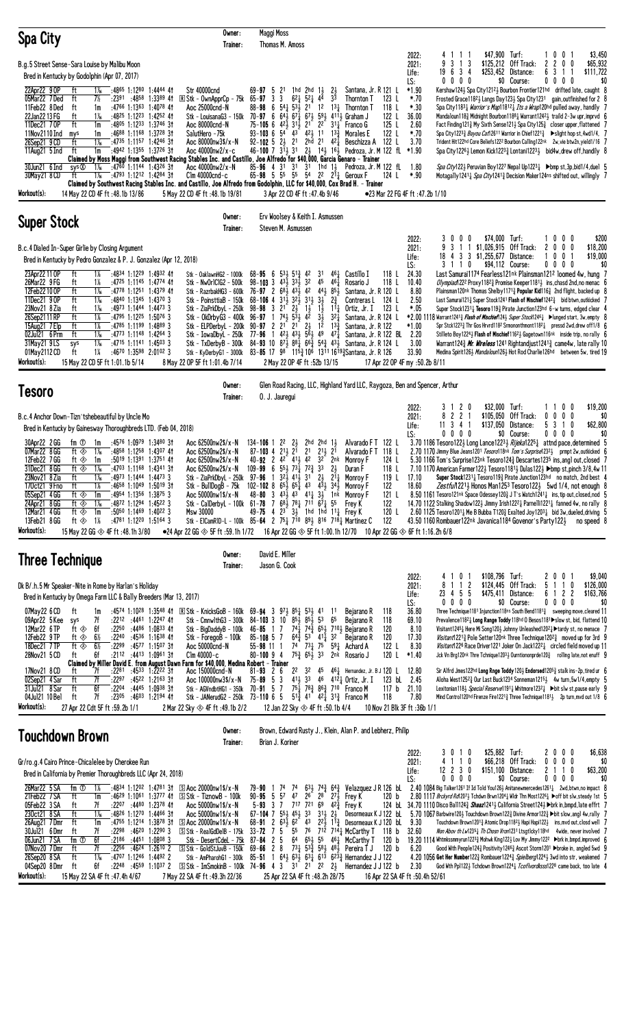| Spa City                                                                                                                                                                                                                                                                                                                                                                                                                                                                                                                                                                                                                                                                                                                                                                                                                                                                                                                                                                                                                   | Owner:<br>Trainer:                                                                                                                                                                                                                                                                                                                              | Maggi Moss<br>Thomas M. Amoss                                                                                                                                                                                                                                                                                                                                                                                                                                                                                                                                                                                                                                                                                                                                                        |                                                                                                                                                                                                                                                                                                                                                                                                                                                                                                        |                                                                                                                                                                                                                                           |                                                                                                                                                         |                                                                                                                                                                                                                                                                                                                                                                                                                                                                                                                                                                                                                                                                                                                                                                                                                                                                                                                                                                                                                                                                                                                                 |
|----------------------------------------------------------------------------------------------------------------------------------------------------------------------------------------------------------------------------------------------------------------------------------------------------------------------------------------------------------------------------------------------------------------------------------------------------------------------------------------------------------------------------------------------------------------------------------------------------------------------------------------------------------------------------------------------------------------------------------------------------------------------------------------------------------------------------------------------------------------------------------------------------------------------------------------------------------------------------------------------------------------------------|-------------------------------------------------------------------------------------------------------------------------------------------------------------------------------------------------------------------------------------------------------------------------------------------------------------------------------------------------|--------------------------------------------------------------------------------------------------------------------------------------------------------------------------------------------------------------------------------------------------------------------------------------------------------------------------------------------------------------------------------------------------------------------------------------------------------------------------------------------------------------------------------------------------------------------------------------------------------------------------------------------------------------------------------------------------------------------------------------------------------------------------------------|--------------------------------------------------------------------------------------------------------------------------------------------------------------------------------------------------------------------------------------------------------------------------------------------------------------------------------------------------------------------------------------------------------------------------------------------------------------------------------------------------------|-------------------------------------------------------------------------------------------------------------------------------------------------------------------------------------------------------------------------------------------|---------------------------------------------------------------------------------------------------------------------------------------------------------|---------------------------------------------------------------------------------------------------------------------------------------------------------------------------------------------------------------------------------------------------------------------------------------------------------------------------------------------------------------------------------------------------------------------------------------------------------------------------------------------------------------------------------------------------------------------------------------------------------------------------------------------------------------------------------------------------------------------------------------------------------------------------------------------------------------------------------------------------------------------------------------------------------------------------------------------------------------------------------------------------------------------------------------------------------------------------------------------------------------------------------|
| B.g.5 Street Sense-Sara Louise by Malibu Moon<br>Bred in Kentucky by Godolphin (Apr 07, 2017)<br>22Apr22 9 OP<br>ft<br>:4865 1:1280 1:4444 41<br>1‰<br>05Mar22 7Ded<br>ft<br>7½<br>$:2391$ $:4858$ 1:3389 41<br>11Feb22 8Ded<br>:4766 1:1363 1:4078 41<br>ft<br>1m<br>22Jan2213FG<br>ft<br>$1\%$<br>:4825 1:1223 1:4252 41<br>11Dec21 70P<br>ft<br>:4805 1:1233 1:3746 31<br>1m<br>11Nov2110 Ind<br>$:4688$ 1:1168 1:3728 31<br>mys<br>1m<br>:4735 1:1157 1:4246 31<br>26Sep21 9 CD<br>ft<br>1‰<br>11 $Aug21 5 Ind$<br>ft<br>1m<br>:4942 1:1355 1:3726 3†<br>Claimed by Moss Maggi from Southwest Racing Stables Inc. and Castillo, Joe Alfredo for \$40,000, Garcia Genaro - Trainer<br>30Jun21 6 Ind<br>sys ®<br>$1\%$<br>:4760 1:1144 1:4326 31<br>30May21 8 CD<br>ft<br>1‰<br>:4793 1:1212 1:4284 31<br>Claimed by Southwest Racing Stables Inc. and Castillo, Joe Alfredo from Godolphin, LLC for \$40,000, Cox Brad H. – Trainer<br>Workout(s):<br>14 May 22 CD 4F ft :48.1b 13/86                                   | Str 40000cnd<br>R Stk - OwnApprCp - 75k<br>Aoc 25000cnd-N<br>Aoc 80000cnd-N<br>SalutHero -75k<br>Aoc 80000nw3\$/x-N<br>Aoc 40000nw2/x-c<br>Aoc $40000 \text{nw2}/\text{x} - \text{N}$<br>$C$ lm 40000 $c$ nd-c<br>5 May 22 CD 4F ft:48.1b 19/81                                                                                                 | 2 <sup>1</sup><br>1hd $2$ hd $1\frac{1}{2}$<br>$69 - 97 = 5$<br>$6^{2}$ <sup>1</sup><br>$65 - 97$ 3<br>3<br>$5^2$ 44<br>88-98 6 54 $\frac{1}{4}$ 53 $\frac{1}{2}$ 21 12 13 $\frac{1}{4}$<br>Stk - LouisanaG3 - 150k 70-97 6 64 $\frac{1}{2}$ 67 $\frac{7}{4}$ 67 $\frac{1}{2}$ 59 $\frac{1}{2}$ 411 $\frac{1}{2}$ Graham J<br>$75-105$ 6 $42\frac{1}{2}$ $31\frac{1}{2}$ 21 22 $31\frac{1}{4}$<br>93-103 6 $54^{\degree}$ 4 <sup>3</sup> 4 <sup>2</sup> / <sub>2</sub> 11 1 <sup>3</sup> / <sub>2</sub><br>$92 - 102 + 52 = 21$<br>2hd 21<br>$46-100$ 7 $31\frac{1}{2}$ $31$ $2\frac{1}{2}$ $14\frac{1}{2}$ $16\frac{1}{2}$<br>$85 - 96$ 4 31 31 31 1hd 11<br>65-98 5 55 55 54 22 211 Geroux F<br>3 Apr 22 CD 4F ft :47.4b 9/46                                                      | $^{21}_{2}$<br>Santana, Jr. R 121 L<br>3 <sup>3</sup><br>Thornton T<br>Thornton T<br>Franco G<br>Morales E<br>$4^{2}$ $\frac{1}{4}$<br>Beschizza A<br>Pedroza, Jr. M 122 fL *1.90<br>Pedroza, Jr. M 122 fL                                                                                                                                                                                                                                                                                             | 2022:<br>2021:<br>Life:<br>LS:<br>$*1.90$<br>*.70<br>123 L<br>118 L<br>*.30<br>122 L<br>36.00<br>125 L<br>2.60<br>122 L<br>*.70<br>122 L<br>3.70<br>1.80<br>124 L<br>$*.90$<br>●23 Mar 22 FG 4F ft :47.2b 1/10                            | 4111<br>-3<br>9<br>3<br>-1<br>19 6 3 4<br>$0\,0\,0\,0$                                                                                                  | \$47,900 Turf:<br>1001<br>\$3,450<br>\$125,212 Off Track:<br>\$65,932<br>2<br>2<br>0<br>0<br>\$253,452 Distance:<br>6<br>\$111,722<br>-3<br>-1<br>-1<br>\$0 Course:<br>$0\,0\,0\,0$<br>\$0<br>Kershaw1243 Spa City12123 Bourbon Frontier121hd drifted late, caught 8<br>Frosted Grace11823 Langs Day1233 Spa City1231 gain, outfinished for 2 8<br>Spa City11831 <i>Warrior's Map</i> 118121 <i>Its a Wrap</i> 120hd pulled away, handily 7<br>Mandaloun118 $\frac{3}{4}$ Midnight Bourbon1188 $\frac{1}{4}$ Warrant1242 $\frac{1}{2}$ traild 2-3w upr, imprvd 6<br>Fact Finding1213 My Sixth Sense1213 Spa City1253 closer upper, flattened 7<br>Spa City122 <sup>33</sup> 4 <i>Bayou Cat</i> 126 <sup>11</sup> Warrior in Chief122 <sup>13</sup> 4 ▶slight hop st,4wd1/4, 7<br>Trident Hit122hd Core Beliefs1222 Bourbon Calling122nk 2w, vie btw2n, yield1/16 7<br>Spa City1226½ Lemon Kick1223½ Lontani1223½ bid4w,drew off,handily 8<br><i>Spa City</i> 122½ Peruvian Boy122 <sup>7</sup> Nepal Up122 <sup>3</sup> 4 ▶bmp st,3p,bid1/4,duel 5<br>Motagally12411 Spa City12413 Decision Maker124ns shifted out, willingly 7 |
| <b>Super Stock</b>                                                                                                                                                                                                                                                                                                                                                                                                                                                                                                                                                                                                                                                                                                                                                                                                                                                                                                                                                                                                         | Owner:<br>Trainer:                                                                                                                                                                                                                                                                                                                              | Erv Woolsey & Keith I. Asmussen<br>Steven M. Asmussen                                                                                                                                                                                                                                                                                                                                                                                                                                                                                                                                                                                                                                                                                                                                |                                                                                                                                                                                                                                                                                                                                                                                                                                                                                                        |                                                                                                                                                                                                                                           |                                                                                                                                                         |                                                                                                                                                                                                                                                                                                                                                                                                                                                                                                                                                                                                                                                                                                                                                                                                                                                                                                                                                                                                                                                                                                                                 |
| B.c.4 Dialed In-Super Girlie by Closing Argument<br>Bred in Kentucky by Pedro Gonzalez & P. J. Gonzalez (Apr 12, 2018)<br>23Apr22 11 OP<br>ft<br>1%<br>:4834 1:1229 1:4932 41<br>26Mar22 9 FG<br>ft<br>1%<br>:4725 1:1145 1:4774 41<br>12Feb22 10 OP<br>ft<br>$1\%$<br>:4778 1:1251 1:4379 41<br>ft<br>11Dec21 90P<br>$1\%$<br>$:4840$ 1:1345 1:4370 3<br>23Nov21 8 Zia<br>$:4973$ 1:1444 1:4473 3<br>ft<br>1‰<br>26Sep2111RP<br>ft<br>$1\%$<br>$:4795$ 1:12 <sup>25</sup> 1:5076 3<br>15Aug21 7 Elp<br>ft<br>1%<br>$:4785$ 1:1199 1:4889 3<br>02Jul21 6 Prm<br>ft<br>$1\%$<br>:4773 1:1148 1:4264 3<br>$1\frac{1}{16}$<br>31May21 9LS<br>$:47^{15}$ 1:1141 1:4503 3<br>sys<br>1%<br>ft<br>$:4670$ 1:3598 2:0102 3<br>01May 2112 CD<br>Workout(s):<br>15 May 22 CD 5F ft 1:01.1b 5/14                                                                                                                                                                                                                                      | Stk - OaklawnHG2 - 1000k<br>Stk - Nw0r1C1G2 - 500k<br>Stk - PoinsttiaB - 150k<br>Stk - ZiaPrkDbyL - 250k 98-98 3<br>Stk - OkDrbyG3 - 400k 96-97 1 741<br>Stk - ELPDerbyL - 200k<br>8 May 22 OP 5F ft 1:01.4b 7/14                                                                                                                               | $68 - 95 = 6$<br>$53\frac{1}{2}$<br>$5^{13}$<br>42<br>$98 - 103$ 3 $43\frac{1}{2}$ $33\frac{1}{2}$<br>32<br>Stk - RazrbakHG3 - 600k 76-97 2 68 $\frac{1}{2}$ 43 $\frac{1}{2}$ 42<br>68-106 4 $3^{11}_{2}$ $3^{21}_{2}$ $3^{11}_{2}$ $3^{1}_{2}$ $3^{1}_{2}$ $2^{3}_{4}$<br>$2\frac{1}{2}$<br>$1\frac{1}{2}$<br>$2^{1}$<br>$5^{\overline{3}}\frac{1}{2}$ 4 <sup>2</sup><br>$2^{1}$ $2^{1}$ $2^{1}$<br>$90 - 97$ 2<br>Stk - IowaDbyL - 250k 77-96 1 42 $\frac{1}{2}$ 43 $\frac{1}{2}$ 5 <sup>6</sup> $\frac{1}{2}$ 49 47 $\frac{1}{4}$<br>2 May 22 OP 4F ft :52b 13/15                                                                                                                                                                                                                 | 461<br>Castillo I<br>31<br>45<br>$46\frac{1}{4}$<br>Rosario J<br>441 851<br>Santana, Jr. R 120 L<br>Contreras L<br>$1\overline{1}$<br>$11\frac{1}{2}$<br>Ortiz, Jr. I<br>$3\overline{1}$<br>$3^{2}$<br>Santana, Jr. R 124 L<br>$1^{\overline{2}}$<br>$13\frac{3}{7}$<br>Santana, Jr. R 122<br>Santana, Jr. R 122 BL<br>Stk - TxDerbyB - 300k 84-93 10 871 881 663 543 431 Santana, Jr. R 124 L<br>Stk - KyDerbyG1 - 3000k 83-85 17 98 115 $\frac{3}{4}$ 106 1311 1619 $\frac{3}{4}$ Santana, Jr. R 126 | 2022:<br>2021:<br>Life:<br>LS:<br>118 L<br>24.30<br>118L<br>10.40<br>8.80<br>2.50<br>124 L<br>123 L<br>*.05<br>$*1.00$<br>2.20<br>3.00<br>33.90<br>17 Apr 22 OP 4F my :50.2b 8/11                                                         | 3000<br>1 \$1,026,915 Off Track:<br>3<br>-1<br>18 4 3 3 \$1,255,677 Distance:<br>3 1 1 0                                                                | \$74,000 Turf:<br>1000<br>\$200<br>\$18,200<br>2<br>0<br>$0\quad 0$<br>$0\quad 0$<br>- 1<br>\$19,000<br>\$94,112 Course:<br>$0\,0\,0\,0$<br>\$0<br>Last Samurai1174 Fearless121nk Plainsman1212 loomed 4w, hung   7<br><i>Olympiad</i> 122 <sup>2</sup> Proxy 118 <sup>2</sup> $\frac{3}{4}$ Promise Keeper 118 <sup>1</sup> $\frac{1}{2}$ ins, chasd 2nd, no menac 6<br>Plainsman120nk Thomas Shelby1171 $\frac{3}{4}$ Popular Kid116 $\frac{3}{4}$ 2nd flight, backed up 8<br>Last Samurai1213 Super Stock1241 Flash of Mischief12423 bid btwn.outkicked 7<br>Super Stock12311 Tesoro 1193 Pirate Junction123hd 6-w turns, edged clear 4<br>*2.00 1118 Warrant1241½ Flash of Mischief124½ Super Stock1246½ → lunged start, 3w, empty 8<br>Spr Stck1223 $\frac{3}{4}$ Thr Gos Hrvrd118 <sup>2</sup> Srmononthmont118 <sup>2</sup> $\frac{1}{4}$ pressd 2wd, drew off1/8 6<br>Stilleto Boy12243 Flash of Mischief11623 Gagetown116nk inside trip, no rally 6<br>Medina Spirit1263 Mandaloun1263 Hot Rod Charlie126hd between 5w, tired 19                                                                                       |
| <b>Tesoro</b>                                                                                                                                                                                                                                                                                                                                                                                                                                                                                                                                                                                                                                                                                                                                                                                                                                                                                                                                                                                                              | Owner:<br>Trainer:                                                                                                                                                                                                                                                                                                                              | 0. J. Jauregui                                                                                                                                                                                                                                                                                                                                                                                                                                                                                                                                                                                                                                                                                                                                                                       | Glen Road Racing, LLC, Highland Yard LLC, Raygoza, Ben and Spencer, Arthur                                                                                                                                                                                                                                                                                                                                                                                                                             |                                                                                                                                                                                                                                           |                                                                                                                                                         |                                                                                                                                                                                                                                                                                                                                                                                                                                                                                                                                                                                                                                                                                                                                                                                                                                                                                                                                                                                                                                                                                                                                 |
| B.c.4 Anchor Down-Tizn'tshebeautiful by Uncle Mo<br>Bred in Kentucky by Gainesway Thoroughbreds LTD. (Feb 04, 2018)<br>30Apr22 2 GG<br>fm ①<br>:4576 1:0979 1:3480 3†<br>1m<br>07Mar22 8 GG<br>ft $\otimes$<br>$1\%$<br>$:4858$ 1:1258 1:4307 41<br>12Feb22 7GG<br>ft ⊗<br>1m<br>:5019 1:1391 1:3751 41<br>31Dec21 8 GG<br>ft $\otimes$<br>$1\%$<br>:4703 1:1168 1:4341 31<br>$1\%$<br>:4973 1:1444 1:4473 3<br>23Nov21 8 Zia<br>ft<br>:4658 1:1049 1:5019 31<br>1%<br>INCTZI 9FNO<br>π<br>:4954 1:1356 1:3875 3<br>05Sep21 4 GG<br>ft ◈<br>1m<br>24Apr21 8 GG<br>$1\%$<br>:4872 1:1294 1:4522 3<br>ft ◈<br>12Mar21 4GG<br>$:50^{50}$ 1:1469 1:4022 3<br>ft ⊗<br>1m<br>13Feb21 8GG<br>:4781 1:1220 1:5164 3<br>ft ◈<br>1%<br>Workout(s):<br>15 May 22 GG $\otimes$ 4F ft:48.1h 3/80                                                                                                                                                                                                                                        | Aoc $62500$ nw $2\frac{5}{x}$ -N<br>Aoc 62500nw2\$/x-N<br>Aoc 62500nw2\$/x-N<br>Aoc 62500nw2\$/x-N<br>Stk - ZiaPrkDbyL - 250k 97-96 1<br>Stk - BullDogB - 75k<br>Aoc 50000nw1\$/x-N<br><b>Msw 30000</b>                                                                                                                                         | $134 - 106$ 1 2 <sup>2</sup><br>$2\frac{1}{2}$<br>$87 - 103$ 4 $2^{11}$ $2^{1}$<br>2 <sup>1</sup><br>40-92 2 4 <sup>2</sup> 4 <sup>1</sup> / <sub>2</sub> 4 <sup>2</sup><br>$109 - 99$ 6 $55\frac{1}{2}$ $73\frac{1}{2}$ $72\frac{3}{2}$ 33<br>$3^2\frac{1}{2}$ 41, 31 2,<br>102-102 8 $65\frac{1}{2}$ $65\frac{1}{4}$ 43 $45\frac{1}{2}$ 34 <sup>1</sup> / <sub>2</sub> Monroy F<br>48-80 3 433 43 411 31 1nk Monroy F<br>Stk - CalDerbyL - 100k 61-78 7 68 $\frac{1}{2}$ 78 $\frac{1}{4}$ 711 6 $\overline{7}$ 55<br>49-75 4 $2^3$ $3^1$ 1hd 1hd 11 <sup>1</sup> Frey K<br>Stk - ElCamRID-L - 100k 85-64 2 75 $\frac{1}{4}$ 710 89 $\frac{1}{2}$ 816 718 $\frac{1}{4}$ Martinez C<br>$\bullet$ 24 Apr 22 GG $\otimes$ 5F ft :59.1h 1/72 16 Apr 22 GG $\otimes$ 5F ft 1:00.1h 12/70 | 2hd 2hd 1,<br>Alvarado FT 122 L<br>2 <sup>1</sup><br>$2^{11}$<br>Alvarado F T<br>32 2nk<br>Monroy F<br>2 <sub>3</sub><br>Duran F<br>$2^{11}$<br>Monroy F<br>Frey K                                                                                                                                                                                                                                                                                                                                     | 2022:<br>2021:<br>Life:<br>LS:<br>118 L<br>124 L<br>118 L<br>119 L<br>17.10<br>122<br>18.60<br>121 L<br>122<br>120 L<br>122<br>10 Apr 22 GG $\otimes$ 6F ft 1:16.2h 6/8                                                                   | 2 <sub>0</sub><br>31<br>8 2 2 1<br>\$105,050<br>$11 \t3 \t4 \t1$<br>0000<br>$43.50$ 1160 Rombauer 122nk Javanica 1184 Govenor's Party 122 $\frac{1}{2}$ | \$32,000 Turf:<br>\$19,200<br>0 <sub>0</sub><br>11<br>Off Track:<br>$0\ 0\ 0\ 0$<br>\$0<br>\$137,050 Distance:<br>5 3 1 0<br>\$62,800<br>\$0 Course:<br>$0\,0\,0\,0$<br>\$0<br>3.70 1186 Tesoro1223 Long Lance12233 Rijeka12251 attnd pace, determined 5<br>2.70 1170 Jimmy Blue Jeans1201 Tesoro118nk Tom's Surprise12323 prmpt 2w, outkicked 6<br>5.30 1166 Tom's Surprise123nk Tesoro124 <sup>3</sup> Descartes123 <sup>5</sup> ins, angl out, closed 7<br>7.10 1170 American Farmer122 $\frac{1}{2}$ Tesoro118 <sup>1</sup> $\frac{1}{2}$ Dulas122 $\frac{1}{2}$ $\blacktriangleright$ bmp st,pinch 3/8,4w 11<br>Super Stock12311 Tesoro1193 Pirate Junction123hd no match, 2nd best 4<br>Zestfu/12213 Honos Man1253 Tesoro1223 5wd 1/4, not enough 8<br>8.50 1161 Tesoro121nk Space Odessey120 $\frac{3}{2}$ J T's Watch1241 $\frac{1}{4}$ ins, tip out, closed, nod 5<br>14.70 1122 Stalking Shadow1223 Jimmy Irish12221 Parnelli12211 fanned 4w, no rally 8<br>2.60 1125 Tesoro12011 Me B Bubba T1203 Exalted Joy12031 bid 3w, dueled, driving 5<br>no speed 8                                                           |
| Three Technique<br>Dk B/.h.5 Mr Speaker-Nite in Rome by Harlan's Holiday<br>Bred in Kentucky by Omega Farm LLC & Bally Breeders (Mar 13, 2017)<br>07May22 6 CD<br>ft<br>:4574 1:1028 1:3548 41<br>1m<br>09Apr22 5 Kee<br>7f<br>$:22^{12}$ $:44^{61}$ 1:2247 41<br>sys<br>12Mar22 6TP<br>ft ◈<br>6f<br>:2250<br>:4486 1:0833 41<br>12Feb22 9TP<br>$6\%$<br>:2240<br>:4536 1:1638 41<br>ft ⊗<br>ft $\circledast$<br>$6\frac{1}{2}$<br>18Dec21 7 TP<br>:2299<br>:4577 1:1507 3†<br>6f<br>$:2112$ $:4413$ $1:0961$ 3 <sup>†</sup><br>28Nov21 5 CD<br>ft<br>Claimed by Miller David E. from August Dawn Farm for \$40,000, Medina Robert - Trainer<br>$:22^{81}$ $:45^{33}$ 1:2222 31<br>17Nov21 8 CD<br>7f<br>ft<br>ft<br>02Sep21 4 Sar<br>7f<br>:22 <sup>97</sup> :45 <sup>22</sup> 1:21 <sup>63</sup> 31<br>ft<br>6f<br>:2204<br>:44 <sup>45</sup> 1:09 <sup>38</sup> 3†<br>31Jul21 8 Sar<br>7f<br>04Jul21 10 Bel<br>ft<br>:2305<br>:46 <sup>03</sup> 1:21 <sup>94</sup> 41<br>Workout(s):<br>27 Apr 22 Cdt 5F ft :59.2b 1/1 | Owner:<br>Trainer:<br>$\mathbb{R}$ Stk - KnicksGoB - 160k 69-94 3<br>Stk - CmnwlthG3 - 300k<br>Stk - BigDaddyB - 100k<br>Stk - ForegoB - 100k<br>Aoc 50000cnd-N<br>$C$ lm 40000-c<br>Aoc 150000cnd-N<br>Aoc 100000nw3\$/x-N<br>Stk - AGVndbtHG1 - 350k 70-91 57<br>Stk - JANerudG2 - 250k 73-110 6 5<br>2 Mar 22 Sky $\otimes$ 4F ft :49.1b 2/2 | David E. Miller<br>Jason G. Cook<br>$97\frac{1}{2} 85\frac{1}{4} 53\frac{1}{2}$<br>$84 - 103$ 3 10 $85\frac{1}{2}$ $85\frac{1}{2}$ 53<br>$46 - 85$ 1 7<br>$64\frac{3}{4}$ 53<br>$85 - 108$ 5 7<br>74 731 75<br>$55 - 98$ 11 1<br>$75\frac{3}{4}$ 6 <sup>5</sup> $\frac{1}{2}$ 3 <sup>3</sup><br>$80 - 1009$ 4<br>2 <sup>2</sup><br>$81 - 93$ 2 6<br>$75 - 89$ 5 3<br>12 Jan 22 Sky $\otimes$ 4F ft :50.1b 4/4                                                                                                                                                                                                                                                                                                                                                                        | 41<br>Bejarano R<br>11<br>65<br>Bejarano R<br>$74\frac{1}{4}$ $74\frac{3}{4}$ 6 <sup>5</sup> $5\frac{1}{2}$ 7 <sup>10</sup> Bejarano R<br>411 32<br>Bejarano R<br>$59\frac{1}{4}$ Achard A<br>2 <sup>nk</sup> Rosario J<br>32 45 461 Hernandez, Jr. B J 120 L<br>411 33 46 4121 Ortiz, Jr. I<br>$75\frac{1}{4}$ $78\frac{3}{4}$ $86\frac{3}{4}$ $710$ Franco M<br>$5^{13}_{4}$ 41 42 $1\over 4$ 31 <sup>3</sup> / <sub>4</sub> Franco M                                                                | 2022:<br>2021:<br>Life:<br>LS:<br>36.80<br>118<br>118<br>69.10<br>120<br>8.10<br>120<br>17.30<br>122 L<br>8.30<br>120 L<br>$*1.40$<br>12.80<br>123 bL<br>2.45<br>117 <sub>b</sub><br>21.10<br>118<br>7.80<br>10 Nov 21 Blk 3F ft :36b 1/1 | \$108,796 Turf:<br>0<br>4<br>1 1 2<br>8<br>4 5 5<br>23<br>$0\ 0\ 0\ 0$                                                                                  | \$9,040<br>0<br>20<br>\$124,445 Off Track:<br>5<br>$1\quad0$<br>\$126,000<br>$\overline{c}$<br>$\overline{c}$<br>\$475,411 Distance:<br>61<br>\$163,766<br>\$0 Course:<br>0000<br>\$0<br>Three Technique1181 Injunction118ns South Bend1181 <sup>3</sup> sweeping move, cleared 11<br>Prevalence11821 Long Range Toddy 118hd 0 Besos1181>slow st, bid, flattend 10<br>Visitant12451 Here Mi Song120½ Johnny Unleashed12021 ▶ tardy st, no menace 7<br>Visitant12213 Pole Setter120nk Three Technique12023 moved up for 3rd 9<br><i>Visitant</i> 122 <sup>6</sup> Race Driver 122 <sup>1</sup> Joker On Jack 122 <sup>2</sup> circled field moved up 11<br>Jck Vn Brg120nk Thre Tchnique1203½ Ourntiononprde120½ rolling late,not enuff 9<br>Sir Alfrd Jmes122hd Long Rnge Toddy 120 $\frac{1}{2}$ Endorsed120 $5\frac{3}{4}$ stalk ins-2p, tired ur 6<br>Aloha West12523 Our Last Buck1234 Sonneman12153 4w turn, 5w1/4, empty 5<br>Lexitonian118} Special Reserve11911 Whitmore12321 > bit slw st, pause early 9<br>Mind Control120hd Firenze Fire1221} Three Technique1181} 2p turn, mvd out 1/8 6                            |
| Touchdown Brown                                                                                                                                                                                                                                                                                                                                                                                                                                                                                                                                                                                                                                                                                                                                                                                                                                                                                                                                                                                                            | Owner:<br>Trainer:                                                                                                                                                                                                                                                                                                                              | Brian J. Koriner                                                                                                                                                                                                                                                                                                                                                                                                                                                                                                                                                                                                                                                                                                                                                                     | Brown, Edward Rusty J., Klein, Alan P. and Lebherz, Philip                                                                                                                                                                                                                                                                                                                                                                                                                                             |                                                                                                                                                                                                                                           |                                                                                                                                                         |                                                                                                                                                                                                                                                                                                                                                                                                                                                                                                                                                                                                                                                                                                                                                                                                                                                                                                                                                                                                                                                                                                                                 |
| Gr/ro.g.4 Cairo Prince-Chicalelee by Cherokee Run<br>Bred in California by Premier Thoroughbreds LLC (Apr 24, 2018)<br>26Mar22 5 SA<br>fm $1$<br>1%<br>:4834 1:1202 1:4781 31<br>21Feb22 7 SA<br>ft<br>1m<br>$:46^{29}$ 1:10 <sup>61</sup> 1:3777 41<br>05Feb22 3 SA<br>ft<br>7f<br>$:22^{07}$ $:44^{80}$ 1:2378 41<br>ft<br>$1\%$<br>:4826 1:1270 1:4466 31<br>230ct21 8 SA<br>ft<br>$:4755$ 1:1214 1:3878 31<br>26Aug21 7Dmr<br>1m<br>30Jul21 6Dmr<br>7f<br>:46 <sup>20</sup> 1:22 <sup>90</sup> 3<br>ft<br>:2298<br>6f<br>$:2186$ $:4451$ $1:0808$ 3<br>06Jun21 7 SA<br>fm ①                                                                                                                                                                                                                                                                                                                                                                                                                                            | $\boxed{5}$ Aoc 20000nw1\$/x-N<br>$\boxed{S}$ Stk - Tiznow $B$ - 100k<br>Aoc $50000$ nw $1$ \$/x-N<br>Aoc 50000nw1\$/x-N<br>$\boxed{5}$ Aoc 20000nw1\$/x-N<br>$\boxed{S}$ Stk - RealGdDelB - 175k 33-72 7 5                                                                                                                                     | 47<br>57<br>26<br>$90 - 95 = 5$<br>5-93 3 7 717 721 69 423 Frey K<br>$67-104$ 7 $55\frac{1}{2}$ $45\frac{1}{2}$ 33 $31\frac{1}{2}$ $2\frac{1}{2}$                                                                                                                                                                                                                                                                                                                                                                                                                                                                                                                                                                                                                                    | 79-90 1 74 74 631 743 643 Velazquez J R 126 bl<br>$2^8$ $2^7\frac{1}{2}$<br>Frey K<br>Desormeaux K J 122 bL<br>68-91 2 $63\frac{1}{2}$ 6 <sup>2</sup> 43 $22\frac{1}{2}$ 1 <sup>13</sup> / <sub>2</sub> Desormeaux K J 120 bL<br>55 76 712 7141 McCarthy T 118 b 32.60<br>Stk - DesertCdeL - 75k 87-84 2 5 64 653 55 46 $\frac{1}{4}$ McCarthy T 120 b                                                                                                                                                 | 2022:<br>2021:<br>Life:<br>LS:<br>120 b<br>9.30                                                                                                                                                                                           | 3010<br>110<br>$12$ 2 3 0<br>$0\,0\,0\,0$                                                                                                               | \$25,882 Turf:<br>\$6,638<br>2000<br>\$66,218 Off Track:<br>$0\ 0\ 0\ 0$<br>\$0<br>2 1 1 0<br>\$151,100 Distance:<br>\$63,200<br>\$0 Course:<br>0000<br>\$0<br>$2.40$ 1084 Big Talker 1261 If Id Told You 126 $\frac{1}{2}$ Anitanewmercedes 1261 $\frac{1}{4}$ 2wd, btwn, no impact 8<br>2.80 1117 Brckyrd Rd1207} Tchdwn Brwn1204} Widr Thn Most12261 > off bit slw, steady 1st 5<br>124 bL 34.70 1110 Disco Ball124 <sub>2</sub> Shaaz1241 <sub>3</sub> California Street124 <sub>3</sub> ►brk in, bmpd, late effrt 7<br>$5.70\;1067$ Barbwire120 $\frac{1}{2}$ Touchdown Brown122 $\frac{3}{2}$ Divine Armor122 $\frac{3}{4}$ $\blacktriangleright$ bit slow, angl 4w, rally $\;$ $\;$ $\;$<br>Touchdown Brown12013 Atomic Drop11823 Hapi Hapi1223 ins, mvd out, closd well 7<br>Non Abov th Lw12351 Th Chosn Vron1231 Ltsgt1cky118hd 4wide, never involved 7<br>19.20 1114 Whtmkssmmyrun12233 Mohwk King1223 Lov My Jimmy122 <sup>2</sup> ▶brk in, bmpd, improved 6                                                                                                                                                        |

07Nov20 7Dmr ft 7f :22<sup>56</sup> :46<sup>24</sup> 1:26™ 2 lStk - GoldStJuvB - 150k 69-**66** 2 8 7<sup>3</sup>≵ 5<sup>33</sup> 5<sup>83</sup> 4<sup>83</sup> Pereira TJ 120 b 6.20 Good With People124≩ Positivity124®≩ Ascot Storm120™ Þbroke in, angled 5wd 9 26Sep20 8 SA ft 1B :47^½ 1:12º¼ 1:44¿¸ 2 Stk - AmPharohG1 - 300k 85**-51** 1 6º¡ 6¹¡ 6¹¢ 6¶¹ 6¸¹£ Hernandez J J 122 4.20 1056 **Get Her Number**122£ Rombauer122º£ *Spielberg*122º¡ 3wd into str, weakened 7 04Sep20 8 Dmr ft 6f :22<sup>48</sup> :45<sup>59</sup> 1:10<sup>37</sup> 2 ISIStk - ImSmokinB - 100k 74-**96** 4 3 31 21 22 2½ Hernandez J J 122 b 2.30 God Wth Ppl122½ Tchdown Brown1224½ *Tcoflvordksss*122® came back, too late 4

**Workout(s): 15 M**ay 22 SA 4F ft :47.4h 4/67 7 May 22 SA 4F ft :49.3h 22/36 25 Apr 22 SA 4F ft :48.2h 28/75 16 Apr 22 SA 4F ft :50.4h 52/61